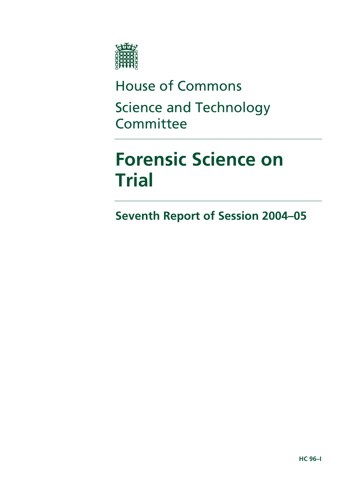

# House of Commons Science and Technology Committee

# **Forensic Science on Trial**

**Seventh Report of Session 2004–05**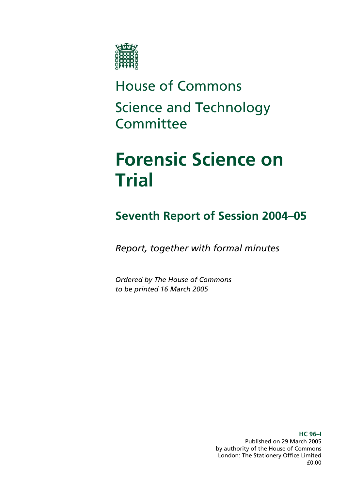

# House of Commons Science and Technology **Committee**

# **Forensic Science on Trial**

# **Seventh Report of Session 2004–05**

*Report, together with formal minutes* 

*Ordered by The House of Commons to be printed 16 March 2005* 

> **HC 96–I**  Published on 29 March 2005 by authority of the House of Commons London: The Stationery Office Limited £0.00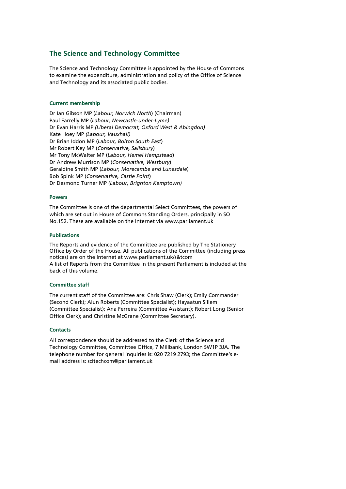### **The Science and Technology Committee**

The Science and Technology Committee is appointed by the House of Commons to examine the expenditure, administration and policy of the Office of Science and Technology and its associated public bodies.

#### **Current membership**

Dr Ian Gibson MP (*Labour, Norwich North*) (Chairman) Paul Farrelly MP (*Labour, Newcastle-under-Lyme)* Dr Evan Harris MP *(Liberal Democrat, Oxford West & Abingdon)*  Kate Hoey MP *(Labour, Vauxhall)* Dr Brian Iddon MP (*Labour, Bolton South East*) Mr Robert Key MP (*Conservative, Salisbury*) Mr Tony McWalter MP (*Labour, Hemel Hempstead*) Dr Andrew Murrison MP (*Conservative, Westbury*) Geraldine Smith MP (*Labour, Morecambe and Lunesdale*) Bob Spink MP (*Conservative, Castle Point*) Dr Desmond Turner MP *(Labour, Brighton Kemptown)*

#### **Powers**

The Committee is one of the departmental Select Committees, the powers of which are set out in House of Commons Standing Orders, principally in SO No.152. These are available on the Internet via www.parliament.uk

#### **Publications**

The Reports and evidence of the Committee are published by The Stationery Office by Order of the House. All publications of the Committee (including press notices) are on the Internet at www.parliament.uk/s&tcom A list of Reports from the Committee in the present Parliament is included at the back of this volume.

#### **Committee staff**

The current staff of the Committee are: Chris Shaw (Clerk); Emily Commander (Second Clerk); Alun Roberts (Committee Specialist); Hayaatun Sillem (Committee Specialist); Ana Ferreira (Committee Assistant); Robert Long (Senior Office Clerk); and Christine McGrane (Committee Secretary).

#### **Contacts**

All correspondence should be addressed to the Clerk of the Science and Technology Committee, Committee Office, 7 Millbank, London SW1P 3JA. The telephone number for general inquiries is: 020 7219 2793; the Committee's email address is: scitechcom@parliament.uk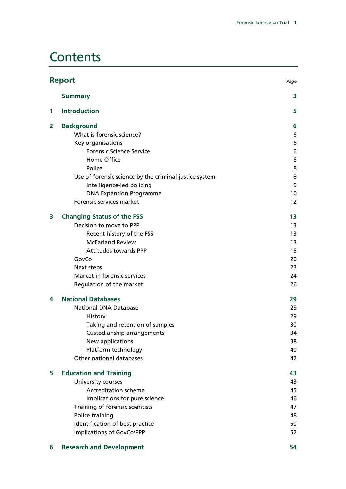# **Contents**

| <b>Report</b><br>Page |                                                        |    |
|-----------------------|--------------------------------------------------------|----|
|                       | <b>Summary</b>                                         | 3  |
| 1                     | <b>Introduction</b>                                    | 5  |
| 2                     | <b>Background</b>                                      | 6  |
|                       | What is forensic science?                              | 6  |
|                       | Key organisations                                      | 6  |
|                       | <b>Forensic Science Service</b>                        | 6  |
|                       | Home Office                                            | 6  |
|                       | Police                                                 | 8  |
|                       | Use of forensic science by the criminal justice system | 8  |
|                       | Intelligence-led policing                              | 9  |
|                       | <b>DNA Expansion Programme</b>                         | 10 |
|                       | Forensic services market                               | 12 |
| 3                     | <b>Changing Status of the FSS</b>                      | 13 |
|                       | Decision to move to PPP                                | 13 |
|                       | Recent history of the FSS                              | 13 |
|                       | <b>McFarland Review</b>                                | 13 |
|                       | <b>Attitudes towards PPP</b>                           | 15 |
|                       | GovCo                                                  | 20 |
|                       | Next steps                                             | 23 |
|                       | Market in forensic services                            | 24 |
|                       | Regulation of the market                               | 26 |
| 4                     | <b>National Databases</b>                              | 29 |
|                       | <b>National DNA Database</b>                           | 29 |
|                       | History                                                | 29 |
|                       | Taking and retention of samples                        | 30 |
|                       | Custodianship arrangements                             | 34 |
|                       | New applications                                       | 38 |
|                       | Platform technology                                    | 40 |
|                       | Other national databases                               | 42 |
| 5                     | <b>Education and Training</b>                          | 43 |
|                       | University courses                                     | 43 |
|                       | <b>Accreditation scheme</b>                            | 45 |
|                       | Implications for pure science                          | 46 |
|                       | Training of forensic scientists                        | 47 |
|                       | Police training                                        | 48 |
|                       | Identification of best practice                        | 50 |
|                       | <b>Implications of GovCo/PPP</b>                       | 52 |
| 6                     | <b>Research and Development</b>                        | 54 |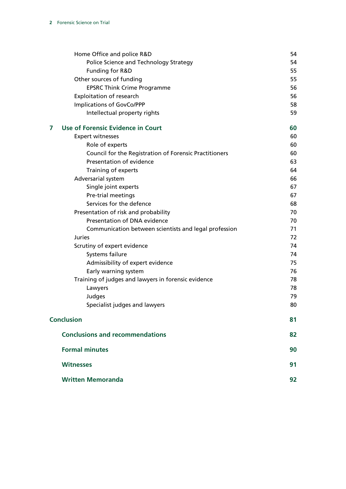| Home Office and police R&D                             | 54 |
|--------------------------------------------------------|----|
| Police Science and Technology Strategy                 | 54 |
| Funding for R&D                                        | 55 |
| Other sources of funding                               | 55 |
| <b>EPSRC Think Crime Programme</b>                     | 56 |
| Exploitation of research                               | 56 |
| <b>Implications of GovCo/PPP</b>                       | 58 |
| Intellectual property rights                           | 59 |
| Use of Forensic Evidence in Court<br>7                 | 60 |
| <b>Expert witnesses</b>                                | 60 |
| Role of experts                                        | 60 |
| Council for the Registration of Forensic Practitioners | 60 |
| Presentation of evidence                               | 63 |
| Training of experts                                    | 64 |
| Adversarial system                                     | 66 |
| Single joint experts                                   | 67 |
| Pre-trial meetings                                     | 67 |
| Services for the defence                               | 68 |
| Presentation of risk and probability                   | 70 |
| Presentation of DNA evidence                           | 70 |
| Communication between scientists and legal profession  | 71 |
| Juries                                                 | 72 |
| Scrutiny of expert evidence                            | 74 |
| Systems failure                                        | 74 |
| Admissibility of expert evidence                       | 75 |
| Early warning system                                   | 76 |
| Training of judges and lawyers in forensic evidence    | 78 |
| Lawyers                                                | 78 |
| Judges                                                 | 79 |
| Specialist judges and lawyers                          | 80 |
| <b>Conclusion</b>                                      | 81 |
| <b>Conclusions and recommendations</b>                 | 82 |
| <b>Formal minutes</b>                                  | 90 |
| <b>Witnesses</b>                                       | 91 |
| <b>Written Memoranda</b>                               | 92 |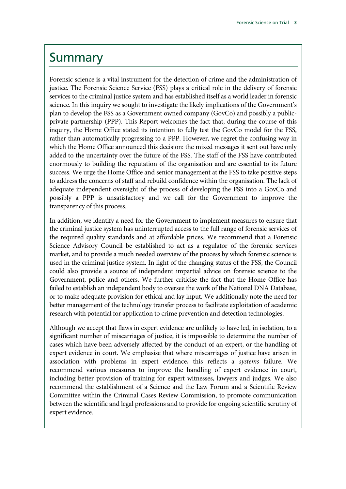# **Summary**

Forensic science is a vital instrument for the detection of crime and the administration of justice. The Forensic Science Service (FSS) plays a critical role in the delivery of forensic services to the criminal justice system and has established itself as a world leader in forensic science. In this inquiry we sought to investigate the likely implications of the Government's plan to develop the FSS as a Government owned company (GovCo) and possibly a publicprivate partnership (PPP). This Report welcomes the fact that, during the course of this inquiry, the Home Office stated its intention to fully test the GovCo model for the FSS, rather than automatically progressing to a PPP. However, we regret the confusing way in which the Home Office announced this decision: the mixed messages it sent out have only added to the uncertainty over the future of the FSS. The staff of the FSS have contributed enormously to building the reputation of the organisation and are essential to its future success. We urge the Home Office and senior management at the FSS to take positive steps to address the concerns of staff and rebuild confidence within the organisation. The lack of adequate independent oversight of the process of developing the FSS into a GovCo and possibly a PPP is unsatisfactory and we call for the Government to improve the transparency of this process.

In addition, we identify a need for the Government to implement measures to ensure that the criminal justice system has uninterrupted access to the full range of forensic services of the required quality standards and at affordable prices. We recommend that a Forensic Science Advisory Council be established to act as a regulator of the forensic services market, and to provide a much needed overview of the process by which forensic science is used in the criminal justice system. In light of the changing status of the FSS, the Council could also provide a source of independent impartial advice on forensic science to the Government, police and others. We further criticise the fact that the Home Office has failed to establish an independent body to oversee the work of the National DNA Database, or to make adequate provision for ethical and lay input. We additionally note the need for better management of the technology transfer process to facilitate exploitation of academic research with potential for application to crime prevention and detection technologies.

Although we accept that flaws in expert evidence are unlikely to have led, in isolation, to a significant number of miscarriages of justice, it is impossible to determine the number of cases which have been adversely affected by the conduct of an expert, or the handling of expert evidence in court. We emphasise that where miscarriages of justice have arisen in association with problems in expert evidence, this reflects a *systems* failure. We recommend various measures to improve the handling of expert evidence in court, including better provision of training for expert witnesses, lawyers and judges. We also recommend the establishment of a Science and the Law Forum and a Scientific Review Committee within the Criminal Cases Review Commission, to promote communication between the scientific and legal professions and to provide for ongoing scientific scrutiny of expert evidence.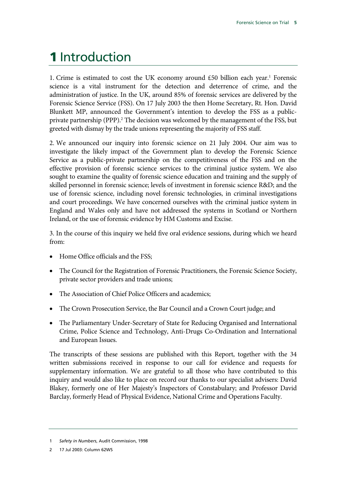# 1 Introduction

1. Crime is estimated to cost the UK economy around  $£50$  billion each year.<sup>1</sup> Forensic science is a vital instrument for the detection and deterrence of crime, and the administration of justice. In the UK, around 85% of forensic services are delivered by the Forensic Science Service (FSS). On 17 July 2003 the then Home Secretary, Rt. Hon. David Blunkett MP, announced the Government's intention to develop the FSS as a publicprivate partnership (PPP).<sup>2</sup> The decision was welcomed by the management of the FSS, but greeted with dismay by the trade unions representing the majority of FSS staff.

2. We announced our inquiry into forensic science on 21 July 2004. Our aim was to investigate the likely impact of the Government plan to develop the Forensic Science Service as a public-private partnership on the competitiveness of the FSS and on the effective provision of forensic science services to the criminal justice system. We also sought to examine the quality of forensic science education and training and the supply of skilled personnel in forensic science; levels of investment in forensic science R&D; and the use of forensic science, including novel forensic technologies, in criminal investigations and court proceedings. We have concerned ourselves with the criminal justice system in England and Wales only and have not addressed the systems in Scotland or Northern Ireland, or the use of forensic evidence by HM Customs and Excise.

3. In the course of this inquiry we held five oral evidence sessions, during which we heard from:

- Home Office officials and the FSS;
- The Council for the Registration of Forensic Practitioners, the Forensic Science Society, private sector providers and trade unions;
- The Association of Chief Police Officers and academics;
- The Crown Prosecution Service, the Bar Council and a Crown Court judge; and
- The Parliamentary Under-Secretary of State for Reducing Organised and International Crime, Police Science and Technology, Anti-Drugs Co-Ordination and International and European Issues.

The transcripts of these sessions are published with this Report, together with the 34 written submissions received in response to our call for evidence and requests for supplementary information. We are grateful to all those who have contributed to this inquiry and would also like to place on record our thanks to our specialist advisers: David Blakey, formerly one of Her Majesty's Inspectors of Constabulary; and Professor David Barclay, formerly Head of Physical Evidence, National Crime and Operations Faculty.

<sup>1</sup> *Safety in Numbers*, Audit Commission, 1998

<sup>2 17</sup> Jul 2003: Column 62WS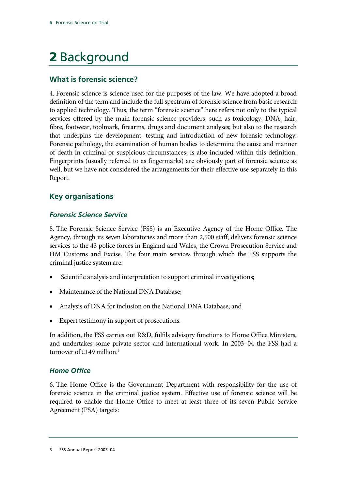# 2 Background

# **What is forensic science?**

4. Forensic science is science used for the purposes of the law. We have adopted a broad definition of the term and include the full spectrum of forensic science from basic research to applied technology. Thus, the term "forensic science" here refers not only to the typical services offered by the main forensic science providers, such as toxicology, DNA, hair, fibre, footwear, toolmark, firearms, drugs and document analyses; but also to the research that underpins the development, testing and introduction of new forensic technology. Forensic pathology, the examination of human bodies to determine the cause and manner of death in criminal or suspicious circumstances, is also included within this definition. Fingerprints (usually referred to as fingermarks) are obviously part of forensic science as well, but we have not considered the arrangements for their effective use separately in this Report.

# **Key organisations**

# *Forensic Science Service*

5. The Forensic Science Service (FSS) is an Executive Agency of the Home Office. The Agency, through its seven laboratories and more than 2,500 staff, delivers forensic science services to the 43 police forces in England and Wales, the Crown Prosecution Service and HM Customs and Excise. The four main services through which the FSS supports the criminal justice system are:

- Scientific analysis and interpretation to support criminal investigations;
- Maintenance of the National DNA Database;
- Analysis of DNA for inclusion on the National DNA Database; and
- Expert testimony in support of prosecutions.

In addition, the FSS carries out R&D, fulfils advisory functions to Home Office Ministers, and undertakes some private sector and international work. In 2003–04 the FSS had a turnover of  $£149$  million.<sup>3</sup>

# *Home Office*

6. The Home Office is the Government Department with responsibility for the use of forensic science in the criminal justice system. Effective use of forensic science will be required to enable the Home Office to meet at least three of its seven Public Service Agreement (PSA) targets: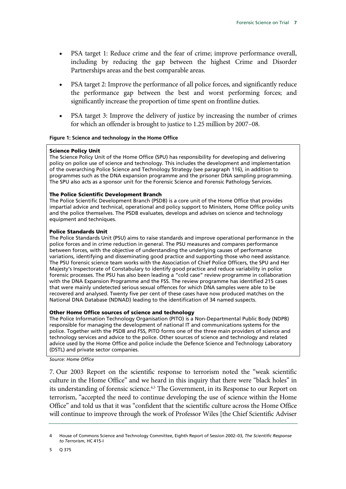- PSA target 1: Reduce crime and the fear of crime; improve performance overall, including by reducing the gap between the highest Crime and Disorder Partnerships areas and the best comparable areas.
- PSA target 2: Improve the performance of all police forces, and significantly reduce the performance gap between the best and worst performing forces; and significantly increase the proportion of time spent on frontline duties.
- PSA target 3: Improve the delivery of justice by increasing the number of crimes for which an offender is brought to justice to 1.25 million by 2007–08.

#### **Figure 1: Science and technology in the Home Office**

#### Science Policy Unit

The Science Policy Unit of the Home Office (SPU) has responsibility for developing and delivering policy on police use of science and technology. This includes the development and implementation of the overarching Police Science and Technology Strategy (see paragraph 116), in addition to programmes such as the DNA expansion programme and the prisoner DNA sampling programming. The SPU also acts as a sponsor unit for the Forensic Science and Forensic Pathology Services.

#### The Police Scientific Development Branch

The Police Scientific Development Branch (PSDB) is a core unit of the Home Office that provides impartial advice and technical, operational and policy support to Ministers, Home Office policy units and the police themselves. The PSDB evaluates, develops and advises on science and technology equipment and techniques.

#### Police Standards Unit

The Police Standards Unit (PSU) aims to raise standards and improve operational performance in the police forces and in crime reduction in general. The PSU measures and compares performance between forces, with the objective of understanding the underlying causes of performance variations, identifying and disseminating good practice and supporting those who need assistance. The PSU forensic science team works with the Association of Chief Police Officers, the SPU and Her Majesty's Inspectorate of Constabulary to identify good practice and reduce variability in police forensic processes. The PSU has also been leading a "cold case" review programme in collaboration with the DNA Expansion Programme and the FSS. The review programme has identified 215 cases that were mainly undetected serious sexual offences for which DNA samples were able to be recovered and analysed. Twenty five per cent of these cases have now produced matches on the National DNA Database (NDNAD) leading to the identification of 34 named suspects.

#### Other Home Office sources of science and technology

The Police Information Technology Organisation (PITO) is a Non-Departmental Public Body (NDPB) responsible for managing the development of national IT and communications systems for the police. Together with the PSDB and FSS, PITO forms one of the three main providers of science and technology services and advice to the police. Other sources of science and technology and related advice used by the Home Office and police include the Defence Science and Technology Laboratory (DSTL) and private sector companies.

*Source: Home Office* 

7. Our 2003 Report on the scientific response to terrorism noted the "weak scientific culture in the Home Office" and we heard in this inquiry that there were "black holes" in its understanding of forensic science.<sup>4,5</sup> The Government, in its Response to our Report on terrorism, "accepted the need to continue developing the use of science within the Home Office" and told us that it was "confident that the scientific culture across the Home Office will continue to improve through the work of Professor Wiles [the Chief Scientific Adviser

<sup>4</sup> House of Commons Science and Technology Committee, Eighth Report of Session 2002–03, *The Scientific Response to Terrorism*, HC 415-I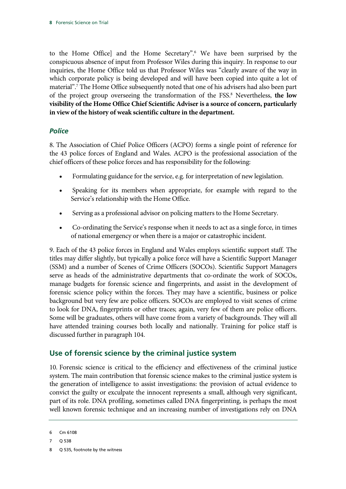to the Home Office] and the Home Secretary".<sup>6</sup> We have been surprised by the conspicuous absence of input from Professor Wiles during this inquiry. In response to our inquiries, the Home Office told us that Professor Wiles was "clearly aware of the way in which corporate policy is being developed and will have been copied into quite a lot of material".7 The Home Office subsequently noted that one of his advisers had also been part of the project group overseeing the transformation of the FSS.<sup>8</sup> Nevertheless, the low **visibility of the Home Office Chief Scientific Adviser is a source of concern, particularly in view of the history of weak scientific culture in the department.**

## *Police*

8. The Association of Chief Police Officers (ACPO) forms a single point of reference for the 43 police forces of England and Wales. ACPO is the professional association of the chief officers of these police forces and has responsibility for the following:

- Formulating guidance for the service, e.g. for interpretation of new legislation.
- Speaking for its members when appropriate, for example with regard to the Service's relationship with the Home Office.
- Serving as a professional advisor on policing matters to the Home Secretary.
- Co-ordinating the Service's response when it needs to act as a single force, in times of national emergency or when there is a major or catastrophic incident.

9. Each of the 43 police forces in England and Wales employs scientific support staff. The titles may differ slightly, but typically a police force will have a Scientific Support Manager (SSM) and a number of Scenes of Crime Officers (SOCOs). Scientific Support Managers serve as heads of the administrative departments that co-ordinate the work of SOCOs, manage budgets for forensic science and fingerprints, and assist in the development of forensic science policy within the forces. They may have a scientific, business or police background but very few are police officers. SOCOs are employed to visit scenes of crime to look for DNA, fingerprints or other traces; again, very few of them are police officers. Some will be graduates, others will have come from a variety of backgrounds. They will all have attended training courses both locally and nationally. Training for police staff is discussed further in paragraph 104.

# **Use of forensic science by the criminal justice system**

10. Forensic science is critical to the efficiency and effectiveness of the criminal justice system. The main contribution that forensic science makes to the criminal justice system is the generation of intelligence to assist investigations: the provision of actual evidence to convict the guilty or exculpate the innocent represents a small, although very significant, part of its role. DNA profiling, sometimes called DNA fingerprinting, is perhaps the most well known forensic technique and an increasing number of investigations rely on DNA

8 Q 535, footnote by the witness

<sup>6</sup> Cm 6108

<sup>7</sup> Q 538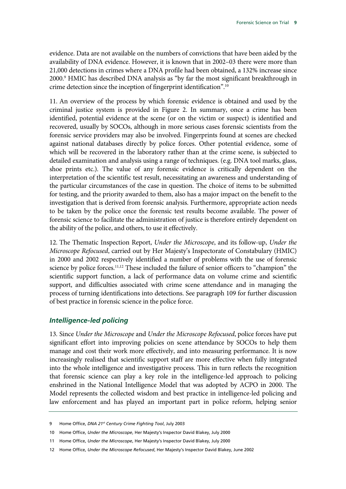evidence. Data are not available on the numbers of convictions that have been aided by the availability of DNA evidence. However, it is known that in 2002–03 there were more than 21,000 detections in crimes where a DNA profile had been obtained, a 132% increase since 2000.9 HMIC has described DNA analysis as "by far the most significant breakthrough in crime detection since the inception of fingerprint identification".10

11. An overview of the process by which forensic evidence is obtained and used by the criminal justice system is provided in Figure 2. In summary, once a crime has been identified, potential evidence at the scene (or on the victim or suspect) is identified and recovered, usually by SOCOs, although in more serious cases forensic scientists from the forensic service providers may also be involved. Fingerprints found at scenes are checked against national databases directly by police forces. Other potential evidence, some of which will be recovered in the laboratory rather than at the crime scene, is subjected to detailed examination and analysis using a range of techniques. (e.g. DNA tool marks, glass, shoe prints etc.). The value of any forensic evidence is critically dependent on the interpretation of the scientific test result, necessitating an awareness and understanding of the particular circumstances of the case in question. The choice of items to be submitted for testing, and the priority awarded to them, also has a major impact on the benefit to the investigation that is derived from forensic analysis. Furthermore, appropriate action needs to be taken by the police once the forensic test results become available. The power of forensic science to facilitate the administration of justice is therefore entirely dependent on the ability of the police, and others, to use it effectively.

12. The Thematic Inspection Report, *Under the Microscope*, and its follow-up, *Under the Microscope Refocused*, carried out by Her Majesty's Inspectorate of Constabulary (HMIC) in 2000 and 2002 respectively identified a number of problems with the use of forensic science by police forces.<sup>11,12</sup> These included the failure of senior officers to "champion" the scientific support function, a lack of performance data on volume crime and scientific support, and difficulties associated with crime scene attendance and in managing the process of turning identifications into detections. See paragraph 109 for further discussion of best practice in forensic science in the police force.

#### *Intelligence-led policing*

13. Since *Under the Microscope* and *Under the Microscope Refocused*, police forces have put significant effort into improving policies on scene attendance by SOCOs to help them manage and cost their work more effectively, and into measuring performance. It is now increasingly realised that scientific support staff are more effective when fully integrated into the whole intelligence and investigative process. This in turn reflects the recognition that forensic science can play a key role in the intelligence-led approach to policing enshrined in the National Intelligence Model that was adopted by ACPO in 2000. The Model represents the collected wisdom and best practice in intelligence-led policing and law enforcement and has played an important part in police reform, helping senior

<sup>9</sup> Home Office, *DNA 21st Century Crime Fighting Tool*, July 2003

<sup>10</sup> Home Office, *Under the Microscope*, Her Majesty's Inspector David Blakey, July 2000

<sup>11</sup> Home Office, *Under the Microscope*, Her Majesty's Inspector David Blakey, July 2000

<sup>12</sup> Home Office, *Under the Microscope Refocused*, Her Majesty's Inspector David Blakey, June 2002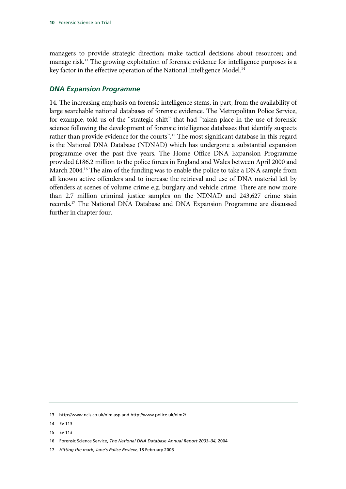managers to provide strategic direction; make tactical decisions about resources; and manage risk.<sup>13</sup> The growing exploitation of forensic evidence for intelligence purposes is a key factor in the effective operation of the National Intelligence Model.<sup>14</sup>

#### *DNA Expansion Programme*

14. The increasing emphasis on forensic intelligence stems, in part, from the availability of large searchable national databases of forensic evidence. The Metropolitan Police Service, for example, told us of the "strategic shift" that had "taken place in the use of forensic science following the development of forensic intelligence databases that identify suspects rather than provide evidence for the courts".<sup>15</sup> The most significant database in this regard is the National DNA Database (NDNAD) which has undergone a substantial expansion programme over the past five years. The Home Office DNA Expansion Programme provided £186.2 million to the police forces in England and Wales between April 2000 and March 2004.16 The aim of the funding was to enable the police to take a DNA sample from all known active offenders and to increase the retrieval and use of DNA material left by offenders at scenes of volume crime e.g. burglary and vehicle crime. There are now more than 2.7 million criminal justice samples on the NDNAD and 243,627 crime stain records.17 The National DNA Database and DNA Expansion Programme are discussed further in chapter four.

<sup>13</sup> http://www.ncis.co.uk/nim.asp and http://www.police.uk/nim2/

<sup>14</sup> Ev 113

<sup>15</sup> Ev 113

<sup>16</sup> Forensic Science Service, *The National DNA Database Annual Report 2003–04*, 2004

<sup>17</sup> *Hitting the mark*, *Jane's Police Review*, 18 February 2005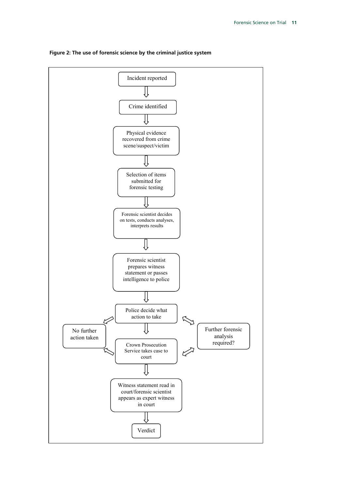

**Figure 2: The use of forensic science by the criminal justice system**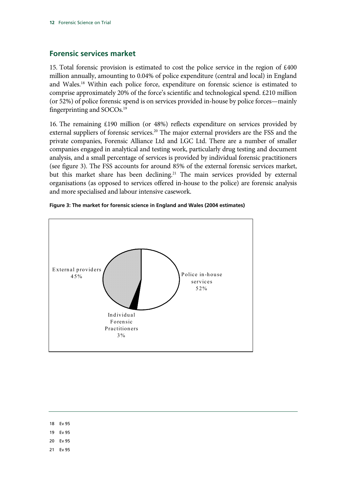# **Forensic services market**

15. Total forensic provision is estimated to cost the police service in the region of £400 million annually, amounting to 0.04% of police expenditure (central and local) in England and Wales.18 Within each police force, expenditure on forensic science is estimated to comprise approximately 20% of the force's scientific and technological spend. £210 million (or 52%) of police forensic spend is on services provided in-house by police forces—mainly fingerprinting and SOCOs.19

16. The remaining £190 million (or 48%) reflects expenditure on services provided by external suppliers of forensic services.<sup>20</sup> The major external providers are the FSS and the private companies, Forensic Alliance Ltd and LGC Ltd. There are a number of smaller companies engaged in analytical and testing work, particularly drug testing and document analysis, and a small percentage of services is provided by individual forensic practitioners (see figure 3). The FSS accounts for around 85% of the external forensic services market, but this market share has been declining.<sup>21</sup> The main services provided by external organisations (as opposed to services offered in-house to the police) are forensic analysis and more specialised and labour intensive casework.



#### **Figure 3: The market for forensic science in England and Wales (2004 estimates)**

| .,<br>۰. | M<br>۰.<br>×<br>×<br>۹ |
|----------|------------------------|
|          |                        |

- 19 Ev 95
- 20 Ev 95
- 21 Ev 95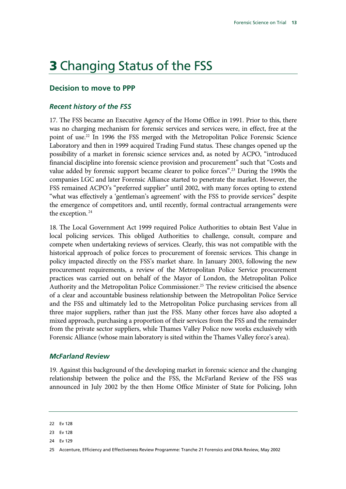# 3 Changing Status of the FSS

### **Decision to move to PPP**

#### *Recent history of the FSS*

17. The FSS became an Executive Agency of the Home Office in 1991. Prior to this, there was no charging mechanism for forensic services and services were, in effect, free at the point of use.22 In 1996 the FSS merged with the Metropolitan Police Forensic Science Laboratory and then in 1999 acquired Trading Fund status. These changes opened up the possibility of a market in forensic science services and, as noted by ACPO, "introduced financial discipline into forensic science provision and procurement" such that "Costs and value added by forensic support became clearer to police forces".23 During the 1990s the companies LGC and later Forensic Alliance started to penetrate the market. However, the FSS remained ACPO's "preferred supplier" until 2002, with many forces opting to extend "what was effectively a 'gentleman's agreement' with the FSS to provide services" despite the emergence of competitors and, until recently, formal contractual arrangements were the exception.<sup>24</sup>

18. The Local Government Act 1999 required Police Authorities to obtain Best Value in local policing services. This obliged Authorities to challenge, consult, compare and compete when undertaking reviews of services. Clearly, this was not compatible with the historical approach of police forces to procurement of forensic services. This change in policy impacted directly on the FSS's market share. In January 2003, following the new procurement requirements, a review of the Metropolitan Police Service procurement practices was carried out on behalf of the Mayor of London, the Metropolitan Police Authority and the Metropolitan Police Commissioner.<sup>25</sup> The review criticised the absence of a clear and accountable business relationship between the Metropolitan Police Service and the FSS and ultimately led to the Metropolitan Police purchasing services from all three major suppliers, rather than just the FSS. Many other forces have also adopted a mixed approach, purchasing a proportion of their services from the FSS and the remainder from the private sector suppliers, while Thames Valley Police now works exclusively with Forensic Alliance (whose main laboratory is sited within the Thames Valley force's area).

#### *McFarland Review*

19. Against this background of the developing market in forensic science and the changing relationship between the police and the FSS, the McFarland Review of the FSS was announced in July 2002 by the then Home Office Minister of State for Policing, John

24 Ev 129

<sup>22</sup> Ev 128

<sup>23</sup> Ev 128

<sup>25</sup> Accenture, Efficiency and Effectiveness Review Programme: Tranche 21 Forensics and DNA Review, May 2002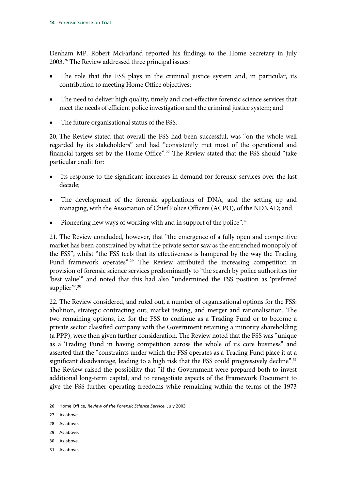Denham MP. Robert McFarland reported his findings to the Home Secretary in July 2003.26 The Review addressed three principal issues:

- The role that the FSS plays in the criminal justice system and, in particular, its contribution to meeting Home Office objectives;
- The need to deliver high quality, timely and cost-effective forensic science services that meet the needs of efficient police investigation and the criminal justice system; and
- The future organisational status of the FSS.

20. The Review stated that overall the FSS had been successful, was "on the whole well regarded by its stakeholders" and had "consistently met most of the operational and financial targets set by the Home Office".<sup>27</sup> The Review stated that the FSS should "take particular credit for:

- Its response to the significant increases in demand for forensic services over the last decade;
- The development of the forensic applications of DNA, and the setting up and managing, with the Association of Chief Police Officers (ACPO), of the NDNAD; and
- Pioneering new ways of working with and in support of the police".28

21. The Review concluded, however, that "the emergence of a fully open and competitive market has been constrained by what the private sector saw as the entrenched monopoly of the FSS", whilst "the FSS feels that its effectiveness is hampered by the way the Trading Fund framework operates".<sup>29</sup> The Review attributed the increasing competition in provision of forensic science services predominantly to "the search by police authorities for 'best value'" and noted that this had also "undermined the FSS position as 'preferred supplier".<sup>30</sup>

22. The Review considered, and ruled out, a number of organisational options for the FSS: abolition, strategic contracting out, market testing, and merger and rationalisation. The two remaining options, i.e. for the FSS to continue as a Trading Fund or to become a private sector classified company with the Government retaining a minority shareholding (a PPP), were then given further consideration. The Review noted that the FSS was "unique as a Trading Fund in having competition across the whole of its core business" and asserted that the "constraints under which the FSS operates as a Trading Fund place it at a significant disadvantage, leading to a high risk that the FSS could progressively decline".31 The Review raised the possibility that "if the Government were prepared both to invest additional long-term capital, and to renegotiate aspects of the Framework Document to give the FSS further operating freedoms while remaining within the terms of the 1973

- 29 As above.
- 30 As above.
- 31 As above.

<sup>26</sup> Home Office, *Review of the Forensic Science Service*, July 2003

<sup>27</sup> As above.

<sup>28</sup> As above.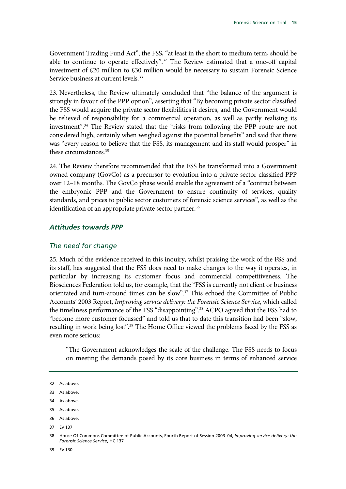Government Trading Fund Act", the FSS, "at least in the short to medium term, should be able to continue to operate effectively".<sup>32</sup> The Review estimated that a one-off capital investment of £20 million to £30 million would be necessary to sustain Forensic Science Service business at current levels.<sup>33</sup>

23. Nevertheless, the Review ultimately concluded that "the balance of the argument is strongly in favour of the PPP option", asserting that "By becoming private sector classified the FSS would acquire the private sector flexibilities it desires, and the Government would be relieved of responsibility for a commercial operation, as well as partly realising its investment".34 The Review stated that the "risks from following the PPP route are not considered high, certainly when weighed against the potential benefits" and said that there was "every reason to believe that the FSS, its management and its staff would prosper" in these circumstances<sup>35</sup>

24. The Review therefore recommended that the FSS be transformed into a Government owned company (GovCo) as a precursor to evolution into a private sector classified PPP over 12–18 months. The GovCo phase would enable the agreement of a "contract between the embryonic PPP and the Government to ensure continuity of services, quality standards, and prices to public sector customers of forensic science services", as well as the identification of an appropriate private sector partner.<sup>36</sup>

#### *Attitudes towards PPP*

#### *The need for change*

25. Much of the evidence received in this inquiry, whilst praising the work of the FSS and its staff, has suggested that the FSS does need to make changes to the way it operates, in particular by increasing its customer focus and commercial competitiveness. The Biosciences Federation told us, for example, that the "FSS is currently not client or business orientated and turn-around times can be slow".37 This echoed the Committee of Public Accounts' 2003 Report, *Improving service delivery: the Forensic Science Service*, which called the timeliness performance of the FSS "disappointing".38 ACPO agreed that the FSS had to "become more customer focussed" and told us that to date this transition had been "slow, resulting in work being lost".<sup>39</sup> The Home Office viewed the problems faced by the FSS as even more serious:

"The Government acknowledges the scale of the challenge. The FSS needs to focus on meeting the demands posed by its core business in terms of enhanced service

- 35 As above.
- 36 As above.
- 37 Ev 137

39 Ev 130

<sup>32</sup> As above.

<sup>33</sup> As above.

<sup>34</sup> As above.

<sup>38</sup> House Of Commons Committee of Public Accounts, Fourth Report of Session 2003–04, *Improving service delivery: the Forensic Science Service*, HC 137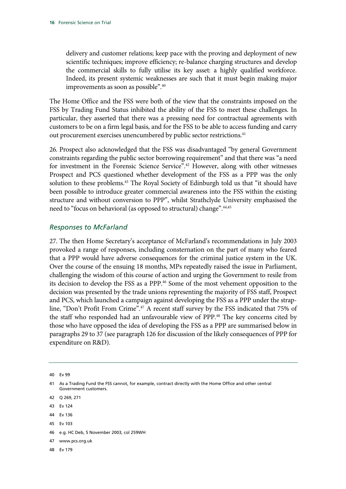delivery and customer relations; keep pace with the proving and deployment of new scientific techniques; improve efficiency; re-balance charging structures and develop the commercial skills to fully utilise its key asset: a highly qualified workforce. Indeed, its present systemic weaknesses are such that it must begin making major improvements as soon as possible".40

The Home Office and the FSS were both of the view that the constraints imposed on the FSS by Trading Fund Status inhibited the ability of the FSS to meet these challenges. In particular, they asserted that there was a pressing need for contractual agreements with customers to be on a firm legal basis, and for the FSS to be able to access funding and carry out procurement exercises unencumbered by public sector restrictions.<sup>41</sup>

26. Prospect also acknowledged that the FSS was disadvantaged "by general Government constraints regarding the public sector borrowing requirement" and that there was "a need for investment in the Forensic Science Service".<sup>42</sup> However, along with other witnesses Prospect and PCS questioned whether development of the FSS as a PPP was the only solution to these problems.<sup>43</sup> The Royal Society of Edinburgh told us that "it should have been possible to introduce greater commercial awareness into the FSS within the existing structure and without conversion to PPP", whilst Strathclyde University emphasised the need to "focus on behavioral (as opposed to structural) change".<sup>44,45</sup>

#### *Responses to McFarland*

27. The then Home Secretary's acceptance of McFarland's recommendations in July 2003 provoked a range of responses, including consternation on the part of many who feared that a PPP would have adverse consequences for the criminal justice system in the UK. Over the course of the ensuing 18 months, MPs repeatedly raised the issue in Parliament, challenging the wisdom of this course of action and urging the Government to resile from its decision to develop the FSS as a PPP.<sup>46</sup> Some of the most vehement opposition to the decision was presented by the trade unions representing the majority of FSS staff, Prospect and PCS, which launched a campaign against developing the FSS as a PPP under the strapline, "Don't Profit From Crime".47 A recent staff survey by the FSS indicated that 75% of the staff who responded had an unfavourable view of PPP.<sup>48</sup> The key concerns cited by those who have opposed the idea of developing the FSS as a PPP are summarised below in paragraphs 29 to 37 (see paragraph 126 for discussion of the likely consequences of PPP for expenditure on R&D).

- 44 Ev 136
- 45 Ev 103
- 46 e.g. HC Deb, 5 November 2003, col 259WH
- 47 www.pcs.org.uk
- 48 Ev 179

<sup>40</sup> Ev 99

<sup>41</sup> As a Trading Fund the FSS cannot, for example, contract directly with the Home Office and other central Government customers.

<sup>42</sup> Q 269, 271

<sup>43</sup> Ev 124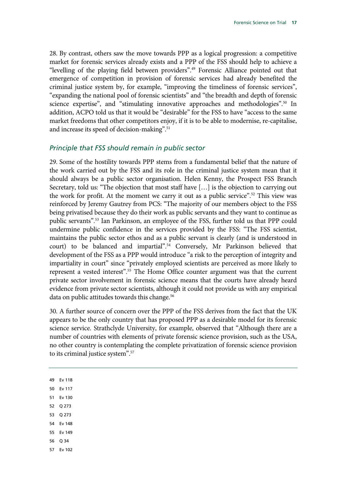28. By contrast, others saw the move towards PPP as a logical progression: a competitive market for forensic services already exists and a PPP of the FSS should help to achieve a "levelling of the playing field between providers".49 Forensic Alliance pointed out that emergence of competition in provision of forensic services had already benefited the criminal justice system by, for example, "improving the timeliness of forensic services", "expanding the national pool of forensic scientists" and "the breadth and depth of forensic science expertise", and "stimulating innovative approaches and methodologies".<sup>50</sup> In addition, ACPO told us that it would be "desirable" for the FSS to have "access to the same market freedoms that other competitors enjoy, if it is to be able to modernise, re-capitalise, and increase its speed of decision-making".<sup>51</sup>

### *Principle that FSS should remain in public sector*

29. Some of the hostility towards PPP stems from a fundamental belief that the nature of the work carried out by the FSS and its role in the criminal justice system mean that it should always be a public sector organisation. Helen Kenny, the Prospect FSS Branch Secretary, told us: "The objection that most staff have […] is the objection to carrying out the work for profit. At the moment we carry it out as a public service".<sup>52</sup> This view was reinforced by Jeremy Gautrey from PCS: "The majority of our members object to the FSS being privatised because they do their work as public servants and they want to continue as public servants".53 Ian Parkinson, an employee of the FSS, further told us that PPP could undermine public confidence in the services provided by the FSS: "The FSS scientist, maintains the public sector ethos and as a public servant is clearly (and is understood in court) to be balanced and impartial".54 Conversely, Mr Parkinson believed that development of the FSS as a PPP would introduce "a risk to the perception of integrity and impartiality in court" since "privately employed scientists are perceived as more likely to represent a vested interest".55 The Home Office counter argument was that the current private sector involvement in forensic science means that the courts have already heard evidence from private sector scientists, although it could not provide us with any empirical data on public attitudes towards this change.<sup>56</sup>

30. A further source of concern over the PPP of the FSS derives from the fact that the UK appears to be the only country that has proposed PPP as a desirable model for its forensic science service. Strathclyde University, for example, observed that "Although there are a number of countries with elements of private forensic science provision, such as the USA, no other country is contemplating the complete privatization of forensic science provision to its criminal justice system".57

49 Ev 118

50 Ev 117

51 Ev 130

- 52 Q 273
- 53 Q 273
- 54 Ev 148
- 55 Ev 149
- 56 Q 34
- 57 Ev 102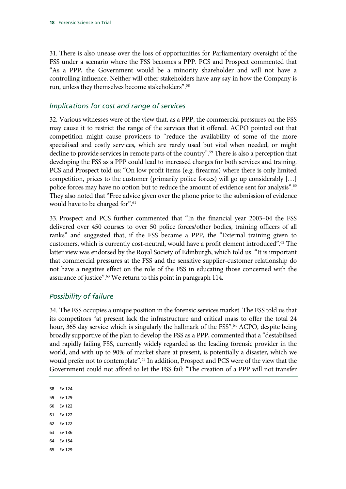31. There is also unease over the loss of opportunities for Parliamentary oversight of the FSS under a scenario where the FSS becomes a PPP. PCS and Prospect commented that "As a PPP, the Government would be a minority shareholder and will not have a controlling influence. Neither will other stakeholders have any say in how the Company is run, unless they themselves become stakeholders".58

### *Implications for cost and range of services*

32. Various witnesses were of the view that, as a PPP, the commercial pressures on the FSS may cause it to restrict the range of the services that it offered. ACPO pointed out that competition might cause providers to "reduce the availability of some of the more specialised and costly services, which are rarely used but vital when needed, or might decline to provide services in remote parts of the country".<sup>59</sup> There is also a perception that developing the FSS as a PPP could lead to increased charges for both services and training. PCS and Prospect told us: "On low profit items (e.g. firearms) where there is only limited competition, prices to the customer (primarily police forces) will go up considerably […] police forces may have no option but to reduce the amount of evidence sent for analysis".<sup>60</sup> They also noted that "Free advice given over the phone prior to the submission of evidence would have to be charged for".<sup>61</sup>

33. Prospect and PCS further commented that "In the financial year 2003–04 the FSS delivered over 450 courses to over 50 police forces/other bodies, training officers of all ranks" and suggested that, if the FSS became a PPP, the "External training given to customers, which is currently cost-neutral, would have a profit element introduced".62 The latter view was endorsed by the Royal Society of Edinburgh, which told us: "It is important that commercial pressures at the FSS and the sensitive supplier-customer relationship do not have a negative effect on the role of the FSS in educating those concerned with the assurance of justice".<sup>63</sup> We return to this point in paragraph 114.

## *Possibility of failure*

34. The FSS occupies a unique position in the forensic services market. The FSS told us that its competitors "at present lack the infrastructure and critical mass to offer the total 24 hour, 365 day service which is singularly the hallmark of the FSS".<sup>64</sup> ACPO, despite being broadly supportive of the plan to develop the FSS as a PPP, commented that a "destabilised and rapidly failing FSS, currently widely regarded as the leading forensic provider in the world, and with up to 90% of market share at present, is potentially a disaster, which we would prefer not to contemplate".<sup>65</sup> In addition, Prospect and PCS were of the view that the Government could not afford to let the FSS fail: "The creation of a PPP will not transfer

- 58 Ev 124
- 59 Ev 129
- 60 Ev 122
- 61 Ev 122
- 62 Ev 122
- 63 Ev 136
- 64 Ev 154
- 65 Ev 129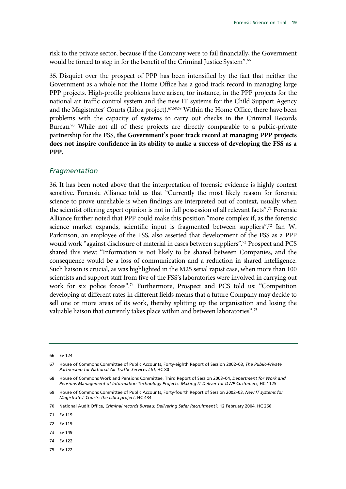risk to the private sector, because if the Company were to fail financially, the Government would be forced to step in for the benefit of the Criminal Justice System".<sup>66</sup>

35. Disquiet over the prospect of PPP has been intensified by the fact that neither the Government as a whole nor the Home Office has a good track record in managing large PPP projects. High-profile problems have arisen, for instance, in the PPP projects for the national air traffic control system and the new IT systems for the Child Support Agency and the Magistrates' Courts (Libra project).<sup>67,68,69</sup> Within the Home Office, there have been problems with the capacity of systems to carry out checks in the Criminal Records Bureau.<sup>70</sup> While not all of these projects are directly comparable to a public-private partnership for the FSS, **the Government's poor track record at managing PPP projects does not inspire confidence in its ability to make a success of developing the FSS as a PPP.**

#### *Fragmentation*

36. It has been noted above that the interpretation of forensic evidence is highly context sensitive. Forensic Alliance told us that "Currently the most likely reason for forensic science to prove unreliable is when findings are interpreted out of context, usually when the scientist offering expert opinion is not in full possession of all relevant facts".71 Forensic Alliance further noted that PPP could make this position "more complex if, as the forensic science market expands, scientific input is fragmented between suppliers".<sup>72</sup> Ian W. Parkinson, an employee of the FSS, also asserted that development of the FSS as a PPP would work "against disclosure of material in cases between suppliers".73 Prospect and PCS shared this view: "Information is not likely to be shared between Companies, and the consequence would be a loss of communication and a reduction in shared intelligence. Such liaison is crucial, as was highlighted in the M25 serial rapist case, when more than 100 scientists and support staff from five of the FSS's laboratories were involved in carrying out work for six police forces".74 Furthermore, Prospect and PCS told us: "Competition developing at different rates in different fields means that a future Company may decide to sell one or more areas of its work, thereby splitting up the organisation and losing the valuable liaison that currently takes place within and between laboratories".<sup>75</sup>

- 73 Ev 149
- 74 Ev 122
- 75 Ev 122

<sup>66</sup> Ev 124

<sup>67</sup> House of Commons Committee of Public Accounts, Forty-eighth Report of Session 2002–03, *The Public-Private Partnership for National Air Traffic Services Ltd*, HC 80

<sup>68</sup> House of Commons Work and Pensions Committee, Third Report of Session 2003–04, *Department for Work and Pensions Management of Information Technology Projects: Making IT Deliver for DWP Customers*, HC 1125

<sup>69</sup> House of Commons Committee of Public Accounts, Forty-fourth Report of Session 2002–03, *New IT systems for Magistrates' Courts: the Libra project*, HC 434

<sup>70</sup> National Audit Office, *Criminal records Bureau: Delivering Safer Recruitment?*, 12 February 2004, HC 266

<sup>71</sup> Ev 119

<sup>72</sup> Ev 119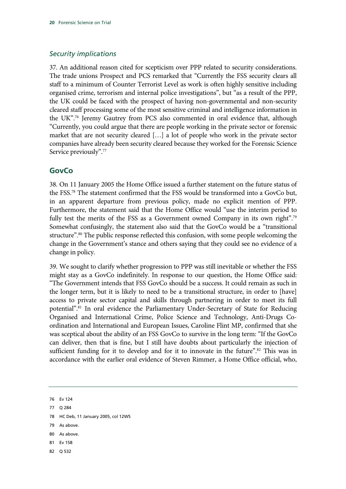## *Security implications*

37. An additional reason cited for scepticism over PPP related to security considerations. The trade unions Prospect and PCS remarked that "Currently the FSS security clears all staff to a minimum of Counter Terrorist Level as work is often highly sensitive including organised crime, terrorism and internal police investigations", but "as a result of the PPP, the UK could be faced with the prospect of having non-governmental and non-security cleared staff processing some of the most sensitive criminal and intelligence information in the UK".76 Jeremy Gautrey from PCS also commented in oral evidence that, although "Currently, you could argue that there are people working in the private sector or forensic market that are not security cleared […] a lot of people who work in the private sector companies have already been security cleared because they worked for the Forensic Science Service previously".77

## **GovCo**

38. On 11 January 2005 the Home Office issued a further statement on the future status of the FSS.78 The statement confirmed that the FSS would be transformed into a GovCo but, in an apparent departure from previous policy, made no explicit mention of PPP. Furthermore, the statement said that the Home Office would "use the interim period to fully test the merits of the FSS as a Government owned Company in its own right".<sup>79</sup> Somewhat confusingly, the statement also said that the GovCo would be a "transitional structure".<sup>80</sup> The public response reflected this confusion, with some people welcoming the change in the Government's stance and others saying that they could see no evidence of a change in policy.

39. We sought to clarify whether progression to PPP was still inevitable or whether the FSS might stay as a GovCo indefinitely. In response to our question, the Home Office said: "The Government intends that FSS GovCo should be a success. It could remain as such in the longer term, but it is likely to need to be a transitional structure, in order to [have] access to private sector capital and skills through partnering in order to meet its full potential".<sup>81</sup> In oral evidence the Parliamentary Under-Secretary of State for Reducing Organised and International Crime, Police Science and Technology, Anti-Drugs Coordination and International and European Issues, Caroline Flint MP, confirmed that she was sceptical about the ability of an FSS GovCo to survive in the long term: "If the GovCo can deliver, then that is fine, but I still have doubts about particularly the injection of sufficient funding for it to develop and for it to innovate in the future".<sup>82</sup> This was in accordance with the earlier oral evidence of Steven Rimmer, a Home Office official, who,

- 77 Q 284
- 78 HC Deb, 11 January 2005, col 12WS
- 79 As above.
- 80 As above.
- 81 Ev 158
- 82 Q 532

<sup>76</sup> Ev 124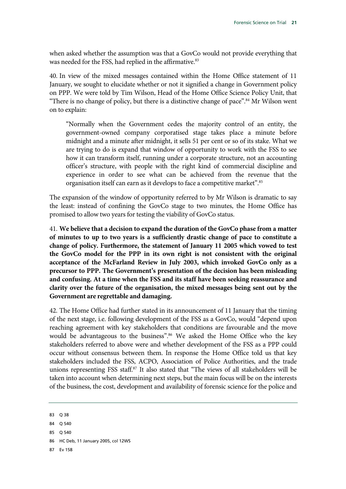when asked whether the assumption was that a GovCo would not provide everything that was needed for the FSS, had replied in the affirmative.<sup>83</sup>

40. In view of the mixed messages contained within the Home Office statement of 11 January, we sought to elucidate whether or not it signified a change in Government policy on PPP. We were told by Tim Wilson, Head of the Home Office Science Policy Unit, that "There is no change of policy, but there is a distinctive change of pace".<sup>84</sup> Mr Wilson went on to explain:

"Normally when the Government cedes the majority control of an entity, the government-owned company corporatised stage takes place a minute before midnight and a minute after midnight, it sells 51 per cent or so of its stake. What we are trying to do is expand that window of opportunity to work with the FSS to see how it can transform itself, running under a corporate structure, not an accounting officer's structure, with people with the right kind of commercial discipline and experience in order to see what can be achieved from the revenue that the organisation itself can earn as it develops to face a competitive market".<sup>85</sup>

The expansion of the window of opportunity referred to by Mr Wilson is dramatic to say the least: instead of confining the GovCo stage to two minutes, the Home Office has promised to allow two years for testing the viability of GovCo status.

41. **We believe that a decision to expand the duration of the GovCo phase from a matter of minutes to up to two years is a sufficiently drastic change of pace to constitute a change of policy. Furthermore, the statement of January 11 2005 which vowed to test the GovCo model for the PPP in its own right is not consistent with the original acceptance of the McFarland Review in July 2003, which invoked GovCo only as a precursor to PPP. The Government's presentation of the decision has been misleading and confusing. At a time when the FSS and its staff have been seeking reassurance and clarity over the future of the organisation, the mixed messages being sent out by the Government are regrettable and damaging.**

42. The Home Office had further stated in its announcement of 11 January that the timing of the next stage, i.e. following development of the FSS as a GovCo, would "depend upon reaching agreement with key stakeholders that conditions are favourable and the move would be advantageous to the business".<sup>86</sup> We asked the Home Office who the key stakeholders referred to above were and whether development of the FSS as a PPP could occur without consensus between them. In response the Home Office told us that key stakeholders included the FSS, ACPO, Association of Police Authorities, and the trade unions representing FSS staff.87 It also stated that "The views of all stakeholders will be taken into account when determining next steps, but the main focus will be on the interests of the business, the cost, development and availability of forensic science for the police and

- 85 Q 540
- 86 HC Deb, 11 January 2005, col 12WS
- 87 Ev 158

<sup>83</sup> Q 38

<sup>84</sup> Q 540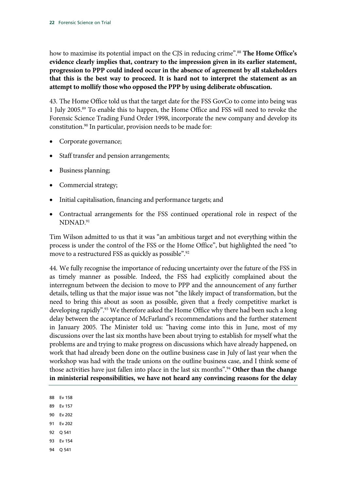how to maximise its potential impact on the CJS in reducing crime".88 **The Home Office's evidence clearly implies that, contrary to the impression given in its earlier statement, progression to PPP could indeed occur in the absence of agreement by all stakeholders that this is the best way to proceed. It is hard not to interpret the statement as an attempt to mollify those who opposed the PPP by using deliberate obfuscation.**

43. The Home Office told us that the target date for the FSS GovCo to come into being was 1 July 2005.89 To enable this to happen, the Home Office and FSS will need to revoke the Forensic Science Trading Fund Order 1998, incorporate the new company and develop its constitution.90 In particular, provision needs to be made for:

- Corporate governance;
- Staff transfer and pension arrangements;
- Business planning;
- Commercial strategy;
- Initial capitalisation, financing and performance targets; and
- Contractual arrangements for the FSS continued operational role in respect of the NDNAD.91

Tim Wilson admitted to us that it was "an ambitious target and not everything within the process is under the control of the FSS or the Home Office", but highlighted the need "to move to a restructured FSS as quickly as possible".<sup>92</sup>

44. We fully recognise the importance of reducing uncertainty over the future of the FSS in as timely manner as possible. Indeed, the FSS had explicitly complained about the interregnum between the decision to move to PPP and the announcement of any further details, telling us that the major issue was not "the likely impact of transformation, but the need to bring this about as soon as possible, given that a freely competitive market is developing rapidly".<sup>93</sup> We therefore asked the Home Office why there had been such a long delay between the acceptance of McFarland's recommendations and the further statement in January 2005. The Minister told us: "having come into this in June, most of my discussions over the last six months have been about trying to establish for myself what the problems are and trying to make progress on discussions which have already happened, on work that had already been done on the outline business case in July of last year when the workshop was had with the trade unions on the outline business case, and I think some of those activities have just fallen into place in the last six months".94 **Other than the change in ministerial responsibilities, we have not heard any convincing reasons for the delay** 

- 88 Ev 158
- 89 Ev 157
- 90 Ev 202
- 91 Ev 202
- 92 Q 541
- 93 Ev 154
- 94 Q 541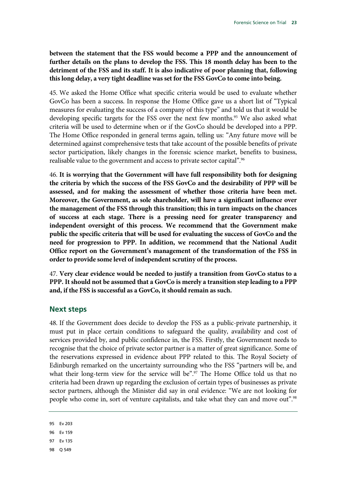**between the statement that the FSS would become a PPP and the announcement of further details on the plans to develop the FSS. This 18 month delay has been to the detriment of the FSS and its staff. It is also indicative of poor planning that, following this long delay, a very tight deadline was set for the FSS GovCo to come into being.**

45. We asked the Home Office what specific criteria would be used to evaluate whether GovCo has been a success. In response the Home Office gave us a short list of "Typical measures for evaluating the success of a company of this type" and told us that it would be developing specific targets for the FSS over the next few months.<sup>95</sup> We also asked what criteria will be used to determine when or if the GovCo should be developed into a PPP. The Home Office responded in general terms again, telling us: "Any future move will be determined against comprehensive tests that take account of the possible benefits of private sector participation, likely changes in the forensic science market, benefits to business, realisable value to the government and access to private sector capital".96

46. **It is worrying that the Government will have full responsibility both for designing the criteria by which the success of the FSS GovCo and the desirability of PPP will be assessed, and for making the assessment of whether those criteria have been met. Moreover, the Government, as sole shareholder, will have a significant influence over the management of the FSS through this transition; this in turn impacts on the chances of success at each stage. There is a pressing need for greater transparency and independent oversight of this process. We recommend that the Government make public the specific criteria that will be used for evaluating the success of GovCo and the need for progression to PPP. In addition, we recommend that the National Audit Office report on the Government's management of the transformation of the FSS in order to provide some level of independent scrutiny of the process.**

47. **Very clear evidence would be needed to justify a transition from GovCo status to a PPP. It should not be assumed that a GovCo is merely a transition step leading to a PPP and, if the FSS is successful as a GovCo, it should remain as such.**

#### **Next steps**

48. If the Government does decide to develop the FSS as a public-private partnership, it must put in place certain conditions to safeguard the quality, availability and cost of services provided by, and public confidence in, the FSS. Firstly, the Government needs to recognise that the choice of private sector partner is a matter of great significance. Some of the reservations expressed in evidence about PPP related to this. The Royal Society of Edinburgh remarked on the uncertainty surrounding who the FSS "partners will be, and what their long-term view for the service will be".<sup>97</sup> The Home Office told us that no criteria had been drawn up regarding the exclusion of certain types of businesses as private sector partners, although the Minister did say in oral evidence: "We are not looking for people who come in, sort of venture capitalists, and take what they can and move out".<sup>98</sup>

- 97 Ev 135
- 98 Q 549

<sup>95</sup> Ev 203

<sup>96</sup> Ev 159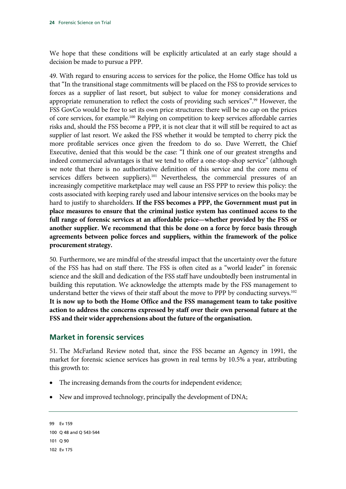We hope that these conditions will be explicitly articulated at an early stage should a decision be made to pursue a PPP.

49. With regard to ensuring access to services for the police, the Home Office has told us that "In the transitional stage commitments will be placed on the FSS to provide services to forces as a supplier of last resort, but subject to value for money considerations and appropriate remuneration to reflect the costs of providing such services".<sup>99</sup> However, the FSS GovCo would be free to set its own price structures: there will be no cap on the prices of core services, for example.100 Relying on competition to keep services affordable carries risks and, should the FSS become a PPP, it is not clear that it will still be required to act as supplier of last resort. We asked the FSS whether it would be tempted to cherry pick the more profitable services once given the freedom to do so. Dave Werrett, the Chief Executive, denied that this would be the case: "I think one of our greatest strengths and indeed commercial advantages is that we tend to offer a one-stop-shop service" (although we note that there is no authoritative definition of this service and the core menu of services differs between suppliers).<sup>101</sup> Nevertheless, the commercial pressures of an increasingly competitive marketplace may well cause an FSS PPP to review this policy: the costs associated with keeping rarely used and labour intensive services on the books may be hard to justify to shareholders. **If the FSS becomes a PPP, the Government must put in place measures to ensure that the criminal justice system has continued access to the full range of forensic services at an affordable price—whether provided by the FSS or another supplier. We recommend that this be done on a force by force basis through agreements between police forces and suppliers, within the framework of the police procurement strategy.**

50. Furthermore, we are mindful of the stressful impact that the uncertainty over the future of the FSS has had on staff there. The FSS is often cited as a "world leader" in forensic science and the skill and dedication of the FSS staff have undoubtedly been instrumental in building this reputation. We acknowledge the attempts made by the FSS management to understand better the views of their staff about the move to PPP by conducting surveys.<sup>102</sup> **It is now up to both the Home Office and the FSS management team to take positive action to address the concerns expressed by staff over their own personal future at the FSS and their wider apprehensions about the future of the organisation.**

# **Market in forensic services**

51. The McFarland Review noted that, since the FSS became an Agency in 1991, the market for forensic science services has grown in real terms by 10.5% a year, attributing this growth to:

- The increasing demands from the courts for independent evidence;
- New and improved technology, principally the development of DNA;

```
99 Ev 159 
100 Q 48 and Q 543-544 
101 Q 90 
102 Ev 175
```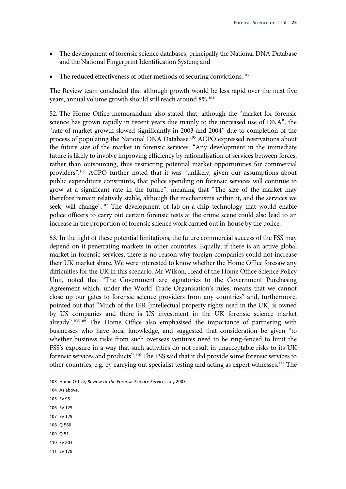- The development of forensic science databases, principally the National DNA Database and the National Fingerprint Identification System; and
- The reduced effectiveness of other methods of securing convictions.<sup>103</sup>

The Review team concluded that although growth would be less rapid over the next five years, annual volume growth should still reach around 8%.104

52. The Home Office memorandum also stated that, although the "market for forensic science has grown rapidly in recent years due mainly to the increased use of DNA", the "rate of market growth slowed significantly in 2003 and 2004" due to completion of the process of populating the National DNA Database.105 ACPO expressed reservations about the future size of the market in forensic services: "Any development in the immediate future is likely to involve improving efficiency by rationalisation of services between forces, rather than outsourcing, thus restricting potential market opportunities for commercial providers".106 ACPO further noted that it was "unlikely, given our assumptions about public expenditure constraints, that police spending on forensic services will continue to grow at a significant rate in the future", meaning that "The size of the market may therefore remain relatively stable, although the mechanisms within it, and the services we seek, will change".107 The development of lab-on-a-chip technology that would enable police officers to carry out certain forensic tests at the crime scene could also lead to an increase in the proportion of forensic science work carried out in-house by the police.

53. In the light of these potential limitations, the future commercial success of the FSS may depend on it penetrating markets in other countries. Equally, if there is an active global market in forensic services, there is no reason why foreign companies could not increase their UK market share. We were interested to know whether the Home Office foresaw any difficulties for the UK in this scenario. Mr Wilson, Head of the Home Office Science Policy Unit, noted that "The Government are signatories to the Government Purchasing Agreement which, under the World Trade Organisation's rules, means that we cannot close up our gates to forensic science providers from any countries" and, furthermore, pointed out that "Much of the IPR [intellectual property rights used in the UK] is owned by US companies and there is US investment in the UK forensic science market already".108,109 The Home Office also emphasised the importance of partnering with businesses who have local knowledge, and suggested that consideration be given "to whether business risks from such overseas ventures need to be ring-fenced to limit the FSS's exposure in a way that such activities do not result in unacceptable risks to its UK forensic services and products".<sup>110</sup> The FSS said that it did provide some forensic services to other countries, e.g. by carrying out specialist testing and acting as expert witnesses.111 The

- 103 Home Office, *Review of the Forensic Science Service*, July 2003
- 104 As above.
- 105 Ev 95
- 106 Ev 129
- 107 Ev 129
- 108 Q 560
- 109 Q 51 110 Ev 203
- 
- 111 Ev 178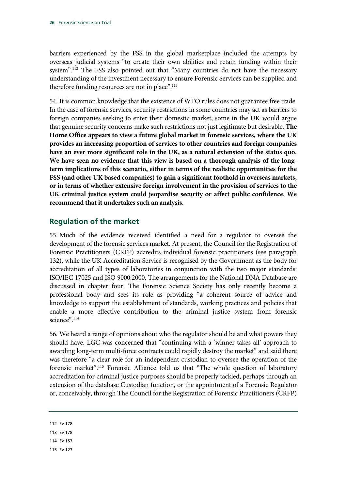barriers experienced by the FSS in the global marketplace included the attempts by overseas judicial systems "to create their own abilities and retain funding within their system".<sup>112</sup> The FSS also pointed out that "Many countries do not have the necessary understanding of the investment necessary to ensure Forensic Services can be supplied and therefore funding resources are not in place".<sup>113</sup>

54. It is common knowledge that the existence of WTO rules does not guarantee free trade. In the case of forensic services, security restrictions in some countries may act as barriers to foreign companies seeking to enter their domestic market; some in the UK would argue that genuine security concerns make such restrictions not just legitimate but desirable. **The Home Office appears to view a future global market in forensic services, where the UK provides an increasing proportion of services to other countries and foreign companies have an ever more significant role in the UK, as a natural extension of the status quo. We have seen no evidence that this view is based on a thorough analysis of the longterm implications of this scenario, either in terms of the realistic opportunities for the FSS (and other UK based companies) to gain a significant foothold in overseas markets, or in terms of whether extensive foreign involvement in the provision of services to the UK criminal justice system could jeopardise security or affect public confidence. We recommend that it undertakes such an analysis.**

# **Regulation of the market**

55. Much of the evidence received identified a need for a regulator to oversee the development of the forensic services market. At present, the Council for the Registration of Forensic Practitioners (CRFP) accredits individual forensic practitioners (see paragraph 132), while the UK Accreditation Service is recognised by the Government as the body for accreditation of all types of laboratories in conjunction with the two major standards: ISO/IEC 17025 and ISO 9000:2000. The arrangements for the National DNA Database are discussed in chapter four. The Forensic Science Society has only recently become a professional body and sees its role as providing "a coherent source of advice and knowledge to support the establishment of standards, working practices and policies that enable a more effective contribution to the criminal justice system from forensic science".<sup>114</sup>

56. We heard a range of opinions about who the regulator should be and what powers they should have. LGC was concerned that "continuing with a 'winner takes all' approach to awarding long-term multi-force contracts could rapidly destroy the market" and said there was therefore "a clear role for an independent custodian to oversee the operation of the forensic market".115 Forensic Alliance told us that "The whole question of laboratory accreditation for criminal justice purposes should be properly tackled, perhaps through an extension of the database Custodian function, or the appointment of a Forensic Regulator or, conceivably, through The Council for the Registration of Forensic Practitioners (CRFP)

```
115 Ev 127
```
<sup>112</sup> Ev 178

<sup>113</sup> Ev 178

<sup>114</sup> Ev 157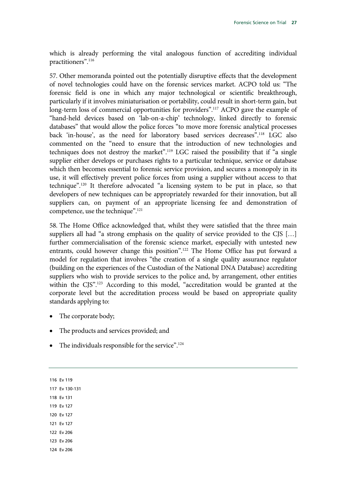which is already performing the vital analogous function of accrediting individual practitioners".116

57. Other memoranda pointed out the potentially disruptive effects that the development of novel technologies could have on the forensic services market. ACPO told us: "The forensic field is one in which any major technological or scientific breakthrough, particularly if it involves miniaturisation or portability, could result in short-term gain, but long-term loss of commercial opportunities for providers".117 ACPO gave the example of "hand-held devices based on 'lab-on-a-chip' technology, linked directly to forensic databases" that would allow the police forces "to move more forensic analytical processes back 'in-house', as the need for laboratory based services decreases".118 LGC also commented on the "need to ensure that the introduction of new technologies and techniques does not destroy the market".119 LGC raised the possibility that if "a single supplier either develops or purchases rights to a particular technique, service or database which then becomes essential to forensic service provision, and secures a monopoly in its use, it will effectively prevent police forces from using a supplier without access to that technique".120 It therefore advocated "a licensing system to be put in place, so that developers of new techniques can be appropriately rewarded for their innovation, but all suppliers can, on payment of an appropriate licensing fee and demonstration of competence, use the technique".121

58. The Home Office acknowledged that, whilst they were satisfied that the three main suppliers all had "a strong emphasis on the quality of service provided to the CJS […] further commercialisation of the forensic science market, especially with untested new entrants, could however change this position".122 The Home Office has put forward a model for regulation that involves "the creation of a single quality assurance regulator (building on the experiences of the Custodian of the National DNA Database) accrediting suppliers who wish to provide services to the police and, by arrangement, other entities within the CJS".<sup>123</sup> According to this model, "accreditation would be granted at the corporate level but the accreditation process would be based on appropriate quality standards applying to:

- The corporate body;
- The products and services provided; and
- The individuals responsible for the service".<sup>124</sup>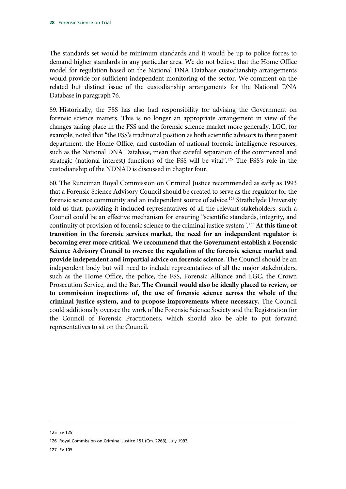The standards set would be minimum standards and it would be up to police forces to demand higher standards in any particular area. We do not believe that the Home Office model for regulation based on the National DNA Database custodianship arrangements would provide for sufficient independent monitoring of the sector. We comment on the related but distinct issue of the custodianship arrangements for the National DNA Database in paragraph 76.

59. Historically, the FSS has also had responsibility for advising the Government on forensic science matters. This is no longer an appropriate arrangement in view of the changes taking place in the FSS and the forensic science market more generally. LGC, for example, noted that "the FSS's traditional position as both scientific advisors to their parent department, the Home Office, and custodian of national forensic intelligence resources, such as the National DNA Database, mean that careful separation of the commercial and strategic (national interest) functions of the FSS will be vital".125 The FSS's role in the custodianship of the NDNAD is discussed in chapter four.

60. The Runciman Royal Commission on Criminal Justice recommended as early as 1993 that a Forensic Science Advisory Council should be created to serve as the regulator for the forensic science community and an independent source of advice.<sup>126</sup> Strathclyde University told us that, providing it included representatives of all the relevant stakeholders, such a Council could be an effective mechanism for ensuring "scientific standards, integrity, and continuity of provision of forensic science to the criminal justice system".127 **At this time of transition in the forensic services market, the need for an independent regulator is becoming ever more critical. We recommend that the Government establish a Forensic Science Advisory Council to oversee the regulation of the forensic science market and provide independent and impartial advice on forensic science.** The Council should be an independent body but will need to include representatives of all the major stakeholders, such as the Home Office, the police, the FSS, Forensic Alliance and LGC, the Crown Prosecution Service, and the Bar. **The Council would also be ideally placed to review, or to commission inspections of, the use of forensic science across the whole of the criminal justice system, and to propose improvements where necessary.** The Council could additionally oversee the work of the Forensic Science Society and the Registration for the Council of Forensic Practitioners, which should also be able to put forward representatives to sit on the Council.

<sup>125</sup> Ev 125

<sup>126</sup> Royal Commission on Criminal Justice 151 (Cm. 2263), July 1993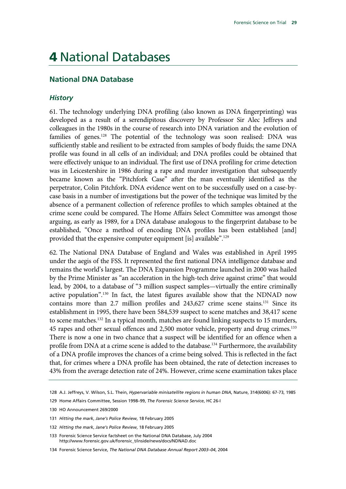# 4 National Databases

## **National DNA Database**

#### *History*

61. The technology underlying DNA profiling (also known as DNA fingerprinting) was developed as a result of a serendipitous discovery by Professor Sir Alec Jeffreys and colleagues in the 1980s in the course of research into DNA variation and the evolution of families of genes.<sup>128</sup> The potential of the technology was soon realised: DNA was sufficiently stable and resilient to be extracted from samples of body fluids; the same DNA profile was found in all cells of an individual; and DNA profiles could be obtained that were effectively unique to an individual. The first use of DNA profiling for crime detection was in Leicestershire in 1986 during a rape and murder investigation that subsequently became known as the "Pitchfork Case" after the man eventually identified as the perpetrator, Colin Pitchfork. DNA evidence went on to be successfully used on a case-bycase basis in a number of investigations but the power of the technique was limited by the absence of a permanent collection of reference profiles to which samples obtained at the crime scene could be compared. The Home Affairs Select Committee was amongst those arguing, as early as 1989, for a DNA database analogous to the fingerprint database to be established, "Once a method of encoding DNA profiles has been established [and] provided that the expensive computer equipment [is] available".<sup>129</sup>

62. The National DNA Database of England and Wales was established in April 1995 under the aegis of the FSS. It represented the first national DNA intelligence database and remains the world's largest. The DNA Expansion Programme launched in 2000 was hailed by the Prime Minister as "an acceleration in the high-tech drive against crime" that would lead, by 2004, to a database of "3 million suspect samples—virtually the entire criminally active population".130 In fact, the latest figures available show that the NDNAD now contains more than 2.7 million profiles and 243,627 crime scene stains.<sup>131</sup> Since its establishment in 1995, there have been 584,539 suspect to scene matches and 38,417 scene to scene matches.132 In a typical month, matches are found linking suspects to 15 murders, 45 rapes and other sexual offences and 2,500 motor vehicle, property and drug crimes.<sup>133</sup> There is now a one in two chance that a suspect will be identified for an offence when a profile from DNA at a crime scene is added to the database.<sup>134</sup> Furthermore, the availability of a DNA profile improves the chances of a crime being solved. This is reflected in the fact that, for crimes where a DNA profile has been obtained, the rate of detection increases to 43% from the average detection rate of 24%. However, crime scene examination takes place

130 HO Announcement 269/2000

<sup>128</sup> A.J. Jeffreys, V. Wilson, S.L. Thein, *Hypervariable minisatellite regions in human DNA*, Nature, 314(6006): 67-73, 1985

<sup>129</sup> Home Affairs Committee, Session 1998–99, *The Forensic Science Service*, HC 26-I

<sup>131</sup> *Hitting the mark*, *Jane's Police Review*, 18 February 2005

<sup>132</sup> *Hitting the mark*, *Jane's Police Review*, 18 February 2005

<sup>133</sup> Forensic Science Service factsheet on the National DNA Database, July 2004 http://www.forensic.gov.uk/forensic\_t/inside/news/docs/NDNAD.doc

<sup>134</sup> Forensic Science Service, *The National DNA Database Annual Report 2003–04*, 2004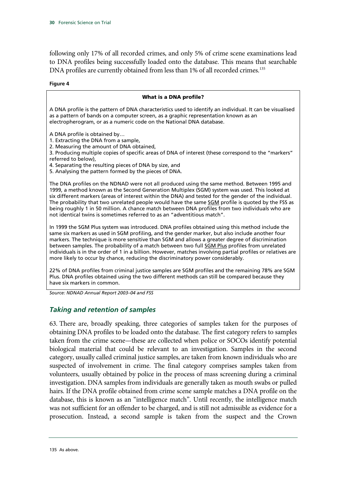following only 17% of all recorded crimes, and only 5% of crime scene examinations lead to DNA profiles being successfully loaded onto the database. This means that searchable DNA profiles are currently obtained from less than 1% of all recorded crimes.<sup>135</sup>

#### **Figure 4**

#### What is a DNA profile? A DNA profile is the pattern of DNA characteristics used to identify an individual. It can be visualised as a pattern of bands on a computer screen, as a graphic representation known as an electropherogram, or as a numeric code on the National DNA database. A DNA profile is obtained by… 1. Extracting the DNA from a sample, 2. Measuring the amount of DNA obtained, 3. Producing multiple copies of specific areas of DNA of interest (these correspond to the "markers" referred to below), 4. Separating the resulting pieces of DNA by size, and 5. Analysing the pattern formed by the pieces of DNA. The DNA profiles on the NDNAD were not all produced using the same method. Between 1995 and 1999, a method known as the Second Generation Multiplex (SGM) system was used. This looked at six different markers (areas of interest within the DNA) and tested for the gender of the individual. The probability that two unrelated people would have the same **SGM** profile is quoted by the FSS as being roughly 1 in 50 million. A chance match between DNA profiles from two individuals who are not identical twins is sometimes referred to as an "adventitious match". In 1999 the SGM Plus system was introduced. DNA profiles obtained using this method include the same six markers as used in SGM profiling, and the gender marker, but also include another four markers. The technique is more sensitive than SGM and allows a greater degree of discrimination between samples. The probability of a match between two full SGM Plus profiles from unrelated individuals is in the order of 1 in a billion. However, matches involving partial profiles or relatives are more likely to occur by chance, reducing the discriminatory power considerably. 22% of DNA profiles from criminal justice samples are SGM profiles and the remaining 78% are SGM Plus. DNA profiles obtained using the two different methods can still be compared because they have six markers in common.

*Source: NDNAD Annual Report 2003–04 and FSS* 

## *Taking and retention of samples*

63. There are, broadly speaking, three categories of samples taken for the purposes of obtaining DNA profiles to be loaded onto the database. The first category refers to samples taken from the crime scene—these are collected when police or SOCOs identify potential biological material that could be relevant to an investigation. Samples in the second category, usually called criminal justice samples, are taken from known individuals who are suspected of involvement in crime. The final category comprises samples taken from volunteers, usually obtained by police in the process of mass screening during a criminal investigation. DNA samples from individuals are generally taken as mouth swabs or pulled hairs. If the DNA profile obtained from crime scene sample matches a DNA profile on the database, this is known as an "intelligence match". Until recently, the intelligence match was not sufficient for an offender to be charged, and is still not admissible as evidence for a prosecution. Instead, a second sample is taken from the suspect and the Crown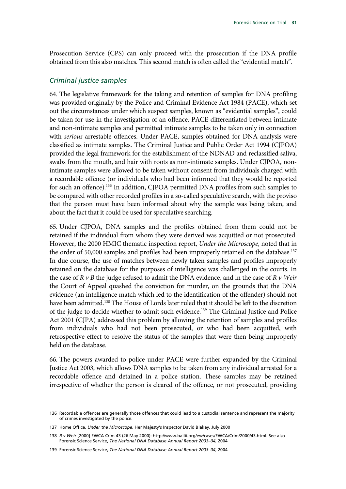Prosecution Service (CPS) can only proceed with the prosecution if the DNA profile obtained from this also matches. This second match is often called the "evidential match".

### *Criminal justice samples*

64. The legislative framework for the taking and retention of samples for DNA profiling was provided originally by the Police and Criminal Evidence Act 1984 (PACE), which set out the circumstances under which suspect samples, known as "evidential samples", could be taken for use in the investigation of an offence. PACE differentiated between intimate and non-intimate samples and permitted intimate samples to be taken only in connection with *serious* arrestable offences. Under PACE, samples obtained for DNA analysis were classified as intimate samples. The Criminal Justice and Public Order Act 1994 (CJPOA) provided the legal framework for the establishment of the NDNAD and reclassified saliva, swabs from the mouth, and hair with roots as non-intimate samples. Under CJPOA, nonintimate samples were allowed to be taken without consent from individuals charged with a recordable offence (or individuals who had been informed that they would be reported for such an offence).<sup>136</sup> In addition, CJPOA permitted DNA profiles from such samples to be compared with other recorded profiles in a so-called speculative search, with the proviso that the person must have been informed about why the sample was being taken, and about the fact that it could be used for speculative searching.

65. Under CJPOA, DNA samples and the profiles obtained from them could not be retained if the individual from whom they were derived was acquitted or not prosecuted. However, the 2000 HMIC thematic inspection report, *Under the Microscope*, noted that in the order of 50,000 samples and profiles had been improperly retained on the database.<sup>137</sup> In due course, the use of matches between newly taken samples and profiles improperly retained on the database for the purposes of intelligence was challenged in the courts. In the case of *R v B* the judge refused to admit the DNA evidence, and in the case of *R v Weir* the Court of Appeal quashed the conviction for murder, on the grounds that the DNA evidence (an intelligence match which led to the identification of the offender) should not have been admitted.<sup>138</sup> The House of Lords later ruled that it should be left to the discretion of the judge to decide whether to admit such evidence.<sup>139</sup> The Criminal Justice and Police Act 2001 (CJPA) addressed this problem by allowing the retention of samples and profiles from individuals who had not been prosecuted, or who had been acquitted, with retrospective effect to resolve the status of the samples that were then being improperly held on the database.

66. The powers awarded to police under PACE were further expanded by the Criminal Justice Act 2003, which allows DNA samples to be taken from any individual arrested for a recordable offence and detained in a police station. These samples may be retained irrespective of whether the person is cleared of the offence, or not prosecuted, providing

<sup>136</sup> Recordable offences are generally those offences that could lead to a custodial sentence and represent the majority of crimes investigated by the police.

<sup>137</sup> Home Office, *Under the Microscope*, Her Majesty's Inspector David Blakey, July 2000

<sup>138</sup> *R v Weir* [2000] EWCA Crim 43 (26 May 2000): http://www.bailii.org/ew/cases/EWCA/Crim/2000/43.html. See also Forensic Science Service, *The National DNA Database Annual Report 2003–04*, 2004

<sup>139</sup> Forensic Science Service, *The National DNA Database Annual Report 2003–04*, 2004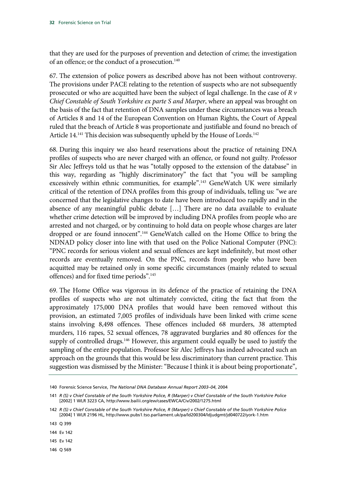that they are used for the purposes of prevention and detection of crime; the investigation of an offence; or the conduct of a prosecution.<sup>140</sup>

67. The extension of police powers as described above has not been without controversy. The provisions under PACE relating to the retention of suspects who are not subsequently prosecuted or who are acquitted have been the subject of legal challenge. In the case of *R v Chief Constable of South Yorkshire ex parte S and Marper*, where an appeal was brought on the basis of the fact that retention of DNA samples under these circumstances was a breach of Articles 8 and 14 of the European Convention on Human Rights, the Court of Appeal ruled that the breach of Article 8 was proportionate and justifiable and found no breach of Article 14.<sup>141</sup> This decision was subsequently upheld by the House of Lords.<sup>142</sup>

68. During this inquiry we also heard reservations about the practice of retaining DNA profiles of suspects who are never charged with an offence, or found not guilty. Professor Sir Alec Jeffreys told us that he was "totally opposed to the extension of the database" in this way, regarding as "highly discriminatory" the fact that "you will be sampling excessively within ethnic communities, for example".<sup>143</sup> GeneWatch UK were similarly critical of the retention of DNA profiles from this group of individuals, telling us: "we are concerned that the legislative changes to date have been introduced too rapidly and in the absence of any meaningful public debate […] There are no data available to evaluate whether crime detection will be improved by including DNA profiles from people who are arrested and not charged, or by continuing to hold data on people whose charges are later dropped or are found innocent".144 GeneWatch called on the Home Office to bring the NDNAD policy closer into line with that used on the Police National Computer (PNC): "PNC records for serious violent and sexual offences are kept indefinitely, but most other records are eventually removed. On the PNC, records from people who have been acquitted may be retained only in some specific circumstances (mainly related to sexual offences) and for fixed time periods".145

69. The Home Office was vigorous in its defence of the practice of retaining the DNA profiles of suspects who are not ultimately convicted, citing the fact that from the approximately 175,000 DNA profiles that would have been removed without this provision, an estimated 7,005 profiles of individuals have been linked with crime scene stains involving 8,498 offences. These offences included 68 murders, 38 attempted murders, 116 rapes, 52 sexual offences, 78 aggravated burglaries and 80 offences for the supply of controlled drugs.<sup>146</sup> However, this argument could equally be used to justify the sampling of the entire population. Professor Sir Alec Jeffreys has indeed advocated such an approach on the grounds that this would be less discriminatory than current practice. This suggestion was dismissed by the Minister: "Because I think it is about being proportionate",

143 Q 399

144 Ev 142

145 Ev 142

146 Q 569

<sup>140</sup> Forensic Science Service, *The National DNA Database Annual Report 2003–04*, 2004

<sup>141</sup> *R (S) v Chief Constable of the South Yorkshire Police, R (Marper) v Chief Constable of the South Yorkshire Police*  [2002] 1 WLR 3223 CA, http://www.bailii.org/ew/cases/EWCA/Civ/2002/1275.html

<sup>142</sup> *R (S) v Chief Constable of the South Yorkshire Police, R (Marper) v Chief Constable of the South Yorkshire Police*  [2004] 1 WLR 2196 HL, http://www.pubs1.tso.parliament.uk/pa/ld200304/ldjudgmt/jd040722/york-1.htm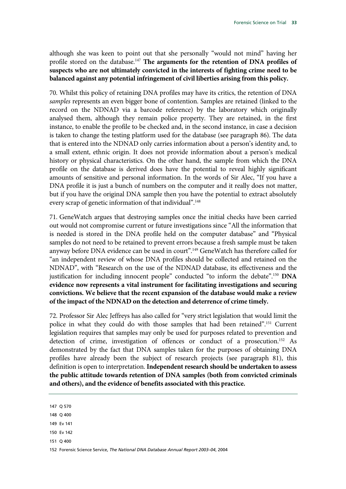although she was keen to point out that she personally "would not mind" having her profile stored on the database.<sup>147</sup> The arguments for the retention of DNA profiles of **suspects who are not ultimately convicted in the interests of fighting crime need to be balanced against any potential infringement of civil liberties arising from this policy.**

70. Whilst this policy of retaining DNA profiles may have its critics, the retention of DNA *samples* represents an even bigger bone of contention. Samples are retained (linked to the record on the NDNAD via a barcode reference) by the laboratory which originally analysed them, although they remain police property. They are retained, in the first instance, to enable the profile to be checked and, in the second instance, in case a decision is taken to change the testing platform used for the database (see paragraph 86). The data that is entered into the NDNAD only carries information about a person's identity and, to a small extent, ethnic origin. It does not provide information about a person's medical history or physical characteristics. On the other hand, the sample from which the DNA profile on the database is derived does have the potential to reveal highly significant amounts of sensitive and personal information. In the words of Sir Alec, "If you have a DNA profile it is just a bunch of numbers on the computer and it really does not matter, but if you have the original DNA sample then you have the potential to extract absolutely every scrap of genetic information of that individual".<sup>148</sup>

71. GeneWatch argues that destroying samples once the initial checks have been carried out would not compromise current or future investigations since "All the information that is needed is stored in the DNA profile held on the computer database" and "Physical samples do not need to be retained to prevent errors because a fresh sample must be taken anyway before DNA evidence can be used in court".<sup>149</sup> GeneWatch has therefore called for "an independent review of whose DNA profiles should be collected and retained on the NDNAD", with "Research on the use of the NDNAD database, its effectiveness and the justification for including innocent people" conducted "to inform the debate".150 **DNA evidence now represents a vital instrument for facilitating investigations and securing convictions. We believe that the recent expansion of the database would make a review of the impact of the NDNAD on the detection and deterrence of crime timely.** 

72. Professor Sir Alec Jeffreys has also called for "very strict legislation that would limit the police in what they could do with those samples that had been retained".151 Current legislation requires that samples may only be used for purposes related to prevention and detection of crime, investigation of offences or conduct of a prosecution.152 As demonstrated by the fact that DNA samples taken for the purposes of obtaining DNA profiles have already been the subject of research projects (see paragraph 81), this definition is open to interpretation. **Independent research should be undertaken to assess the public attitude towards retention of DNA samples (both from convicted criminals and others), and the evidence of benefits associated with this practice.**

- 148 Q 400
- 149 Ev 141
- 150 Ev 142
- 151 Q 400

152 Forensic Science Service, *The National DNA Database Annual Report 2003–04*, 2004

<sup>147</sup> Q 570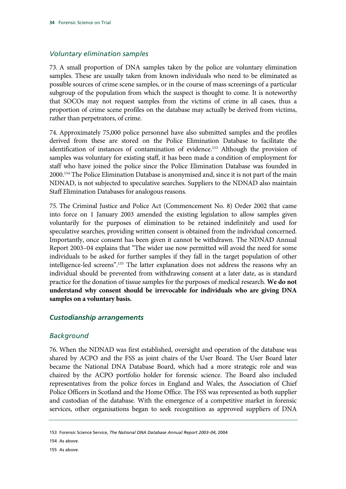## *Voluntary elimination samples*

73. A small proportion of DNA samples taken by the police are voluntary elimination samples. These are usually taken from known individuals who need to be eliminated as possible sources of crime scene samples, or in the course of mass screenings of a particular subgroup of the population from which the suspect is thought to come. It is noteworthy that SOCOs may not request samples from the victims of crime in all cases, thus a proportion of crime scene profiles on the database may actually be derived from victims, rather than perpetrators, of crime.

74. Approximately 75,000 police personnel have also submitted samples and the profiles derived from these are stored on the Police Elimination Database to facilitate the identification of instances of contamination of evidence.153 Although the provision of samples was voluntary for existing staff, it has been made a condition of employment for staff who have joined the police since the Police Elimination Database was founded in 2000.154 The Police Elimination Database is anonymised and, since it is not part of the main NDNAD, is not subjected to speculative searches. Suppliers to the NDNAD also maintain Staff Elimination Databases for analogous reasons.

75. The Criminal Justice and Police Act (Commencement No. 8) Order 2002 that came into force on 1 January 2003 amended the existing legislation to allow samples given voluntarily for the purposes of elimination to be retained indefinitely and used for speculative searches, providing written consent is obtained from the individual concerned. Importantly, once consent has been given it cannot be withdrawn. The NDNAD Annual Report 2003–04 explains that "The wider use now permitted will avoid the need for some individuals to be asked for further samples if they fall in the target population of other intelligence-led screens".155 The latter explanation does not address the reasons why an individual should be prevented from withdrawing consent at a later date, as is standard practice for the donation of tissue samples for the purposes of medical research. **We do not understand why consent should be irrevocable for individuals who are giving DNA samples on a voluntary basis.**

## *Custodianship arrangements*

## *Background*

76. When the NDNAD was first established, oversight and operation of the database was shared by ACPO and the FSS as joint chairs of the User Board. The User Board later became the National DNA Database Board, which had a more strategic role and was chaired by the ACPO portfolio holder for forensic science. The Board also included representatives from the police forces in England and Wales, the Association of Chief Police Officers in Scotland and the Home Office. The FSS was represented as both supplier and custodian of the database. With the emergence of a competitive market in forensic services, other organisations began to seek recognition as approved suppliers of DNA

<sup>153</sup> Forensic Science Service, *The National DNA Database Annual Report 2003–04*, 2004

<sup>154</sup> As above.

<sup>155</sup> As above.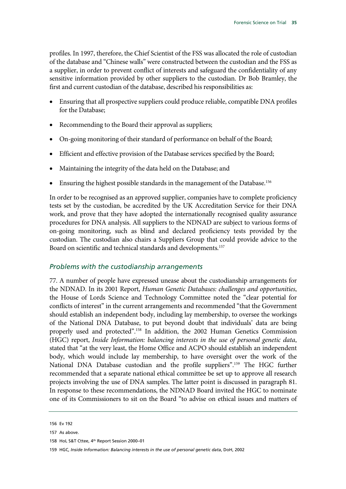profiles. In 1997, therefore, the Chief Scientist of the FSS was allocated the role of custodian of the database and "Chinese walls" were constructed between the custodian and the FSS as a supplier, in order to prevent conflict of interests and safeguard the confidentiality of any sensitive information provided by other suppliers to the custodian. Dr Bob Bramley, the first and current custodian of the database, described his responsibilities as:

- Ensuring that all prospective suppliers could produce reliable, compatible DNA profiles for the Database;
- Recommending to the Board their approval as suppliers;
- On-going monitoring of their standard of performance on behalf of the Board;
- Efficient and effective provision of the Database services specified by the Board;
- Maintaining the integrity of the data held on the Database; and
- Ensuring the highest possible standards in the management of the Database.156

In order to be recognised as an approved supplier, companies have to complete proficiency tests set by the custodian, be accredited by the UK Accreditation Service for their DNA work, and prove that they have adopted the internationally recognised quality assurance procedures for DNA analysis. All suppliers to the NDNAD are subject to various forms of on-going monitoring, such as blind and declared proficiency tests provided by the custodian. The custodian also chairs a Suppliers Group that could provide advice to the Board on scientific and technical standards and developments.157

## *Problems with the custodianship arrangements*

77. A number of people have expressed unease about the custodianship arrangements for the NDNAD. In its 2001 Report, *Human Genetic Databases: challenges and opportunities*, the House of Lords Science and Technology Committee noted the "clear potential for conflicts of interest" in the current arrangements and recommended "that the Government should establish an independent body, including lay membership, to oversee the workings of the National DNA Database, to put beyond doubt that individuals' data are being properly used and protected".158 In addition, the 2002 Human Genetics Commission (HGC) report, *Inside Information: balancing interests in the use of personal genetic data*, stated that "at the very least, the Home Office and ACPO should establish an independent body, which would include lay membership, to have oversight over the work of the National DNA Database custodian and the profile suppliers".159 The HGC further recommended that a separate national ethical committee be set up to approve all research projects involving the use of DNA samples. The latter point is discussed in paragraph 81. In response to these recommendations, the NDNAD Board invited the HGC to nominate one of its Commissioners to sit on the Board "to advise on ethical issues and matters of

<sup>156</sup> Ev 192

<sup>157</sup> As above.

<sup>158</sup> HoL S&T Cttee, 4th Report Session 2000–01

<sup>159</sup> HGC, *Inside Information: Balancing interests in the use of personal genetic data*, DoH, 2002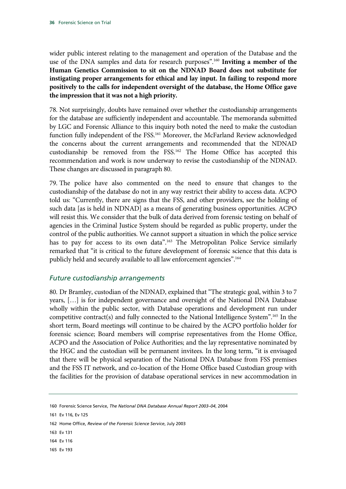wider public interest relating to the management and operation of the Database and the use of the DNA samples and data for research purposes".160 **Inviting a member of the Human Genetics Commission to sit on the NDNAD Board does not substitute for instigating proper arrangements for ethical and lay input. In failing to respond more positively to the calls for independent oversight of the database, the Home Office gave the impression that it was not a high priority.**

78. Not surprisingly, doubts have remained over whether the custodianship arrangements for the database are sufficiently independent and accountable. The memoranda submitted by LGC and Forensic Alliance to this inquiry both noted the need to make the custodian function fully independent of the FSS.<sup>161</sup> Moreover, the McFarland Review acknowledged the concerns about the current arrangements and recommended that the NDNAD custodianship be removed from the FSS.162 The Home Office has accepted this recommendation and work is now underway to revise the custodianship of the NDNAD. These changes are discussed in paragraph 80.

79. The police have also commented on the need to ensure that changes to the custodianship of the database do not in any way restrict their ability to access data. ACPO told us: "Currently, there are signs that the FSS, and other providers, see the holding of such data [as is held in NDNAD] as a means of generating business opportunities. ACPO will resist this. We consider that the bulk of data derived from forensic testing on behalf of agencies in the Criminal Justice System should be regarded as public property, under the control of the public authorities. We cannot support a situation in which the police service has to pay for access to its own data".<sup>163</sup> The Metropolitan Police Service similarly remarked that "it is critical to the future development of forensic science that this data is publicly held and securely available to all law enforcement agencies".<sup>164</sup>

## *Future custodianship arrangements*

80. Dr Bramley, custodian of the NDNAD, explained that "The strategic goal, within 3 to 7 years, […] is for independent governance and oversight of the National DNA Database wholly within the public sector, with Database operations and development run under competitive contract(s) and fully connected to the National Intelligence System".165 In the short term, Board meetings will continue to be chaired by the ACPO portfolio holder for forensic science; Board members will comprise representatives from the Home Office, ACPO and the Association of Police Authorities; and the lay representative nominated by the HGC and the custodian will be permanent invitees. In the long term, "it is envisaged that there will be physical separation of the National DNA Database from FSS premises and the FSS IT network, and co-location of the Home Office based Custodian group with the facilities for the provision of database operational services in new accommodation in

- 163 Ev 131
- 164 Ev 116
- 165 Ev 193

<sup>160</sup> Forensic Science Service, *The National DNA Database Annual Report 2003–04*, 2004

<sup>161</sup> Ev 116, Ev 125

<sup>162</sup> Home Office, *Review of the Forensic Science Service*, July 2003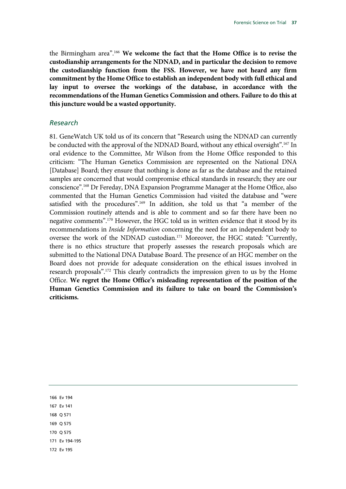the Birmingham area".166 **We welcome the fact that the Home Office is to revise the custodianship arrangements for the NDNAD, and in particular the decision to remove the custodianship function from the FSS. However, we have not heard any firm commitment by the Home Office to establish an independent body with full ethical and lay input to oversee the workings of the database, in accordance with the recommendations of the Human Genetics Commission and others. Failure to do this at this juncture would be a wasted opportunity.**

#### *Research*

81. GeneWatch UK told us of its concern that "Research using the NDNAD can currently be conducted with the approval of the NDNAD Board, without any ethical oversight".<sup>167</sup> In oral evidence to the Committee, Mr Wilson from the Home Office responded to this criticism: "The Human Genetics Commission are represented on the National DNA [Database] Board; they ensure that nothing is done as far as the database and the retained samples are concerned that would compromise ethical standards in research; they are our conscience".168 Dr Fereday, DNA Expansion Programme Manager at the Home Office, also commented that the Human Genetics Commission had visited the database and "were satisfied with the procedures".169 In addition, she told us that "a member of the Commission routinely attends and is able to comment and so far there have been no negative comments".170 However, the HGC told us in written evidence that it stood by its recommendations in *Inside Information* concerning the need for an independent body to oversee the work of the NDNAD custodian.171 Moreover, the HGC stated: "Currently, there is no ethics structure that properly assesses the research proposals which are submitted to the National DNA Database Board. The presence of an HGC member on the Board does not provide for adequate consideration on the ethical issues involved in research proposals".172 This clearly contradicts the impression given to us by the Home Office. **We regret the Home Office's misleading representation of the position of the Human Genetics Commission and its failure to take on board the Commission's criticisms.**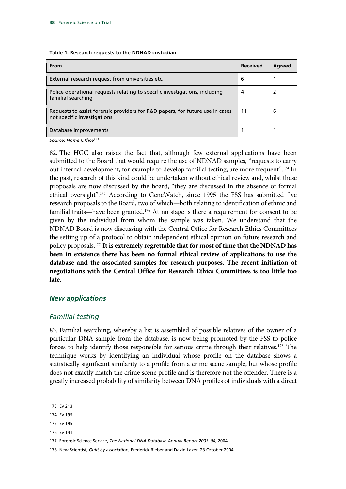| Table 1: Research requests to the NDNAD custodian |  |  |
|---------------------------------------------------|--|--|
|---------------------------------------------------|--|--|

| From                                                                                                         | <b>Received</b> | Agreed |
|--------------------------------------------------------------------------------------------------------------|-----------------|--------|
| External research request from universities etc.                                                             | 6               |        |
| Police operational requests relating to specific investigations, including<br>familial searching             | 4               |        |
| Requests to assist forensic providers for R&D papers, for future use in cases<br>not specific investigations | 11              | 6      |
| Database improvements                                                                                        |                 |        |

*Source: Home Office173*

82. The HGC also raises the fact that, although few external applications have been submitted to the Board that would require the use of NDNAD samples, "requests to carry out internal development, for example to develop familial testing, are more frequent".174 In the past, research of this kind could be undertaken without ethical review and, whilst these proposals are now discussed by the board, "they are discussed in the absence of formal ethical oversight".175 According to GeneWatch, since 1995 the FSS has submitted five research proposals to the Board, two of which—both relating to identification of ethnic and familial traits—have been granted.<sup>176</sup> At no stage is there a requirement for consent to be given by the individual from whom the sample was taken. We understand that the NDNAD Board is now discussing with the Central Office for Research Ethics Committees the setting up of a protocol to obtain independent ethical opinion on future research and policy proposals.177 **It is extremely regrettable that for most of time that the NDNAD has been in existence there has been no formal ethical review of applications to use the database and the associated samples for research purposes. The recent initiation of negotiations with the Central Office for Research Ethics Committees is too little too late.** 

#### *New applications*

#### *Familial testing*

83. Familial searching, whereby a list is assembled of possible relatives of the owner of a particular DNA sample from the database, is now being promoted by the FSS to police forces to help identify those responsible for serious crime through their relatives.178 The technique works by identifying an individual whose profile on the database shows a statistically significant similarity to a profile from a crime scene sample, but whose profile does not exactly match the crime scene profile and is therefore not the offender. There is a greatly increased probability of similarity between DNA profiles of individuals with a direct

<sup>173</sup> Ev 213

<sup>174</sup> Ev 195

<sup>175</sup> Ev 195

<sup>177</sup> Forensic Science Service, *The National DNA Database Annual Report 2003–04*, 2004

<sup>178</sup> New Scientist, *Guilt by association*, Frederick Bieber and David Lazer, 23 October 2004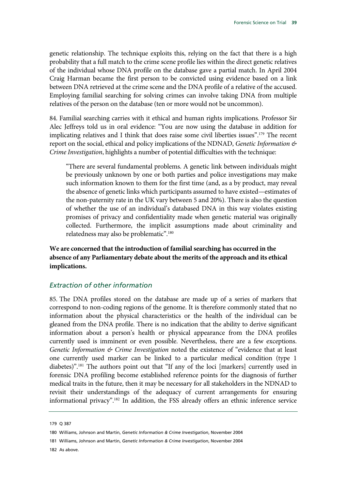genetic relationship. The technique exploits this, relying on the fact that there is a high probability that a full match to the crime scene profile lies within the direct genetic relatives of the individual whose DNA profile on the database gave a partial match. In April 2004 Craig Harman became the first person to be convicted using evidence based on a link between DNA retrieved at the crime scene and the DNA profile of a relative of the accused. Employing familial searching for solving crimes can involve taking DNA from multiple relatives of the person on the database (ten or more would not be uncommon).

84. Familial searching carries with it ethical and human rights implications. Professor Sir Alec Jeffreys told us in oral evidence: "You are now using the database in addition for implicating relatives and I think that does raise some civil liberties issues".179 The recent report on the social, ethical and policy implications of the NDNAD, *Genetic Information & Crime Investigation*, highlights a number of potential difficulties with the technique:

"There are several fundamental problems. A genetic link between individuals might be previously unknown by one or both parties and police investigations may make such information known to them for the first time (and, as a by product, may reveal the absence of genetic links which participants assumed to have existed—estimates of the non-paternity rate in the UK vary between 5 and 20%). There is also the question of whether the use of an individual's databased DNA in this way violates existing promises of privacy and confidentiality made when genetic material was originally collected. Furthermore, the implicit assumptions made about criminality and relatedness may also be problematic".180

**We are concerned that the introduction of familial searching has occurred in the absence of any Parliamentary debate about the merits of the approach and its ethical implications.** 

#### *Extraction of other information*

85. The DNA profiles stored on the database are made up of a series of markers that correspond to non-coding regions of the genome. It is therefore commonly stated that no information about the physical characteristics or the health of the individual can be gleaned from the DNA profile. There is no indication that the ability to derive significant information about a person's health or physical appearance from the DNA profiles currently used is imminent or even possible. Nevertheless, there are a few exceptions. *Genetic Information & Crime Investigation* noted the existence of "evidence that at least one currently used marker can be linked to a particular medical condition (type 1 diabetes)".181 The authors point out that "If any of the loci [markers] currently used in forensic DNA profiling become established reference points for the diagnosis of further medical traits in the future, then it may be necessary for all stakeholders in the NDNAD to revisit their understandings of the adequacy of current arrangements for ensuring informational privacy".182 In addition, the FSS already offers an ethnic inference service

<sup>179</sup> Q 387

<sup>180</sup> Williams, Johnson and Martin, *Genetic Information & Crime Investigation*, November 2004

<sup>181</sup> Williams, Johnson and Martin, *Genetic Information & Crime Investigation*, November 2004

<sup>182</sup> As above.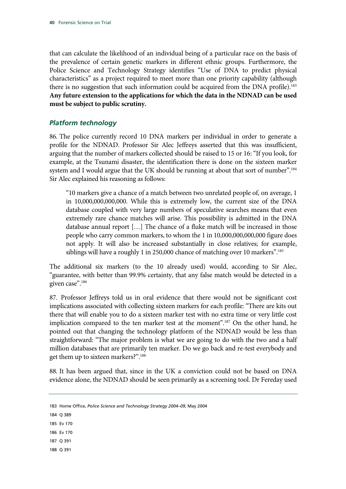that can calculate the likelihood of an individual being of a particular race on the basis of the prevalence of certain genetic markers in different ethnic groups. Furthermore, the Police Science and Technology Strategy identifies "Use of DNA to predict physical characteristics" as a project required to meet more than one priority capability (although there is no suggestion that such information could be acquired from the DNA profile).<sup>183</sup> **Any future extension to the applications for which the data in the NDNAD can be used must be subject to public scrutiny.**

## *Platform technology*

86. The police currently record 10 DNA markers per individual in order to generate a profile for the NDNAD. Professor Sir Alec Jeffreys asserted that this was insufficient, arguing that the number of markers collected should be raised to 15 or 16: "If you look, for example, at the Tsunami disaster, the identification there is done on the sixteen marker system and I would argue that the UK should be running at about that sort of number".<sup>184</sup> Sir Alec explained his reasoning as follows:

"10 markers give a chance of a match between two unrelated people of, on average, 1 in 10,000,000,000,000. While this is extremely low, the current size of the DNA database coupled with very large numbers of speculative searches means that even extremely rare chance matches will arise. This possibility is admitted in the DNA database annual report […] The chance of a fluke match will be increased in those people who carry common markers, to whom the 1 in 10,000,000,000,000 figure does not apply. It will also be increased substantially in close relatives; for example, siblings will have a roughly 1 in 250,000 chance of matching over 10 markers".<sup>185</sup>

The additional six markers (to the 10 already used) would, according to Sir Alec, "guarantee, with better than 99.9% certainty, that any false match would be detected in a given case".186

87. Professor Jeffreys told us in oral evidence that there would not be significant cost implications associated with collecting sixteen markers for each profile: "There are kits out there that will enable you to do a sixteen marker test with no extra time or very little cost implication compared to the ten marker test at the moment".187 On the other hand, he pointed out that changing the technology platform of the NDNAD would be less than straightforward: "The major problem is what we are going to do with the two and a half million databases that are primarily ten marker. Do we go back and re-test everybody and get them up to sixteen markers?".188

88. It has been argued that, since in the UK a conviction could not be based on DNA evidence alone, the NDNAD should be seen primarily as a screening tool. Dr Fereday used

- 187 Q 391
- 188 Q 391

<sup>183</sup> Home Office, *Police Science and Technology Strategy 2004–09*, May 2004

<sup>184</sup> Q 389

<sup>185</sup> Ev 170

<sup>186</sup> Ev 170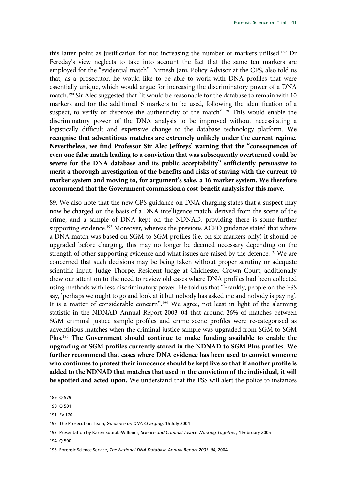this latter point as justification for not increasing the number of markers utilised.189 Dr Fereday's view neglects to take into account the fact that the same ten markers are employed for the "evidential match". Nimesh Jani, Policy Advisor at the CPS, also told us that, as a prosecutor, he would like to be able to work with DNA profiles that were essentially unique, which would argue for increasing the discriminatory power of a DNA match.<sup>190</sup> Sir Alec suggested that "it would be reasonable for the database to remain with 10 markers and for the additional 6 markers to be used, following the identification of a suspect, to verify or disprove the authenticity of the match".<sup>191</sup> This would enable the discriminatory power of the DNA analysis to be improved without necessitating a logistically difficult and expensive change to the database technology platform. **We recognise that adventitious matches are extremely unlikely under the current regime. Nevertheless, we find Professor Sir Alec Jeffreys' warning that the "consequences of even one false match leading to a conviction that was subsequently overturned could be severe for the DNA database and its public acceptability" sufficiently persuasive to merit a thorough investigation of the benefits and risks of staying with the current 10 marker system and moving to, for argument's sake, a 16 marker system. We therefore recommend that the Government commission a cost-benefit analysis for this move.**

89. We also note that the new CPS guidance on DNA charging states that a suspect may now be charged on the basis of a DNA intelligence match, derived from the scene of the crime, and a sample of DNA kept on the NDNAD, providing there is some further supporting evidence.<sup>192</sup> Moreover, whereas the previous ACPO guidance stated that where a DNA match was based on SGM to SGM profiles (i.e. on six markers only) it should be upgraded before charging, this may no longer be deemed necessary depending on the strength of other supporting evidence and what issues are raised by the defence.<sup>193</sup> We are concerned that such decisions may be being taken without proper scrutiny or adequate scientific input. Judge Thorpe, Resident Judge at Chichester Crown Court, additionally drew our attention to the need to review old cases where DNA profiles had been collected using methods with less discriminatory power. He told us that "Frankly, people on the FSS say, 'perhaps we ought to go and look at it but nobody has asked me and nobody is paying'. It is a matter of considerable concern".<sup>194</sup> We agree, not least in light of the alarming statistic in the NDNAD Annual Report 2003–04 that around 26% of matches between SGM criminal justice sample profiles and crime scene profiles were re-categorised as adventitious matches when the criminal justice sample was upgraded from SGM to SGM Plus.195 **The Government should continue to make funding available to enable the upgrading of SGM profiles currently stored in the NDNAD to SGM Plus profiles. We further recommend that cases where DNA evidence has been used to convict someone who continues to protest their innocence should be kept live so that if another profile is added to the NDNAD that matches that used in the conviction of the individual, it will be spotted and acted upon.** We understand that the FSS will alert the police to instances

<sup>189</sup> Q 579

<sup>190</sup> Q 501

<sup>191</sup> Ev 170

<sup>192</sup> The Prosecution Team, *Guidance on DNA Charging,* 16 July 2004

<sup>193</sup> Presentation by Karen Squibb-Williams, *Science and Criminal Justice Working Together*, 4 February 2005

<sup>195</sup> Forensic Science Service, *The National DNA Database Annual Report 2003–04*, 2004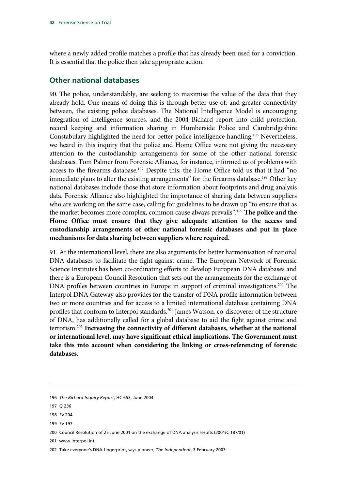where a newly added profile matches a profile that has already been used for a conviction. It is essential that the police then take appropriate action.

## **Other national databases**

90. The police, understandably, are seeking to maximise the value of the data that they already hold. One means of doing this is through better use of, and greater connectivity between, the existing police databases. The National Intelligence Model is encouraging integration of intelligence sources, and the 2004 Bichard report into child protection, record keeping and information sharing in Humberside Police and Cambridgeshire Constabulary highlighted the need for better police intelligence handling.196 Nevertheless, we heard in this inquiry that the police and Home Office were not giving the necessary attention to the custodianship arrangements for some of the other national forensic databases. Tom Palmer from Forensic Alliance, for instance, informed us of problems with access to the firearms database.<sup>197</sup> Despite this, the Home Office told us that it had "no immediate plans to alter the existing arrangements" for the firearms database.<sup>198</sup> Other key national databases include those that store information about footprints and drug analysis data. Forensic Alliance also highlighted the importance of sharing data between suppliers who are working on the same case, calling for guidelines to be drawn up "to ensure that as the market becomes more complex, common cause always prevails".199 **The police and the Home Office must ensure that they give adequate attention to the access and custodianship arrangements of other national forensic databases and put in place mechanisms for data sharing between suppliers where required.**

91. At the international level, there are also arguments for better harmonisation of national DNA databases to facilitate the fight against crime. The European Network of Forensic Science Institutes has been co-ordinating efforts to develop European DNA databases and there is a European Council Resolution that sets out the arrangements for the exchange of DNA profiles between countries in Europe in support of criminal investigations.<sup>200</sup> The Interpol DNA Gateway also provides for the transfer of DNA profile information between two or more countries and for access to a limited international database containing DNA profiles that conform to Interpol standards.<sup>201</sup> James Watson, co-discoverer of the structure of DNA, has additionally called for a global database to aid the fight against crime and terrorism.202 **Increasing the connectivity of different databases, whether at the national or international level, may have significant ethical implications. The Government must take this into account when considering the linking or cross-referencing of forensic databases.**

201 www.interpol.int

<sup>196</sup> *The Bichard Inquiry Report*, HC 653, June 2004

<sup>197</sup> Q 236

<sup>198</sup> Ev 204

<sup>199</sup> Ev 197

<sup>200</sup> Council Resolution of 25 June 2001 on the exchange of DNA analysis results (2001/C 187/01)

<sup>202</sup> Take everyone's DNA fingerprint, says pioneer, *The Independent*, 3 February 2003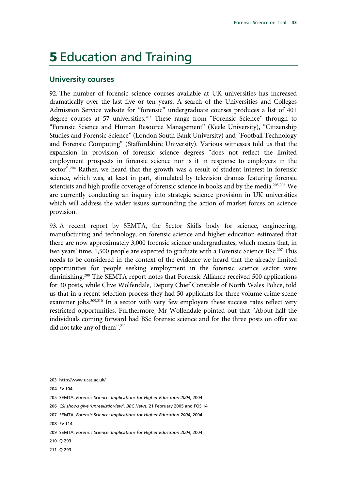# **5 Education and Training**

#### **University courses**

92. The number of forensic science courses available at UK universities has increased dramatically over the last five or ten years. A search of the Universities and Colleges Admission Service website for "forensic" undergraduate courses produces a list of 401 degree courses at 57 universities.203 These range from "Forensic Science" through to "Forensic Science and Human Resource Management" (Keele University), "Citizenship Studies and Forensic Science" (London South Bank University) and "Football Technology and Forensic Computing" (Staffordshire University). Various witnesses told us that the expansion in provision of forensic science degrees "does not reflect the limited employment prospects in forensic science nor is it in response to employers in the sector".<sup>204</sup> Rather, we heard that the growth was a result of student interest in forensic science, which was, at least in part, stimulated by television dramas featuring forensic scientists and high profile coverage of forensic science in books and by the media.<sup>205,206</sup> We are currently conducting an inquiry into strategic science provision in UK universities which will address the wider issues surrounding the action of market forces on science provision.

93. A recent report by SEMTA, the Sector Skills body for science, engineering, manufacturing and technology, on forensic science and higher education estimated that there are now approximately 3,000 forensic science undergraduates, which means that, in two years' time, 1,500 people are expected to graduate with a Forensic Science BSc.<sup>207</sup> This needs to be considered in the context of the evidence we heard that the already limited opportunities for people seeking employment in the forensic science sector were diminishing.<sup>208</sup> The SEMTA report notes that Forensic Alliance received 500 applications for 30 posts, while Clive Wolfendale, Deputy Chief Constable of North Wales Police, told us that in a recent selection process they had 50 applicants for three volume crime scene examiner jobs.<sup>209,210</sup> In a sector with very few employers these success rates reflect very restricted opportunities. Furthermore, Mr Wolfendale pointed out that "About half the individuals coming forward had BSc forensic science and for the three posts on offer we did not take any of them".<sup>211</sup>

- 210 Q 293
- 211 Q 293

<sup>203</sup> http://www.ucas.ac.uk/

<sup>204</sup> Ev 104

<sup>205</sup> SEMTA, *Forensic Science: Implications for Higher Education 2004*, 2004

<sup>206</sup> *CSI shows give 'unrealistic view'*, *BBC News*, 21 February 2005 and FOS 14

<sup>207</sup> SEMTA, *Forensic Science: Implications for Higher Education 2004*, 2004

<sup>209</sup> SEMTA, *Forensic Science: Implications for Higher Education 2004*, 2004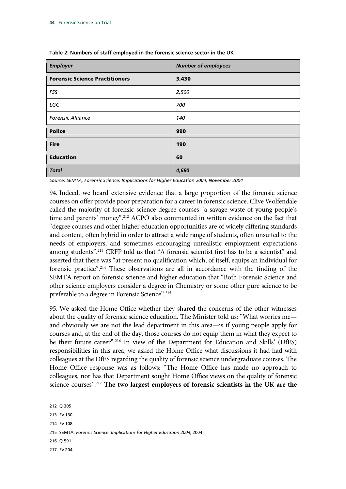| <b>Employer</b>                       | <b>Number of employees</b> |
|---------------------------------------|----------------------------|
| <b>Forensic Science Practitioners</b> | 3,430                      |
| FSS                                   | 2,500                      |
| LGC                                   | 700                        |
| <b>Forensic Alliance</b>              | 140                        |
| <b>Police</b>                         | 990                        |
| <b>Fire</b>                           | 190                        |
| <b>Education</b>                      | 60                         |
| Total                                 | 4,680                      |

**Table 2: Numbers of staff employed in the forensic science sector in the UK** 

*Source: SEMTA, Forensic Science: Implications for Higher Education 2004, November 2004* 

94. Indeed, we heard extensive evidence that a large proportion of the forensic science courses on offer provide poor preparation for a career in forensic science. Clive Wolfendale called the majority of forensic science degree courses "a savage waste of young people's time and parents' money".<sup>212</sup> ACPO also commented in written evidence on the fact that "degree courses and other higher education opportunities are of widely differing standards and content, often hybrid in order to attract a wide range of students, often unsuited to the needs of employers, and sometimes encouraging unrealistic employment expectations among students".213 CRFP told us that "A forensic scientist first has to be a scientist" and asserted that there was "at present no qualification which, of itself, equips an individual for forensic practice".214 These observations are all in accordance with the finding of the SEMTA report on forensic science and higher education that "Both Forensic Science and other science employers consider a degree in Chemistry or some other pure science to be preferable to a degree in Forensic Science".215

95. We asked the Home Office whether they shared the concerns of the other witnesses about the quality of forensic science education. The Minister told us: "What worries me and obviously we are not the lead department in this area—is if young people apply for courses and, at the end of the day, those courses do not equip them in what they expect to be their future career".216 In view of the Department for Education and Skills' (DfES) responsibilities in this area, we asked the Home Office what discussions it had had with colleagues at the DfES regarding the quality of forensic science undergraduate courses. The Home Office response was as follows: "The Home Office has made no approach to colleagues, nor has that Department sought Home Office views on the quality of forensic science courses".217 **The two largest employers of forensic scientists in the UK are the** 

212 Q 305

213 Ev 130

214 Ev 108

215 SEMTA, *Forensic Science: Implications for Higher Education 2004*, 2004

216 Q 591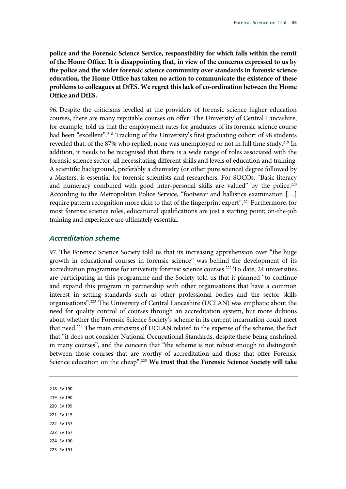**police and the Forensic Science Service, responsibility for which falls within the remit of the Home Office. It is disappointing that, in view of the concerns expressed to us by the police and the wider forensic science community over standards in forensic science education, the Home Office has taken no action to communicate the existence of these problems to colleagues at DfES. We regret this lack of co-ordination between the Home Office and DfES.**

96. Despite the criticisms levelled at the providers of forensic science higher education courses, there are many reputable courses on offer. The University of Central Lancashire, for example, told us that the employment rates for graduates of its forensic science course had been "excellent".<sup>218</sup> Tracking of the University's first graduating cohort of 98 students revealed that, of the 87% who replied, none was unemployed or not in full time study.<sup>219</sup> In addition, it needs to be recognised that there is a wide range of roles associated with the forensic science sector, all necessitating different skills and levels of education and training. A scientific background, preferably a chemistry (or other pure science) degree followed by a Masters, is essential for forensic scientists and researchers. For SOCOs, "Basic literacy and numeracy combined with good inter-personal skills are valued" by the police.<sup>220</sup> According to the Metropolitan Police Service, "footwear and ballistics examination […] require pattern recognition more akin to that of the fingerprint expert".<sup>221</sup> Furthermore, for most forensic science roles, educational qualifications are just a starting point; on-the-job training and experience are ultimately essential.

#### *Accreditation scheme*

97. The Forensic Science Society told us that its increasing apprehension over "the huge growth in educational courses in forensic science" was behind the development of its accreditation programme for university forensic science courses.<sup>222</sup> To date, 24 universities are participating in this programme and the Society told us that it planned "to continue and expand this program in partnership with other organisations that have a common interest in setting standards such as other professional bodies and the sector skills organisations".223 The University of Central Lancashire (UCLAN) was emphatic about the need for quality control of courses through an accreditation system, but more dubious about whether the Forensic Science Society's scheme in its current incarnation could meet that need.224 The main criticisms of UCLAN related to the expense of the scheme, the fact that "it does not consider National Occupational Standards, despite these being enshrined in many courses", and the concern that "the scheme is not robust enough to distinguish between those courses that are worthy of accreditation and those that offer Forensic Science education on the cheap".225 **We trust that the Forensic Science Society will take**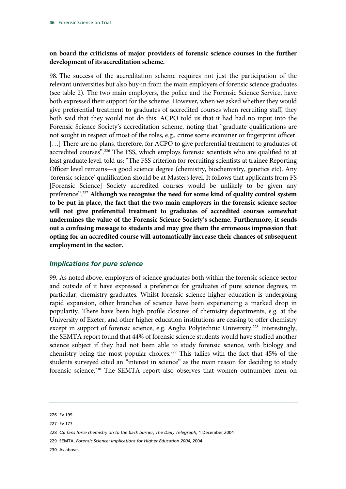### **on board the criticisms of major providers of forensic science courses in the further development of its accreditation scheme.**

98. The success of the accreditation scheme requires not just the participation of the relevant universities but also buy-in from the main employers of forensic science graduates (see table 2). The two main employers, the police and the Forensic Science Service, have both expressed their support for the scheme. However, when we asked whether they would give preferential treatment to graduates of accredited courses when recruiting staff, they both said that they would not do this. ACPO told us that it had had no input into the Forensic Science Society's accreditation scheme, noting that "graduate qualifications are not sought in respect of most of the roles, e.g., crime scene examiner or fingerprint officer. [...] There are no plans, therefore, for ACPO to give preferential treatment to graduates of accredited courses".226 The FSS, which employs forensic scientists who are qualified to at least graduate level, told us: "The FSS criterion for recruiting scientists at trainee Reporting Officer level remains—a good science degree (chemistry, biochemistry, genetics etc). Any 'forensic science' qualification should be at Masters level. It follows that applicants from FS [Forensic Science] Society accredited courses would be unlikely to be given any preference".227 **Although we recognise the need for some kind of quality control system to be put in place, the fact that the two main employers in the forensic science sector will not give preferential treatment to graduates of accredited courses somewhat undermines the value of the Forensic Science Society's scheme. Furthermore, it sends out a confusing message to students and may give them the erroneous impression that opting for an accredited course will automatically increase their chances of subsequent employment in the sector.**

#### *Implications for pure science*

99. As noted above, employers of science graduates both within the forensic science sector and outside of it have expressed a preference for graduates of pure science degrees, in particular, chemistry graduates. Whilst forensic science higher education is undergoing rapid expansion, other branches of science have been experiencing a marked drop in popularity. There have been high profile closures of chemistry departments, e.g. at the University of Exeter, and other higher education institutions are ceasing to offer chemistry except in support of forensic science, e.g. Anglia Polytechnic University.<sup>228</sup> Interestingly, the SEMTA report found that 44% of forensic science students would have studied another science subject if they had not been able to study forensic science, with biology and chemistry being the most popular choices.229 This tallies with the fact that 45% of the students surveyed cited an "interest in science" as the main reason for deciding to study forensic science.<sup>230</sup> The SEMTA report also observes that women outnumber men on

229 SEMTA, *Forensic Science: Implications for Higher Education 2004*, 2004

230 As above.

<sup>226</sup> Ev 199

<sup>227</sup> Ev 177

<sup>228</sup> *CSI fans force chemistry on to the back burner*, *The Daily Telegraph*, 1 December 2004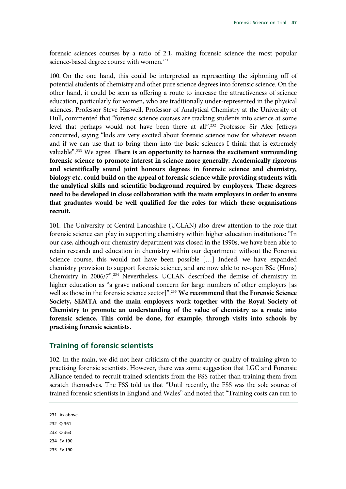forensic sciences courses by a ratio of 2:1, making forensic science the most popular science-based degree course with women.<sup>231</sup>

100. On the one hand, this could be interpreted as representing the siphoning off of potential students of chemistry and other pure science degrees into forensic science. On the other hand, it could be seen as offering a route to increase the attractiveness of science education, particularly for women, who are traditionally under-represented in the physical sciences. Professor Steve Haswell, Professor of Analytical Chemistry at the University of Hull, commented that "forensic science courses are tracking students into science at some level that perhaps would not have been there at all".232 Professor Sir Alec Jeffreys concurred, saying "kids are very excited about forensic science now for whatever reason and if we can use that to bring them into the basic sciences I think that is extremely valuable".233 We agree. **There is an opportunity to harness the excitement surrounding forensic science to promote interest in science more generally. Academically rigorous and scientifically sound joint honours degrees in forensic science and chemistry, biology etc. could build on the appeal of forensic science while providing students with the analytical skills and scientific background required by employers. These degrees need to be developed in close collaboration with the main employers in order to ensure that graduates would be well qualified for the roles for which these organisations recruit.**

101. The University of Central Lancashire (UCLAN) also drew attention to the role that forensic science can play in supporting chemistry within higher education institutions: "In our case, although our chemistry department was closed in the 1990s, we have been able to retain research and education in chemistry within our department: without the Forensic Science course, this would not have been possible […] Indeed, we have expanded chemistry provision to support forensic science, and are now able to re-open BSc (Hons) Chemistry in 2006/7".234 Nevertheless, UCLAN described the demise of chemistry in higher education as "a grave national concern for large numbers of other employers [as well as those in the forensic science sector]".235 **We recommend that the Forensic Science Society, SEMTA and the main employers work together with the Royal Society of Chemistry to promote an understanding of the value of chemistry as a route into forensic science. This could be done, for example, through visits into schools by practising forensic scientists.**

# **Training of forensic scientists**

102. In the main, we did not hear criticism of the quantity or quality of training given to practising forensic scientists. However, there was some suggestion that LGC and Forensic Alliance tended to recruit trained scientists from the FSS rather than training them from scratch themselves. The FSS told us that "Until recently, the FSS was the sole source of trained forensic scientists in England and Wales" and noted that "Training costs can run to

231 As above.

232 Q 361

233 Q 363

234 Ev 190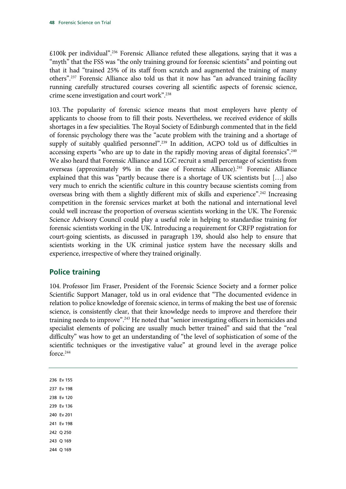£100k per individual".236 Forensic Alliance refuted these allegations, saying that it was a "myth" that the FSS was "the only training ground for forensic scientists" and pointing out that it had "trained 25% of its staff from scratch and augmented the training of many others".237 Forensic Alliance also told us that it now has "an advanced training facility running carefully structured courses covering all scientific aspects of forensic science, crime scene investigation and court work".238

103. The popularity of forensic science means that most employers have plenty of applicants to choose from to fill their posts. Nevertheless, we received evidence of skills shortages in a few specialities. The Royal Society of Edinburgh commented that in the field of forensic psychology there was the "acute problem with the training and a shortage of supply of suitably qualified personnel".<sup>239</sup> In addition, ACPO told us of difficulties in accessing experts "who are up to date in the rapidly moving areas of digital forensics".<sup>240</sup> We also heard that Forensic Alliance and LGC recruit a small percentage of scientists from overseas (approximately 9% in the case of Forensic Alliance).<sup>241</sup> Forensic Alliance explained that this was "partly because there is a shortage of UK scientists but […] also very much to enrich the scientific culture in this country because scientists coming from overseas bring with them a slightly different mix of skills and experience".<sup>242</sup> Increasing competition in the forensic services market at both the national and international level could well increase the proportion of overseas scientists working in the UK. The Forensic Science Advisory Council could play a useful role in helping to standardise training for forensic scientists working in the UK. Introducing a requirement for CRFP registration for court-going scientists, as discussed in paragraph 139, should also help to ensure that scientists working in the UK criminal justice system have the necessary skills and experience, irrespective of where they trained originally.

# **Police training**

104. Professor Jim Fraser, President of the Forensic Science Society and a former police Scientific Support Manager, told us in oral evidence that "The documented evidence in relation to police knowledge of forensic science, in terms of making the best use of forensic science, is consistently clear, that their knowledge needs to improve and therefore their training needs to improve".<sup>243</sup> He noted that "senior investigating officers in homicides and specialist elements of policing are usually much better trained" and said that the "real difficulty" was how to get an understanding of "the level of sophistication of some of the scientific techniques or the investigative value" at ground level in the average police force  $244$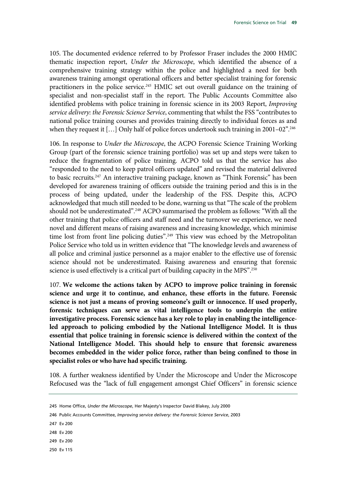105. The documented evidence referred to by Professor Fraser includes the 2000 HMIC thematic inspection report, *Under the Microscope*, which identified the absence of a comprehensive training strategy within the police and highlighted a need for both awareness training amongst operational officers and better specialist training for forensic practitioners in the police service*. <sup>245</sup>* HMIC set out overall guidance on the training of specialist and non-specialist staff in the report. The Public Accounts Committee also identified problems with police training in forensic science in its 2003 Report, *Improving service delivery: the Forensic Science Service*, commenting that whilst the FSS "contributes to national police training courses and provides training directly to individual forces as and when they request it  $[...]$  Only half of police forces undertook such training in 2001–02".<sup>246</sup>

106. In response to *Under the Microscope*, the ACPO Forensic Science Training Working Group (part of the forensic science training portfolio) was set up and steps were taken to reduce the fragmentation of police training. ACPO told us that the service has also "responded to the need to keep patrol officers updated" and revised the material delivered to basic recruits.<sup>247</sup> An interactive training package, known as "Think Forensic" has been developed for awareness training of officers outside the training period and this is in the process of being updated, under the leadership of the FSS. Despite this, ACPO acknowledged that much still needed to be done, warning us that "The scale of the problem should not be underestimated".<sup>248</sup> ACPO summarised the problem as follows: "With all the other training that police officers and staff need and the turnover we experience, we need novel and different means of raising awareness and increasing knowledge, which minimise time lost from front line policing duties".<sup>249</sup> This view was echoed by the Metropolitan Police Service who told us in written evidence that "The knowledge levels and awareness of all police and criminal justice personnel as a major enabler to the effective use of forensic science should not be underestimated. Raising awareness and ensuring that forensic science is used effectively is a critical part of building capacity in the MPS".<sup>250</sup>

107. **We welcome the actions taken by ACPO to improve police training in forensic science and urge it to continue, and enhance, these efforts in the future. Forensic science is not just a means of proving someone's guilt or innocence. If used properly, forensic techniques can serve as vital intelligence tools to underpin the entire investigative process. Forensic science has a key role to play in enabling the intelligenceled approach to policing embodied by the National Intelligence Model. It is thus essential that police training in forensic science is delivered within the context of the National Intelligence Model. This should help to ensure that forensic awareness becomes embedded in the wider police force, rather than being confined to those in specialist roles or who have had specific training.**

108. A further weakness identified by Under the Microscope and Under the Microscope Refocused was the "lack of full engagement amongst Chief Officers" in forensic science

- 247 Ev 200
- 248 Ev 200
- 249 Ev 200
- 250 Ev 115

<sup>245</sup> Home Office, *Under the Microscope*, Her Majesty's Inspector David Blakey, July 2000

<sup>246</sup> Public Accounts Committee, *Improving service delivery: the Forensic Science Service*, 2003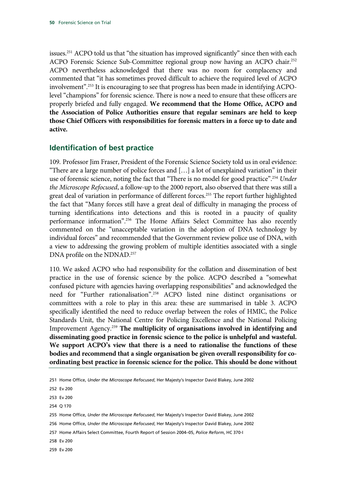issues.251 ACPO told us that "the situation has improved significantly" since then with each ACPO Forensic Science Sub-Committee regional group now having an ACPO chair.<sup>252</sup> ACPO nevertheless acknowledged that there was no room for complacency and commented that "it has sometimes proved difficult to achieve the required level of ACPO involvement".<sup>253</sup> It is encouraging to see that progress has been made in identifying ACPOlevel "champions" for forensic science. There is now a need to ensure that these officers are properly briefed and fully engaged. **We recommend that the Home Office, ACPO and the Association of Police Authorities ensure that regular seminars are held to keep those Chief Officers with responsibilities for forensic matters in a force up to date and active.**

## **Identification of best practice**

109. Professor Jim Fraser, President of the Forensic Science Society told us in oral evidence: "There are a large number of police forces and […] a lot of unexplained variation" in their use of forensic science, noting the fact that "There is no model for good practice".254 *Under the Microscope Refocused*, a follow-up to the 2000 report, also observed that there was still a great deal of variation in performance of different forces.255 The report further highlighted the fact that "Many forces still have a great deal of difficulty in managing the process of turning identifications into detections and this is rooted in a paucity of quality performance information".<sup>256</sup> The Home Affairs Select Committee has also recently commented on the "unacceptable variation in the adoption of DNA technology by individual forces" and recommended that the Government review police use of DNA, with a view to addressing the growing problem of multiple identities associated with a single DNA profile on the NDNAD.<sup>257</sup>

110. We asked ACPO who had responsibility for the collation and dissemination of best practice in the use of forensic science by the police. ACPO described a "somewhat confused picture with agencies having overlapping responsibilities" and acknowledged the need for "Further rationalisation".258 ACPO listed nine distinct organisations or committees with a role to play in this area: these are summarised in table 3. ACPO specifically identified the need to reduce overlap between the roles of HMIC, the Police Standards Unit, the National Centre for Policing Excellence and the National Policing Improvement Agency.259 **The multiplicity of organisations involved in identifying and disseminating good practice in forensic science to the police is unhelpful and wasteful. We support ACPO's view that there is a need to rationalise the functions of these bodies and recommend that a single organisation be given overall responsibility for coordinating best practice in forensic science for the police. This should be done without** 

253 Ev 200

254 Q 170

255 Home Office, *Under the Microscope Refocused*, Her Majesty's Inspector David Blakey, June 2002

256 Home Office, *Under the Microscope Refocused*, Her Majesty's Inspector David Blakey, June 2002

257 Home Affairs Select Committee, Fourth Report of Session 2004–05, *Police Reform*, HC 370-I

258 Ev 200

<sup>251</sup> Home Office, *Under the Microscope Refocused*, Her Majesty's Inspector David Blakey, June 2002

<sup>252</sup> Ev 200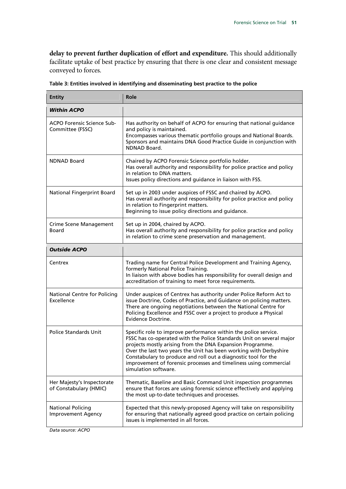**delay to prevent further duplication of effort and expenditure.** This should additionally facilitate uptake of best practice by ensuring that there is one clear and consistent message conveyed to forces.

| <b>Entity</b>                                         | Role                                                                                                                                                                                                                                                                                                                                                                                                                                     |
|-------------------------------------------------------|------------------------------------------------------------------------------------------------------------------------------------------------------------------------------------------------------------------------------------------------------------------------------------------------------------------------------------------------------------------------------------------------------------------------------------------|
| <b>Within ACPO</b>                                    |                                                                                                                                                                                                                                                                                                                                                                                                                                          |
| <b>ACPO Forensic Science Sub-</b><br>Committee (FSSC) | Has authority on behalf of ACPO for ensuring that national guidance<br>and policy is maintained.<br>Encompasses various thematic portfolio groups and National Boards.<br>Sponsors and maintains DNA Good Practice Guide in conjunction with<br>NDNAD Board.                                                                                                                                                                             |
| <b>NDNAD Board</b>                                    | Chaired by ACPO Forensic Science portfolio holder.<br>Has overall authority and responsibility for police practice and policy<br>in relation to DNA matters.<br>Issues policy directions and guidance in liaison with FSS.                                                                                                                                                                                                               |
| <b>National Fingerprint Board</b>                     | Set up in 2003 under auspices of FSSC and chaired by ACPO.<br>Has overall authority and responsibility for police practice and policy<br>in relation to Fingerprint matters.<br>Beginning to issue policy directions and guidance.                                                                                                                                                                                                       |
| <b>Crime Scene Management</b><br>Board                | Set up in 2004, chaired by ACPO.<br>Has overall authority and responsibility for police practice and policy<br>in relation to crime scene preservation and management.                                                                                                                                                                                                                                                                   |
| <b>Outside ACPO</b>                                   |                                                                                                                                                                                                                                                                                                                                                                                                                                          |
| Centrex                                               | Trading name for Central Police Development and Training Agency,<br>formerly National Police Training.<br>In liaison with above bodies has responsibility for overall design and<br>accreditation of training to meet force requirements.                                                                                                                                                                                                |
| <b>National Centre for Policing</b><br>Excellence     | Under auspices of Centrex has authority under Police Reform Act to<br>issue Doctrine, Codes of Practice, and Guidance on policing matters.<br>There are ongoing negotiations between the National Centre for<br>Policing Excellence and FSSC over a project to produce a Physical<br>Evidence Doctrine.                                                                                                                                  |
| <b>Police Standards Unit</b>                          | Specific role to improve performance within the police service.<br>FSSC has co-operated with the Police Standards Unit on several major<br>projects mostly arising from the DNA Expansion Programme.<br>Over the last two years the Unit has been working with Derbyshire<br>Constabulary to produce and roll out a diagnostic tool for the<br>improvement of forensic processes and timeliness using commercial<br>simulation software. |
| Her Majesty's Inspectorate<br>of Constabulary (HMIC)  | Thematic, Baseline and Basic Command Unit inspection programmes<br>ensure that forces are using forensic science effectively and applying<br>the most up-to-date techniques and processes.                                                                                                                                                                                                                                               |
| <b>National Policing</b><br><b>Improvement Agency</b> | Expected that this newly-proposed Agency will take on responsibility<br>for ensuring that nationally agreed good practice on certain policing<br>issues is implemented in all forces.                                                                                                                                                                                                                                                    |

**Table 3: Entities involved in identifying and disseminating best practice to the police** 

*Data source: ACPO*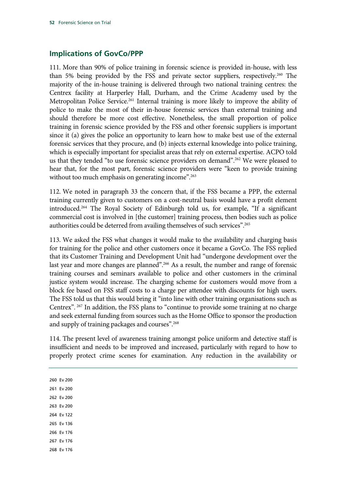## **Implications of GovCo/PPP**

111. More than 90% of police training in forensic science is provided in-house, with less than 5% being provided by the FSS and private sector suppliers, respectively.260 The majority of the in-house training is delivered through two national training centres: the Centrex facility at Harperley Hall, Durham, and the Crime Academy used by the Metropolitan Police Service.261 Internal training is more likely to improve the ability of police to make the most of their in-house forensic services than external training and should therefore be more cost effective. Nonetheless, the small proportion of police training in forensic science provided by the FSS and other forensic suppliers is important since it (a) gives the police an opportunity to learn how to make best use of the external forensic services that they procure, and (b) injects external knowledge into police training, which is especially important for specialist areas that rely on external expertise. ACPO told us that they tended "to use forensic science providers on demand".262 We were pleased to hear that, for the most part, forensic science providers were "keen to provide training without too much emphasis on generating income".<sup>263</sup>

112. We noted in paragraph 33 the concern that, if the FSS became a PPP, the external training currently given to customers on a cost-neutral basis would have a profit element introduced.264 The Royal Society of Edinburgh told us, for example, "If a significant commercial cost is involved in [the customer] training process, then bodies such as police authorities could be deterred from availing themselves of such services".265

113. We asked the FSS what changes it would make to the availability and charging basis for training for the police and other customers once it became a GovCo. The FSS replied that its Customer Training and Development Unit had "undergone development over the last year and more changes are planned".<sup>266</sup> As a result, the number and range of forensic training courses and seminars available to police and other customers in the criminal justice system would increase. The charging scheme for customers would move from a block fee based on FSS staff costs to a charge per attendee with discounts for high users. The FSS told us that this would bring it "into line with other training organisations such as Centrex". 267 In addition, the FSS plans to "continue to provide some training at no charge and seek external funding from sources such as the Home Office to sponsor the production and supply of training packages and courses".268

114. The present level of awareness training amongst police uniform and detective staff is insufficient and needs to be improved and increased, particularly with regard to how to properly protect crime scenes for examination. Any reduction in the availability or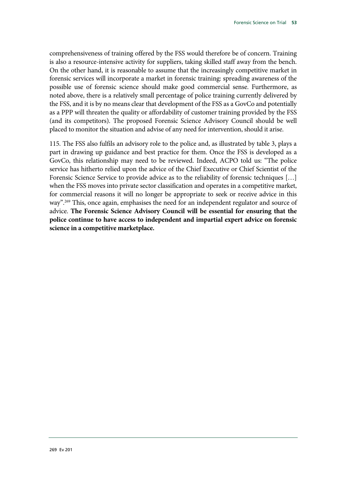comprehensiveness of training offered by the FSS would therefore be of concern. Training is also a resource-intensive activity for suppliers, taking skilled staff away from the bench. On the other hand, it is reasonable to assume that the increasingly competitive market in forensic services will incorporate a market in forensic training: spreading awareness of the possible use of forensic science should make good commercial sense. Furthermore, as noted above, there is a relatively small percentage of police training currently delivered by the FSS, and it is by no means clear that development of the FSS as a GovCo and potentially as a PPP will threaten the quality or affordability of customer training provided by the FSS (and its competitors). The proposed Forensic Science Advisory Council should be well placed to monitor the situation and advise of any need for intervention, should it arise.

115. The FSS also fulfils an advisory role to the police and, as illustrated by table 3, plays a part in drawing up guidance and best practice for them. Once the FSS is developed as a GovCo, this relationship may need to be reviewed. Indeed, ACPO told us: "The police service has hitherto relied upon the advice of the Chief Executive or Chief Scientist of the Forensic Science Service to provide advice as to the reliability of forensic techniques […] when the FSS moves into private sector classification and operates in a competitive market, for commercial reasons it will no longer be appropriate to seek or receive advice in this way".<sup>269</sup> This, once again, emphasises the need for an independent regulator and source of advice. **The Forensic Science Advisory Council will be essential for ensuring that the police continue to have access to independent and impartial expert advice on forensic science in a competitive marketplace.**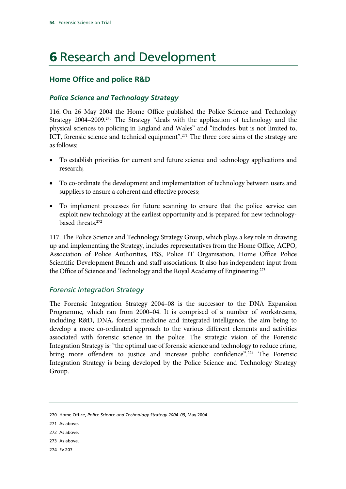# 6 Research and Development

# **Home Office and police R&D**

## *Police Science and Technology Strategy*

116. On 26 May 2004 the Home Office published the Police Science and Technology Strategy 2004–2009.<sup>270</sup> The Strategy "deals with the application of technology and the physical sciences to policing in England and Wales" and "includes, but is not limited to, ICT, forensic science and technical equipment".<sup>271</sup> The three core aims of the strategy are as follows:

- To establish priorities for current and future science and technology applications and research;
- To co-ordinate the development and implementation of technology between users and suppliers to ensure a coherent and effective process;
- To implement processes for future scanning to ensure that the police service can exploit new technology at the earliest opportunity and is prepared for new technologybased threats.272

117. The Police Science and Technology Strategy Group, which plays a key role in drawing up and implementing the Strategy, includes representatives from the Home Office, ACPO, Association of Police Authorities, FSS, Police IT Organisation, Home Office Police Scientific Development Branch and staff associations. It also has independent input from the Office of Science and Technology and the Royal Academy of Engineering.<sup>273</sup>

## *Forensic Integration Strategy*

The Forensic Integration Strategy 2004–08 is the successor to the DNA Expansion Programme, which ran from 2000–04. It is comprised of a number of workstreams, including R&D, DNA, forensic medicine and integrated intelligence, the aim being to develop a more co-ordinated approach to the various different elements and activities associated with forensic science in the police. The strategic vision of the Forensic Integration Strategy is: "the optimal use of forensic science and technology to reduce crime, bring more offenders to justice and increase public confidence".<sup>274</sup> The Forensic Integration Strategy is being developed by the Police Science and Technology Strategy Group.

- 271 As above.
- 272 As above.
- 273 As above.
- 274 Ev 207

<sup>270</sup> Home Office, *Police Science and Technology Strategy 2004–09*, May 2004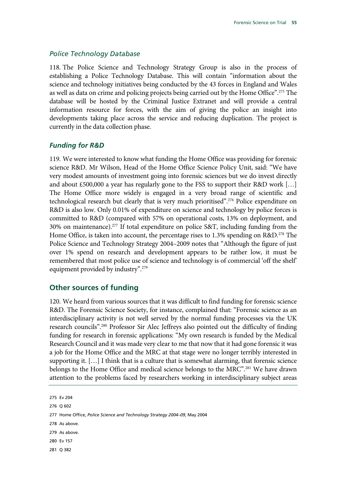#### *Police Technology Database*

118. The Police Science and Technology Strategy Group is also in the process of establishing a Police Technology Database. This will contain "information about the science and technology initiatives being conducted by the 43 forces in England and Wales as well as data on crime and policing projects being carried out by the Home Office".275 The database will be hosted by the Criminal Justice Extranet and will provide a central information resource for forces, with the aim of giving the police an insight into developments taking place across the service and reducing duplication. The project is currently in the data collection phase.

#### *Funding for R&D*

119. We were interested to know what funding the Home Office was providing for forensic science R&D. Mr Wilson, Head of the Home Office Science Policy Unit, said: "We have very modest amounts of investment going into forensic sciences but we do invest directly and about £500,000 a year has regularly gone to the FSS to support their R&D work […] The Home Office more widely is engaged in a very broad range of scientific and technological research but clearly that is very much prioritised".276 Police expenditure on R&D is also low. Only 0.01% of expenditure on science and technology by police forces is committed to R&D (compared with 57% on operational costs, 13% on deployment, and 30% on maintenance).277 If total expenditure on police S&T, including funding from the Home Office, is taken into account, the percentage rises to 1.3% spending on R&D.<sup>278</sup> The Police Science and Technology Strategy 2004–2009 notes that "Although the figure of just over 1% spend on research and development appears to be rather low, it must be remembered that most police use of science and technology is of commercial 'off the shelf' equipment provided by industry".279

#### **Other sources of funding**

120. We heard from various sources that it was difficult to find funding for forensic science R&D. The Forensic Science Society, for instance, complained that: "Forensic science as an interdisciplinary activity is not well served by the normal funding processes via the UK research councils".280 Professor Sir Alec Jeffreys also pointed out the difficulty of finding funding for research in forensic applications: "My own research is funded by the Medical Research Council and it was made very clear to me that now that it had gone forensic it was a job for the Home Office and the MRC at that stage were no longer terribly interested in supporting it. […] I think that is a culture that is somewhat alarming, that forensic science belongs to the Home Office and medical science belongs to the MRC".<sup>281</sup> We have drawn attention to the problems faced by researchers working in interdisciplinary subject areas

275 Ev 204

276 Q 602

277 Home Office, *Police Science and Technology Strategy 2004–09*, May 2004

278 As above.

279 As above.

280 Ev 157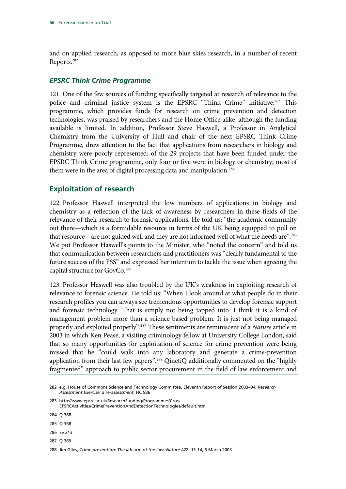and on applied research, as opposed to more blue skies research, in a number of recent Reports.282

#### *EPSRC Think Crime Programme*

121. One of the few sources of funding specifically targeted at research of relevance to the police and criminal justice system is the EPSRC "Think Crime" initiative.<sup>283</sup> This programme, which provides funds for research on crime prevention and detection technologies, was praised by researchers and the Home Office alike, although the funding available is limited. In addition, Professor Steve Haswell, a Professor in Analytical Chemistry from the University of Hull and chair of the next EPSRC Think Crime Programme, drew attention to the fact that applications from researchers in biology and chemistry were poorly represented: of the 29 projects that have been funded under the EPSRC Think Crime programme, only four or five were in biology or chemistry; most of them were in the area of digital processing data and manipulation.<sup>284</sup>

#### **Exploitation of research**

122. Professor Haswell interpreted the low numbers of applications in biology and chemistry as a reflection of the lack of awareness by researchers in these fields of the relevance of their research to forensic applications. He told us: "the academic community out there—which is a formidable resource in terms of the UK being equipped to pull on that resource—are not guided well and they are not informed well of what the needs are".285 We put Professor Haswell's points to the Minister, who "noted the concern" and told us that communication between researchers and practitioners was "clearly fundamental to the future success of the FSS" and expressed her intention to tackle the issue when agreeing the capital structure for GovCo.<sup>286</sup>

123. Professor Haswell was also troubled by the UK's weakness in exploiting research of relevance to forensic science. He told us: "When I look around at what people do in their research profiles you can always see tremendous opportunities to develop forensic support and forensic technology. That is simply not being tapped into. I think it is a kind of management problem more than a science based problem. It is just not being managed properly and exploited properly".287 These sentiments are reminiscent of a *Nature* article in 2003 in which Ken Pease, a visiting criminology fellow at University College London, said that so many opportunities for exploitation of science for crime prevention were being missed that he "could walk into any laboratory and generate a crime-prevention application from their last few papers".288 QinetiQ additionally commented on the "highly fragmented" approach to public sector procurement in the field of law enforcement and

283 http://www.epsrc.ac.uk/ResearchFunding/Programmes/Cross-

EPSRCActivities/CrimePreventionAndDetectionTechnologies/default.htm

- 286 Ev 213
- 287 Q 369

<sup>282</sup> e.g. House of Commons Science and Technology Committee, Eleventh Report of Session 2003–04, *Research Assessment Exercise: a re-assessment*, HC 586

<sup>285</sup> Q 368

<sup>288</sup> Jim Giles, *Crime prevention: The lab arm of the law*, *Nature* 422: 13-14, 6 March 2003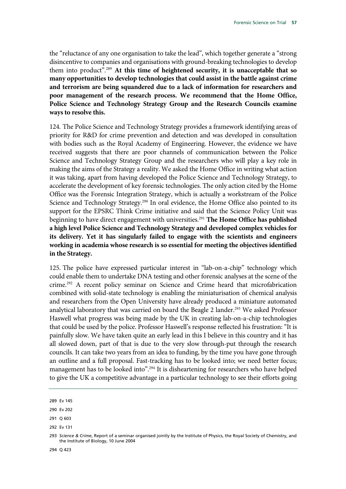the "reluctance of any one organisation to take the lead", which together generate a "strong disincentive to companies and organisations with ground-breaking technologies to develop them into product".289 **At this time of heightened security, it is unacceptable that so many opportunities to develop technologies that could assist in the battle against crime and terrorism are being squandered due to a lack of information for researchers and poor management of the research process. We recommend that the Home Office, Police Science and Technology Strategy Group and the Research Councils examine ways to resolve this.**

124. The Police Science and Technology Strategy provides a framework identifying areas of priority for R&D for crime prevention and detection and was developed in consultation with bodies such as the Royal Academy of Engineering. However, the evidence we have received suggests that there are poor channels of communication between the Police Science and Technology Strategy Group and the researchers who will play a key role in making the aims of the Strategy a reality. We asked the Home Office in writing what action it was taking, apart from having developed the Police Science and Technology Strategy, to accelerate the development of key forensic technologies. The only action cited by the Home Office was the Forensic Integration Strategy, which is actually a workstream of the Police Science and Technology Strategy.<sup>290</sup> In oral evidence, the Home Office also pointed to its support for the EPSRC Think Crime initiative and said that the Science Policy Unit was beginning to have direct engagement with universities.291 **The Home Office has published a high level Police Science and Technology Strategy and developed complex vehicles for its delivery. Yet it has singularly failed to engage with the scientists and engineers working in academia whose research is so essential for meeting the objectives identified in the Strategy.**

125. The police have expressed particular interest in "lab-on-a-chip" technology which could enable them to undertake DNA testing and other forensic analyses at the scene of the crime.292 A recent policy seminar on Science and Crime heard that microfabrication combined with solid-state technology is enabling the miniaturisation of chemical analysis and researchers from the Open University have already produced a miniature automated analytical laboratory that was carried on board the Beagle 2 lander.<sup>293</sup> We asked Professor Haswell what progress was being made by the UK in creating lab-on-a-chip technologies that could be used by the police. Professor Haswell's response reflected his frustration: "It is painfully slow. We have taken quite an early lead in this I believe in this country and it has all slowed down, part of that is due to the very slow through-put through the research councils. It can take two years from an idea to funding, by the time you have gone through an outline and a full proposal. Fast-tracking has to be looked into; we need better focus; management has to be looked into".<sup>294</sup> It is disheartening for researchers who have helped to give the UK a competitive advantage in a particular technology to see their efforts going

289 Ev 145

<sup>290</sup> Ev 202

<sup>291</sup> Q 603

<sup>292</sup> Ev 131

<sup>293</sup> *Science & Crime*, Report of a seminar organised jointly by the Institute of Physics, the Royal Society of Chemistry, and the Institute of Biology, 10 June 2004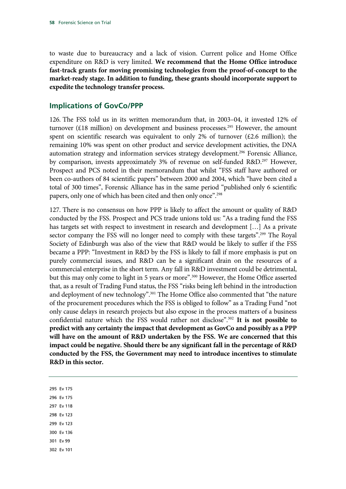to waste due to bureaucracy and a lack of vision. Current police and Home Office expenditure on R&D is very limited. **We recommend that the Home Office introduce fast-track grants for moving promising technologies from the proof-of-concept to the market-ready stage. In addition to funding, these grants should incorporate support to expedite the technology transfer process.**

### **Implications of GovCo/PPP**

126. The FSS told us in its written memorandum that, in 2003–04, it invested 12% of turnover ( $\text{\textsterling}18$  million) on development and business processes.<sup>295</sup> However, the amount spent on scientific research was equivalent to only 2% of turnover (£2.6 million); the remaining 10% was spent on other product and service development activities, the DNA automation strategy and information services strategy development.<sup>296</sup> Forensic Alliance, by comparison, invests approximately 3% of revenue on self-funded R&D.<sup>297</sup> However, Prospect and PCS noted in their memorandum that whilst "FSS staff have authored or been co-authors of 84 scientific papers" between 2000 and 2004, which "have been cited a total of 300 times", Forensic Alliance has in the same period "published only 6 scientific papers, only one of which has been cited and then only once".298

127. There is no consensus on how PPP is likely to affect the amount or quality of R&D conducted by the FSS. Prospect and PCS trade unions told us: "As a trading fund the FSS has targets set with respect to investment in research and development [...] As a private sector company the FSS will no longer need to comply with these targets".<sup>299</sup> The Royal Society of Edinburgh was also of the view that R&D would be likely to suffer if the FSS became a PPP: "Investment in R&D by the FSS is likely to fall if more emphasis is put on purely commercial issues, and R&D can be a significant drain on the resources of a commercial enterprise in the short term. Any fall in R&D investment could be detrimental, but this may only come to light in 5 years or more".<sup>300</sup> However, the Home Office asserted that, as a result of Trading Fund status, the FSS "risks being left behind in the introduction and deployment of new technology".<sup>301</sup> The Home Office also commented that "the nature of the procurement procedures which the FSS is obliged to follow" as a Trading Fund "not only cause delays in research projects but also expose in the process matters of a business confidential nature which the FSS would rather not disclose".302 **It is not possible to predict with any certainty the impact that development as GovCo and possibly as a PPP will have on the amount of R&D undertaken by the FSS. We are concerned that this impact could be negative. Should there be any significant fall in the percentage of R&D conducted by the FSS, the Government may need to introduce incentives to stimulate R&D in this sector.** 

295 Ev 175

296 Ev 175

297 Ev 118

298 Ev 123

299 Ev 123

300 Ev 136

301 Ev 99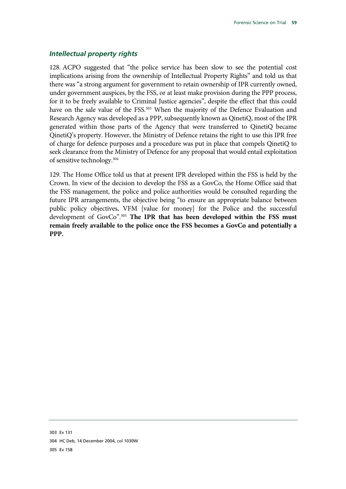## *Intellectual property rights*

128. ACPO suggested that "the police service has been slow to see the potential cost implications arising from the ownership of Intellectual Property Rights" and told us that there was "a strong argument for government to retain ownership of IPR currently owned, under government auspices, by the FSS, or at least make provision during the PPP process, for it to be freely available to Criminal Justice agencies", despite the effect that this could have on the sale value of the FSS.<sup>303</sup> When the majority of the Defence Evaluation and Research Agency was developed as a PPP, subsequently known as QinetiQ, most of the IPR generated within those parts of the Agency that were transferred to QinetiQ became QinetiQ's property. However, the Ministry of Defence retains the right to use this IPR free of charge for defence purposes and a procedure was put in place that compels QinetiQ to seek clearance from the Ministry of Defence for any proposal that would entail exploitation of sensitive technology.304

129. The Home Office told us that at present IPR developed within the FSS is held by the Crown. In view of the decision to develop the FSS as a GovCo, the Home Office said that the FSS management, the police and police authorities would be consulted regarding the future IPR arrangements, the objective being "to ensure an appropriate balance between public policy objectives, VFM [value for money] for the Police and the successful development of GovCo".305 **The IPR that has been developed within the FSS must remain freely available to the police once the FSS becomes a GovCo and potentially a PPP.**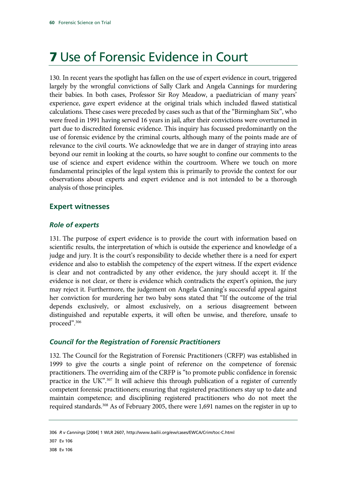# 7 Use of Forensic Evidence in Court

130. In recent years the spotlight has fallen on the use of expert evidence in court, triggered largely by the wrongful convictions of Sally Clark and Angela Cannings for murdering their babies. In both cases, Professor Sir Roy Meadow, a paediatrician of many years' experience, gave expert evidence at the original trials which included flawed statistical calculations. These cases were preceded by cases such as that of the "Birmingham Six", who were freed in 1991 having served 16 years in jail, after their convictions were overturned in part due to discredited forensic evidence. This inquiry has focussed predominantly on the use of forensic evidence by the criminal courts, although many of the points made are of relevance to the civil courts. We acknowledge that we are in danger of straying into areas beyond our remit in looking at the courts, so have sought to confine our comments to the use of science and expert evidence within the courtroom. Where we touch on more fundamental principles of the legal system this is primarily to provide the context for our observations about experts and expert evidence and is not intended to be a thorough analysis of those principles.

#### **Expert witnesses**

#### *Role of experts*

131. The purpose of expert evidence is to provide the court with information based on scientific results, the interpretation of which is outside the experience and knowledge of a judge and jury. It is the court's responsibility to decide whether there is a need for expert evidence and also to establish the competency of the expert witness. If the expert evidence is clear and not contradicted by any other evidence, the jury should accept it. If the evidence is not clear, or there is evidence which contradicts the expert's opinion, the jury may reject it. Furthermore, the judgement on Angela Canning's successful appeal against her conviction for murdering her two baby sons stated that "If the outcome of the trial depends exclusively, or almost exclusively, on a serious disagreement between distinguished and reputable experts, it will often be unwise, and therefore, unsafe to proceed".306

#### *Council for the Registration of Forensic Practitioners*

132. The Council for the Registration of Forensic Practitioners (CRFP) was established in 1999 to give the courts a single point of reference on the competence of forensic practitioners. The overriding aim of the CRFP is "to promote public confidence in forensic practice in the UK".<sup>307</sup> It will achieve this through publication of a register of currently competent forensic practitioners; ensuring that registered practitioners stay up to date and maintain competence; and disciplining registered practitioners who do not meet the required standards.308 As of February 2005, there were 1,691 names on the register in up to

<sup>306</sup> *R v Cannings* [2004] 1 WLR 2607, http://www.bailii.org/ew/cases/EWCA/Crim/toc-C.html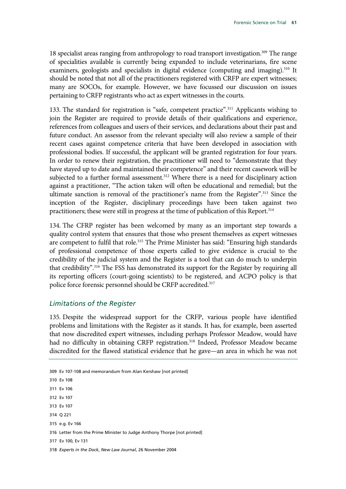18 specialist areas ranging from anthropology to road transport investigation.309 The range of specialities available is currently being expanded to include veterinarians, fire scene examiners, geologists and specialists in digital evidence (computing and imaging).<sup>310</sup> It should be noted that not all of the practitioners registered with CRFP are expert witnesses; many are SOCOs, for example. However, we have focussed our discussion on issues pertaining to CRFP registrants who act as expert witnesses in the courts.

133. The standard for registration is "safe, competent practice".311 Applicants wishing to join the Register are required to provide details of their qualifications and experience, references from colleagues and users of their services, and declarations about their past and future conduct. An assessor from the relevant specialty will also review a sample of their recent cases against competence criteria that have been developed in association with professional bodies. If successful, the applicant will be granted registration for four years. In order to renew their registration, the practitioner will need to "demonstrate that they have stayed up to date and maintained their competence" and their recent casework will be subjected to a further formal assessment.<sup>312</sup> Where there is a need for disciplinary action against a practitioner, "The action taken will often be educational and remedial; but the ultimate sanction is removal of the practitioner's name from the Register".<sup>313</sup> Since the inception of the Register, disciplinary proceedings have been taken against two practitioners; these were still in progress at the time of publication of this Report.<sup>314</sup>

134. The CFRP register has been welcomed by many as an important step towards a quality control system that ensures that those who present themselves as expert witnesses are competent to fulfil that role.<sup>315</sup> The Prime Minister has said: "Ensuring high standards of professional competence of those experts called to give evidence is crucial to the credibility of the judicial system and the Register is a tool that can do much to underpin that credibility".316 The FSS has demonstrated its support for the Register by requiring all its reporting officers (court-going scientists) to be registered, and ACPO policy is that police force forensic personnel should be CRFP accredited.317

## *Limitations of the Register*

135. Despite the widespread support for the CRFP, various people have identified problems and limitations with the Register as it stands. It has, for example, been asserted that now discredited expert witnesses, including perhaps Professor Meadow, would have had no difficulty in obtaining CRFP registration.<sup>318</sup> Indeed, Professor Meadow became discredited for the flawed statistical evidence that he gave—an area in which he was not

309 Ev 107-108 and memorandum from Alan Kershaw [not printed] 310 Ev 108 311 Ev 106 312 Ev 107 313 Ev 107 314 Q 221 315 e.g. Ev 166 316 Letter from the Prime Minister to Judge Anthony Thorpe [not printed] 317 Ev 100, Ev 131

318 *Experts in the Dock*, *New Law Journal*, 26 November 2004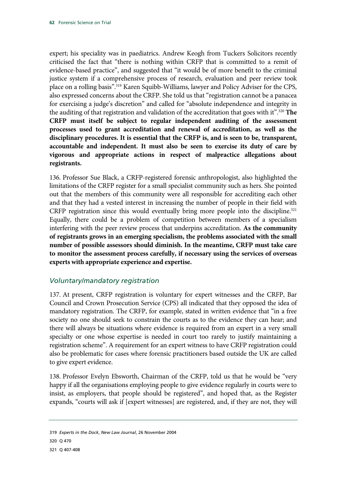expert; his speciality was in paediatrics. Andrew Keogh from Tuckers Solicitors recently criticised the fact that "there is nothing within CRFP that is committed to a remit of evidence-based practice", and suggested that "it would be of more benefit to the criminal justice system if a comprehensive process of research, evaluation and peer review took place on a rolling basis".319 Karen Squibb-Williams, lawyer and Policy Adviser for the CPS, also expressed concerns about the CRFP. She told us that "registration cannot be a panacea for exercising a judge's discretion" and called for "absolute independence and integrity in the auditing of that registration and validation of the accreditation that goes with it".320 **The CRFP must itself be subject to regular independent auditing of the assessment processes used to grant accreditation and renewal of accreditation, as well as the disciplinary procedures. It is essential that the CRFP is, and is seen to be, transparent, accountable and independent. It must also be seen to exercise its duty of care by vigorous and appropriate actions in respect of malpractice allegations about registrants.**

136. Professor Sue Black, a CRFP-registered forensic anthropologist, also highlighted the limitations of the CRFP register for a small specialist community such as hers. She pointed out that the members of this community were all responsible for accrediting each other and that they had a vested interest in increasing the number of people in their field with CRFP registration since this would eventually bring more people into the discipline.<sup>321</sup> Equally, there could be a problem of competition between members of a specialism interfering with the peer review process that underpins accreditation. **As the community of registrants grows in an emerging specialism, the problems associated with the small number of possible assessors should diminish. In the meantime, CRFP must take care to monitor the assessment process carefully, if necessary using the services of overseas experts with appropriate experience and expertise.**

# *Voluntary/mandatory registration*

137. At present, CRFP registration is voluntary for expert witnesses and the CRFP, Bar Council and Crown Prosecution Service (CPS) all indicated that they opposed the idea of mandatory registration. The CRFP, for example, stated in written evidence that "in a free society no one should seek to constrain the courts as to the evidence they can hear; and there will always be situations where evidence is required from an expert in a very small specialty or one whose expertise is needed in court too rarely to justify maintaining a registration scheme". A requirement for an expert witness to have CRFP registration could also be problematic for cases where forensic practitioners based outside the UK are called to give expert evidence.

138. Professor Evelyn Ebsworth, Chairman of the CRFP, told us that he would be "very happy if all the organisations employing people to give evidence regularly in courts were to insist, as employers, that people should be registered", and hoped that, as the Register expands, "courts will ask if [expert witnesses] are registered, and, if they are not, they will

319 *Experts in the Dock*, *New Law Journal*, 26 November 2004

321 Q 407-408

<sup>320</sup> Q 470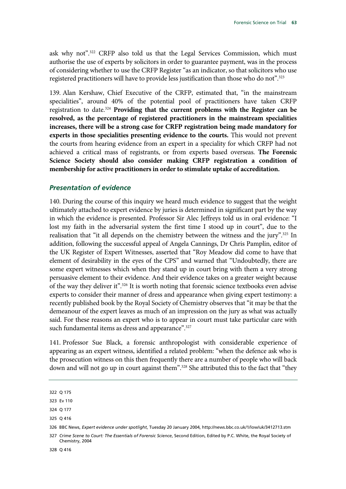ask why not".322 CRFP also told us that the Legal Services Commission, which must authorise the use of experts by solicitors in order to guarantee payment, was in the process of considering whether to use the CRFP Register "as an indicator, so that solicitors who use registered practitioners will have to provide less justification than those who do not".<sup>323</sup>

139. Alan Kershaw, Chief Executive of the CRFP, estimated that, "in the mainstream specialities", around 40% of the potential pool of practitioners have taken CRFP registration to date.324 **Providing that the current problems with the Register can be resolved, as the percentage of registered practitioners in the mainstream specialities increases, there will be a strong case for CRFP registration being made mandatory for experts in those specialities presenting evidence to the courts.** This would not prevent the courts from hearing evidence from an expert in a speciality for which CRFP had not achieved a critical mass of registrants, or from experts based overseas. **The Forensic Science Society should also consider making CRFP registration a condition of membership for active practitioners in order to stimulate uptake of accreditation.**

#### *Presentation of evidence*

140. During the course of this inquiry we heard much evidence to suggest that the weight ultimately attached to expert evidence by juries is determined in significant part by the way in which the evidence is presented. Professor Sir Alec Jeffreys told us in oral evidence: "I lost my faith in the adversarial system the first time I stood up in court", due to the realisation that "it all depends on the chemistry between the witness and the jury".<sup>325</sup> In addition, following the successful appeal of Angela Cannings, Dr Chris Pamplin, editor of the UK Register of Expert Witnesses, asserted that "Roy Meadow did come to have that element of desirability in the eyes of the CPS" and warned that "Undoubtedly, there are some expert witnesses which when they stand up in court bring with them a very strong persuasive element to their evidence. And their evidence takes on a greater weight because of the way they deliver it".326 It is worth noting that forensic science textbooks even advise experts to consider their manner of dress and appearance when giving expert testimony: a recently published book by the Royal Society of Chemistry observes that "it may be that the demeanour of the expert leaves as much of an impression on the jury as what was actually said. For these reasons an expert who is to appear in court must take particular care with such fundamental items as dress and appearance".<sup>327</sup>

141. Professor Sue Black, a forensic anthropologist with considerable experience of appearing as an expert witness, identified a related problem: "when the defence ask who is the prosecution witness on this then frequently there are a number of people who will back down and will not go up in court against them".<sup>328</sup> She attributed this to the fact that "they

<sup>322</sup> Q 175

<sup>323</sup> Ev 110

<sup>324</sup> Q 177

<sup>325</sup> Q 416

<sup>326</sup> BBC News, *Expert evidence under spotlight*, Tuesday 20 January 2004, http://news.bbc.co.uk/1/low/uk/3412713.stm

<sup>327</sup> *Crime Scene to Court: The Essentials of Forensic Science*, Second Edition, Edited by P.C. White, the Royal Society of Chemistry, 2004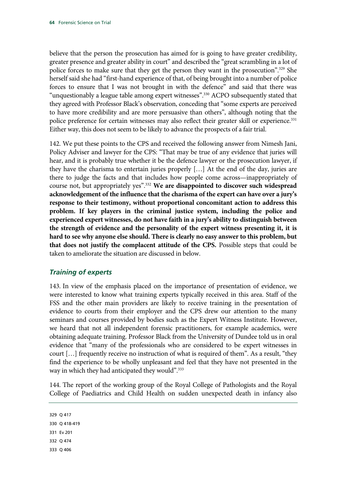believe that the person the prosecution has aimed for is going to have greater credibility, greater presence and greater ability in court" and described the "great scrambling in a lot of police forces to make sure that they get the person they want in the prosecution".329 She herself said she had "first-hand experience of that, of being brought into a number of police forces to ensure that I was not brought in with the defence" and said that there was "unquestionably a league table among expert witnesses".330 ACPO subsequently stated that they agreed with Professor Black's observation, conceding that "some experts are perceived to have more credibility and are more persuasive than others", although noting that the police preference for certain witnesses may also reflect their greater skill or experience.<sup>331</sup> Either way, this does not seem to be likely to advance the prospects of a fair trial.

142. We put these points to the CPS and received the following answer from Nimesh Jani, Policy Adviser and lawyer for the CPS: "That may be true of any evidence that juries will hear, and it is probably true whether it be the defence lawyer or the prosecution lawyer, if they have the charisma to entertain juries properly […] At the end of the day, juries are there to judge the facts and that includes how people come across—inappropriately of course not, but appropriately yes".332 **We are disappointed to discover such widespread acknowledgement of the influence that the charisma of the expert can have over a jury's response to their testimony, without proportional concomitant action to address this problem. If key players in the criminal justice system, including the police and experienced expert witnesses, do not have faith in a jury's ability to distinguish between the strength of evidence and the personality of the expert witness presenting it, it is hard to see why anyone else should. There is clearly no easy answer to this problem, but that does not justify the complacent attitude of the CPS.** Possible steps that could be taken to ameliorate the situation are discussed in below.

# *Training of experts*

143. In view of the emphasis placed on the importance of presentation of evidence, we were interested to know what training experts typically received in this area. Staff of the FSS and the other main providers are likely to receive training in the presentation of evidence to courts from their employer and the CPS drew our attention to the many seminars and courses provided by bodies such as the Expert Witness Institute. However, we heard that not all independent forensic practitioners, for example academics, were obtaining adequate training. Professor Black from the University of Dundee told us in oral evidence that "many of the professionals who are considered to be expert witnesses in court […] frequently receive no instruction of what is required of them". As a result, "they find the experience to be wholly unpleasant and feel that they have not presented in the way in which they had anticipated they would".<sup>333</sup>

144. The report of the working group of the Royal College of Pathologists and the Royal College of Paediatrics and Child Health on sudden unexpected death in infancy also

329 Q 417 330 Q 418-419 331 Ev 201 332 Q 474 333 Q 406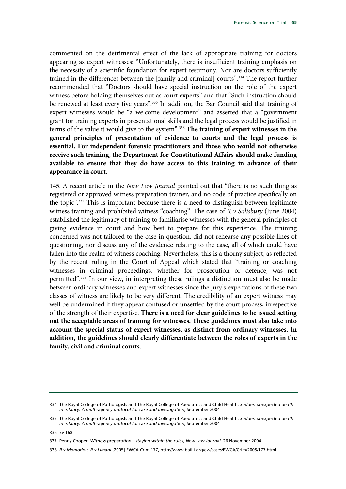commented on the detrimental effect of the lack of appropriate training for doctors appearing as expert witnesses: "Unfortunately, there is insufficient training emphasis on the necessity of a scientific foundation for expert testimony. Nor are doctors sufficiently trained in the differences between the [family and criminal] courts".334 The report further recommended that "Doctors should have special instruction on the role of the expert witness before holding themselves out as court experts" and that "Such instruction should be renewed at least every five years".<sup>335</sup> In addition, the Bar Council said that training of expert witnesses would be "a welcome development" and asserted that a "government grant for training experts in presentational skills and the legal process would be justified in terms of the value it would give to the system".336 **The training of expert witnesses in the general principles of presentation of evidence to courts and the legal process is essential. For independent forensic practitioners and those who would not otherwise receive such training, the Department for Constitutional Affairs should make funding available to ensure that they do have access to this training in advance of their appearance in court.**

145. A recent article in the *New Law Journal* pointed out that "there is no such thing as registered or approved witness preparation trainer, and no code of practice specifically on the topic".337 This is important because there is a need to distinguish between legitimate witness training and prohibited witness "coaching". The case of *R v Salisbury* (June 2004) established the legitimacy of training to familiarise witnesses with the general principles of giving evidence in court and how best to prepare for this experience. The training concerned was not tailored to the case in question, did not rehearse any possible lines of questioning, nor discuss any of the evidence relating to the case, all of which could have fallen into the realm of witness coaching. Nevertheless, this is a thorny subject, as reflected by the recent ruling in the Court of Appeal which stated that "training or coaching witnesses in criminal proceedings, whether for prosecution or defence, was not permitted".338 In our view, in interpreting these rulings a distinction must also be made between ordinary witnesses and expert witnesses since the jury's expectations of these two classes of witness are likely to be very different. The credibility of an expert witness may well be undermined if they appear confused or unsettled by the court process, irrespective of the strength of their expertise. **There is a need for clear guidelines to be issued setting out the acceptable areas of training for witnesses. These guidelines must also take into account the special status of expert witnesses, as distinct from ordinary witnesses. In addition, the guidelines should clearly differentiate between the roles of experts in the family, civil and criminal courts.**

336 Ev 168

338 *R v Momodou, R v Limani* [2005] EWCA Crim 177, http://www.bailii.org/ew/cases/EWCA/Crim/2005/177.html

<sup>334</sup> The Royal College of Pathologists and The Royal College of Paediatrics and Child Health, *Sudden unexpected death in infancy: A multi-agency protocol for care and investigation*, September 2004

<sup>335</sup> The Royal College of Pathologists and The Royal College of Paediatrics and Child Health, *Sudden unexpected death in infancy: A multi-agency protocol for care and investigation*, September 2004

<sup>337</sup> Penny Cooper, *Witness preparation—staying within the rules*, *New Law Journal*, 26 November 2004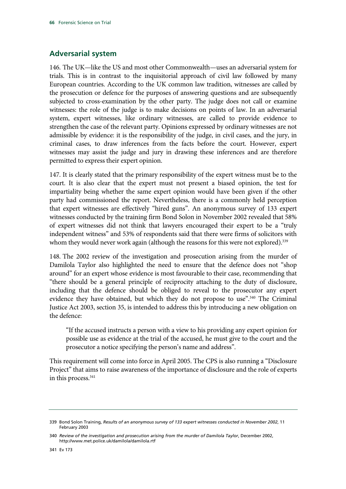## **Adversarial system**

146. The UK—like the US and most other Commonwealth—uses an adversarial system for trials. This is in contrast to the inquisitorial approach of civil law followed by many European countries. According to the UK common law tradition, witnesses are called by the prosecution or defence for the purposes of answering questions and are subsequently subjected to cross-examination by the other party. The judge does not call or examine witnesses: the role of the judge is to make decisions on points of law. In an adversarial system, expert witnesses, like ordinary witnesses, are called to provide evidence to strengthen the case of the relevant party. Opinions expressed by ordinary witnesses are not admissible by evidence: it is the responsibility of the judge, in civil cases, and the jury, in criminal cases, to draw inferences from the facts before the court. However, expert witnesses may assist the judge and jury in drawing these inferences and are therefore permitted to express their expert opinion.

147. It is clearly stated that the primary responsibility of the expert witness must be to the court. It is also clear that the expert must not present a biased opinion, the test for impartiality being whether the same expert opinion would have been given if the other party had commissioned the report. Nevertheless, there is a commonly held perception that expert witnesses are effectively "hired guns". An anonymous survey of 133 expert witnesses conducted by the training firm Bond Solon in November 2002 revealed that 58% of expert witnesses did not think that lawyers encouraged their expert to be a "truly independent witness" and 53% of respondents said that there were firms of solicitors with whom they would never work again (although the reasons for this were not explored).<sup>339</sup>

148. The 2002 review of the investigation and prosecution arising from the murder of Damilola Taylor also highlighted the need to ensure that the defence does not "shop around" for an expert whose evidence is most favourable to their case, recommending that "there should be a general principle of reciprocity attaching to the duty of disclosure, including that the defence should be obliged to reveal to the prosecutor any expert evidence they have obtained, but which they do not propose to use".<sup>340</sup> The Criminal Justice Act 2003, section 35, is intended to address this by introducing a new obligation on the defence:

"If the accused instructs a person with a view to his providing any expert opinion for possible use as evidence at the trial of the accused, he must give to the court and the prosecutor a notice specifying the person's name and address".

This requirement will come into force in April 2005. The CPS is also running a "Disclosure Project" that aims to raise awareness of the importance of disclosure and the role of experts in this process.<sup>341</sup>

<sup>339</sup> Bond Solon Training, *Results of an anonymous survey of 133 expert witnesses conducted in November 2002*, 11 February 2003

<sup>340</sup> *Review of the investigation and prosecution arising from the murder of Damilola Taylor*, December 2002, http://www.met.police.uk/damilola/damilola.rtf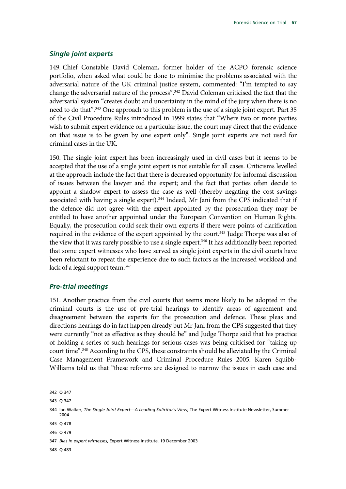### *Single joint experts*

149. Chief Constable David Coleman, former holder of the ACPO forensic science portfolio, when asked what could be done to minimise the problems associated with the adversarial nature of the UK criminal justice system, commented: "I'm tempted to say change the adversarial nature of the process".342 David Coleman criticised the fact that the adversarial system "creates doubt and uncertainty in the mind of the jury when there is no need to do that".<sup>343</sup> One approach to this problem is the use of a single joint expert. Part 35 of the Civil Procedure Rules introduced in 1999 states that "Where two or more parties wish to submit expert evidence on a particular issue, the court may direct that the evidence on that issue is to be given by one expert only". Single joint experts are not used for criminal cases in the UK.

150. The single joint expert has been increasingly used in civil cases but it seems to be accepted that the use of a single joint expert is not suitable for all cases. Criticisms levelled at the approach include the fact that there is decreased opportunity for informal discussion of issues between the lawyer and the expert; and the fact that parties often decide to appoint a shadow expert to assess the case as well (thereby negating the cost savings associated with having a single expert).<sup>344</sup> Indeed, Mr Jani from the CPS indicated that if the defence did not agree with the expert appointed by the prosecution they may be entitled to have another appointed under the European Convention on Human Rights. Equally, the prosecution could seek their own experts if there were points of clarification required in the evidence of the expert appointed by the court.<sup>345</sup> Judge Thorpe was also of the view that it was rarely possible to use a single expert.<sup>346</sup> It has additionally been reported that some expert witnesses who have served as single joint experts in the civil courts have been reluctant to repeat the experience due to such factors as the increased workload and lack of a legal support team.<sup>347</sup>

#### *Pre-trial meetings*

151. Another practice from the civil courts that seems more likely to be adopted in the criminal courts is the use of pre-trial hearings to identify areas of agreement and disagreement between the experts for the prosecution and defence. These pleas and directions hearings do in fact happen already but Mr Jani from the CPS suggested that they were currently "not as effective as they should be" and Judge Thorpe said that his practice of holding a series of such hearings for serious cases was being criticised for "taking up court time".348 According to the CPS, these constraints should be alleviated by the Criminal Case Management Framework and Criminal Procedure Rules 2005. Karen Squibb-Williams told us that "these reforms are designed to narrow the issues in each case and

342 Q 347

343 Q 347

<sup>344</sup> Ian Walker, *The Single Joint Expert—A Leading Solicitor's View*, The Expert Witness Institute Newsletter, Summer 2004

<sup>345</sup> Q 478

<sup>346</sup> Q 479

<sup>347</sup> *Bias in expert witnesses*, Expert Witness Institute, 19 December 2003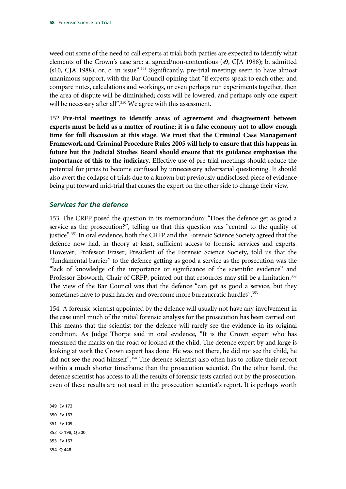weed out some of the need to call experts at trial; both parties are expected to identify what elements of the Crown's case are: a. agreed/non-contentious (s9, CJA 1988); b. admitted (s10, CJA 1988), or; c. in issue".<sup>349</sup> Significantly, pre-trial meetings seem to have almost unanimous support, with the Bar Council opining that "if experts speak to each other and compare notes, calculations and workings, or even perhaps run experiments together, then the area of dispute will be diminished; costs will be lowered, and perhaps only one expert will be necessary after all".<sup>350</sup> We agree with this assessment.

152. **Pre-trial meetings to identify areas of agreement and disagreement between experts must be held as a matter of routine; it is a false economy not to allow enough time for full discussion at this stage. We trust that the Criminal Case Management Framework and Criminal Procedure Rules 2005 will help to ensure that this happens in future but the Judicial Studies Board should ensure that its guidance emphasises the importance of this to the judiciary.** Effective use of pre-trial meetings should reduce the potential for juries to become confused by unnecessary adversarial questioning. It should also avert the collapse of trials due to a known but previously undisclosed piece of evidence being put forward mid-trial that causes the expert on the other side to change their view.

## *Services for the defence*

153. The CRFP posed the question in its memorandum: "Does the defence get as good a service as the prosecution?", telling us that this question was "central to the quality of justice".351 In oral evidence, both the CRFP and the Forensic Science Society agreed that the defence now had, in theory at least, sufficient access to forensic services and experts. However, Professor Fraser, President of the Forensic Science Society, told us that the "fundamental barrier" to the defence getting as good a service as the prosecution was the "lack of knowledge of the importance or significance of the scientific evidence" and Professor Ebsworth, Chair of CRFP, pointed out that resources may still be a limitation.<sup>352</sup> The view of the Bar Council was that the defence "can get as good a service, but they sometimes have to push harder and overcome more bureaucratic hurdles".<sup>353</sup>

154. A forensic scientist appointed by the defence will usually not have any involvement in the case until much of the initial forensic analysis for the prosecution has been carried out. This means that the scientist for the defence will rarely see the evidence in its original condition. As Judge Thorpe said in oral evidence, "It is the Crown expert who has measured the marks on the road or looked at the child. The defence expert by and large is looking at work the Crown expert has done. He was not there, he did not see the child, he did not see the road himself".354 The defence scientist also often has to collate their report within a much shorter timeframe than the prosecution scientist. On the other hand, the defence scientist has access to all the results of forensic tests carried out by the prosecution, even of these results are not used in the prosecution scientist's report. It is perhaps worth

349 Ev 173 350 Ev 167 351 Ev 109 352 Q 198, Q 200 353 Ev 167 354 Q 448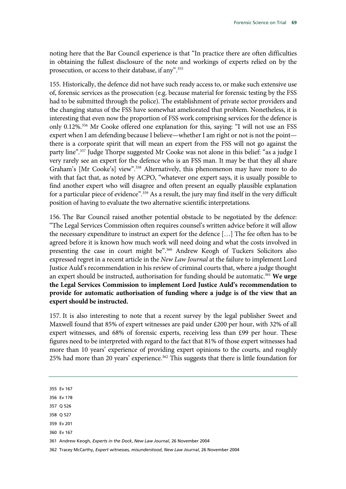noting here that the Bar Council experience is that "In practice there are often difficulties in obtaining the fullest disclosure of the note and workings of experts relied on by the prosecution, or access to their database, if any".355

155. Historically, the defence did not have such ready access to, or make such extensive use of, forensic services as the prosecution (e.g. because material for forensic testing by the FSS had to be submitted through the police). The establishment of private sector providers and the changing status of the FSS have somewhat ameliorated that problem. Nonetheless, it is interesting that even now the proportion of FSS work comprising services for the defence is only 0.12%.356 Mr Cooke offered one explanation for this, saying: "I will not use an FSS expert when I am defending because I believe—whether I am right or not is not the point there is a corporate spirit that will mean an expert from the FSS will not go against the party line".357 Judge Thorpe suggested Mr Cooke was not alone in this belief: "as a judge I very rarely see an expert for the defence who is an FSS man. It may be that they all share Graham's [Mr Cooke's] view".<sup>358</sup> Alternatively, this phenomenon may have more to do with that fact that, as noted by ACPO, "whatever one expert says, it is usually possible to find another expert who will disagree and often present an equally plausible explanation for a particular piece of evidence".<sup>359</sup> As a result, the jury may find itself in the very difficult position of having to evaluate the two alternative scientific interpretations.

156. The Bar Council raised another potential obstacle to be negotiated by the defence: "The Legal Services Commission often requires counsel's written advice before it will allow the necessary expenditure to instruct an expert for the defence […] The fee often has to be agreed before it is known how much work will need doing and what the costs involved in presenting the case in court might be".<sup>360</sup> Andrew Keogh of Tuckers Solicitors also expressed regret in a recent article in the *New Law Journal* at the failure to implement Lord Justice Auld's recommendation in his review of criminal courts that, where a judge thought an expert should be instructed, authorisation for funding should be automatic.<sup>361</sup> We urge **the Legal Services Commission to implement Lord Justice Auld's recommendation to provide for automatic authorisation of funding where a judge is of the view that an expert should be instructed.**

157. It is also interesting to note that a recent survey by the legal publisher Sweet and Maxwell found that 85% of expert witnesses are paid under £200 per hour, with 32% of all expert witnesses, and 68% of forensic experts, receiving less than £99 per hour. These figures need to be interpreted with regard to the fact that 81% of those expert witnesses had more than 10 years' experience of providing expert opinions to the courts, and roughly 25% had more than 20 years' experience.<sup>362</sup> This suggests that there is little foundation for

355 Ev 167

356 Ev 178

- 357 Q 526
- 358 Q 527
- 359 Ev 201
- 360 Ev 167

361 Andrew Keogh, *Experts in the Dock*, *New Law Journal*, 26 November 2004

362 Tracey McCarthy, *Expert witnesses, misunderstood*, *New Law Journal*, 26 November 2004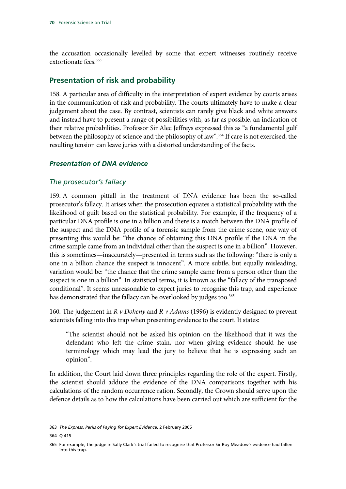the accusation occasionally levelled by some that expert witnesses routinely receive extortionate fees.<sup>363</sup>

### **Presentation of risk and probability**

158. A particular area of difficulty in the interpretation of expert evidence by courts arises in the communication of risk and probability. The courts ultimately have to make a clear judgement about the case. By contrast, scientists can rarely give black and white answers and instead have to present a range of possibilities with, as far as possible, an indication of their relative probabilities. Professor Sir Alec Jeffreys expressed this as "a fundamental gulf between the philosophy of science and the philosophy of law".364 If care is not exercised, the resulting tension can leave juries with a distorted understanding of the facts.

### *Presentation of DNA evidence*

### *The prosecutor's fallacy*

159. A common pitfall in the treatment of DNA evidence has been the so-called prosecutor's fallacy. It arises when the prosecution equates a statistical probability with the likelihood of guilt based on the statistical probability. For example, if the frequency of a particular DNA profile is one in a billion and there is a match between the DNA profile of the suspect and the DNA profile of a forensic sample from the crime scene, one way of presenting this would be: "the chance of obtaining this DNA profile if the DNA in the crime sample came from an individual other than the suspect is one in a billion". However, this is sometimes—inaccurately—presented in terms such as the following: "there is only a one in a billion chance the suspect is innocent". A more subtle, but equally misleading, variation would be: "the chance that the crime sample came from a person other than the suspect is one in a billion". In statistical terms, it is known as the "fallacy of the transposed conditional". It seems unreasonable to expect juries to recognise this trap, and experience has demonstrated that the fallacy can be overlooked by judges too.<sup>365</sup>

160. The judgement in *R v Doheny* and *R v Adams* (1996) is evidently designed to prevent scientists falling into this trap when presenting evidence to the court. It states:

"The scientist should not be asked his opinion on the likelihood that it was the defendant who left the crime stain, nor when giving evidence should he use terminology which may lead the jury to believe that he is expressing such an opinion".

In addition, the Court laid down three principles regarding the role of the expert. Firstly, the scientist should adduce the evidence of the DNA comparisons together with his calculations of the random occurrence ration. Secondly, the Crown should serve upon the defence details as to how the calculations have been carried out which are sufficient for the

<sup>363</sup> *The Express*, *Perils of Paying for Expert Evidence*, 2 February 2005

<sup>364</sup> Q 415

<sup>365</sup> For example, the judge in Sally Clark's trial failed to recognise that Professor Sir Roy Meadow's evidence had fallen into this trap.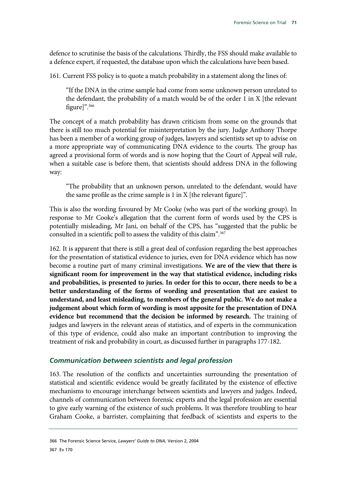defence to scrutinise the basis of the calculations. Thirdly, the FSS should make available to a defence expert, if requested, the database upon which the calculations have been based.

161. Current FSS policy is to quote a match probability in a statement along the lines of:

"If the DNA in the crime sample had come from some unknown person unrelated to the defendant, the probability of a match would be of the order 1 in X [the relevant figure]".366

The concept of a match probability has drawn criticism from some on the grounds that there is still too much potential for misinterpretation by the jury. Judge Anthony Thorpe has been a member of a working group of judges, lawyers and scientists set up to advise on a more appropriate way of communicating DNA evidence to the courts. The group has agreed a provisional form of words and is now hoping that the Court of Appeal will rule, when a suitable case is before them, that scientists should address DNA in the following way:

"The probability that an unknown person, unrelated to the defendant, would have the same profile as the crime sample is 1 in X [the relevant figure]".

This is also the wording favoured by Mr Cooke (who was part of the working group). In response to Mr Cooke's allegation that the current form of words used by the CPS is potentially misleading, Mr Jani, on behalf of the CPS, has "suggested that the public be consulted in a scientific poll to assess the validity of this claim".367

162. It is apparent that there is still a great deal of confusion regarding the best approaches for the presentation of statistical evidence to juries, even for DNA evidence which has now become a routine part of many criminal investigations. **We are of the view that there is significant room for improvement in the way that statistical evidence, including risks and probabilities, is presented to juries. In order for this to occur, there needs to be a better understanding of the forms of wording and presentation that are easiest to understand, and least misleading, to members of the general public. We do not make a judgement about which form of wording is most apposite for the presentation of DNA evidence but recommend that the decision be informed by research.** The training of judges and lawyers in the relevant areas of statistics, and of experts in the communication of this type of evidence, could also make an important contribution to improving the treatment of risk and probability in court, as discussed further in paragraphs 177-182.

### *Communication between scientists and legal profession*

163. The resolution of the conflicts and uncertainties surrounding the presentation of statistical and scientific evidence would be greatly facilitated by the existence of effective mechanisms to encourage interchange between scientists and lawyers and judges. Indeed, channels of communication between forensic experts and the legal profession are essential to give early warning of the existence of such problems. It was therefore troubling to hear Graham Cooke, a barrister, complaining that feedback of scientists and experts to the

<sup>366</sup> The Forensic Science Service, *Lawyers' Guide to DNA*, Version 2, 2004 367 Ev 170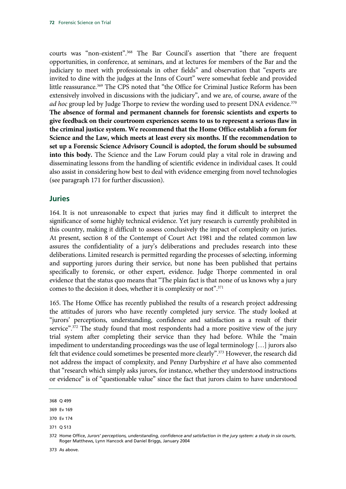courts was "non-existent".368 The Bar Council's assertion that "there are frequent opportunities, in conference, at seminars, and at lectures for members of the Bar and the judiciary to meet with professionals in other fields" and observation that "experts are invited to dine with the judges at the Inns of Court" were somewhat feeble and provided little reassurance.<sup>369</sup> The CPS noted that "the Office for Criminal Justice Reform has been extensively involved in discussions with the judiciary", and we are, of course, aware of the *ad hoc* group led by Judge Thorpe to review the wording used to present DNA evidence.<sup>370</sup> **The absence of formal and permanent channels for forensic scientists and experts to give feedback on their courtroom experiences seems to us to represent a serious flaw in the criminal justice system. We recommend that the Home Office establish a forum for Science and the Law, which meets at least every six months. If the recommendation to set up a Forensic Science Advisory Council is adopted, the forum should be subsumed into this body.** The Science and the Law Forum could play a vital role in drawing and disseminating lessons from the handling of scientific evidence in individual cases. It could also assist in considering how best to deal with evidence emerging from novel technologies (see paragraph 171 for further discussion).

#### **Juries**

164. It is not unreasonable to expect that juries may find it difficult to interpret the significance of some highly technical evidence. Yet jury research is currently prohibited in this country, making it difficult to assess conclusively the impact of complexity on juries. At present, section 8 of the Contempt of Court Act 1981 and the related common law assures the confidentiality of a jury's deliberations and precludes research into these deliberations. Limited research is permitted regarding the processes of selecting, informing and supporting jurors during their service, but none has been published that pertains specifically to forensic, or other expert, evidence. Judge Thorpe commented in oral evidence that the status quo means that "The plain fact is that none of us knows why a jury comes to the decision it does, whether it is complexity or not".<sup>371</sup>

165. The Home Office has recently published the results of a research project addressing the attitudes of jurors who have recently completed jury service. The study looked at "jurors' perceptions, understanding, confidence and satisfaction as a result of their service".<sup>372</sup> The study found that most respondents had a more positive view of the jury trial system after completing their service than they had before. While the "main impediment to understanding proceedings was the use of legal terminology […] jurors also felt that evidence could sometimes be presented more clearly".<sup>373</sup> However, the research did not address the impact of complexity, and Penny Darbyshire *et al* have also commented that "research which simply asks jurors, for instance, whether they understood instructions or evidence" is of "questionable value" since the fact that jurors claim to have understood

373 As above.

<sup>368</sup> Q 499

<sup>369</sup> Ev 169

<sup>370</sup> Ev 174

<sup>371</sup> Q 513

<sup>372</sup> Home Office, *Jurors' perceptions, understanding, confidence and satisfaction in the jury system: a study in six courts*, Roger Matthews, Lynn Hancock and Daniel Briggs, January 2004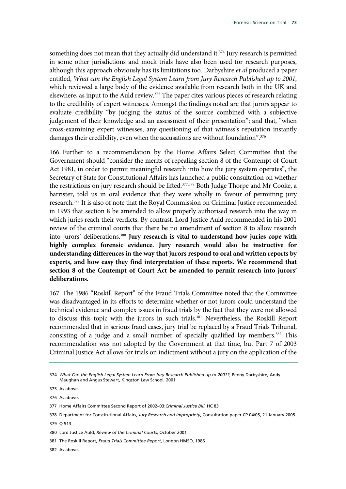something does not mean that they actually did understand it.<sup>374</sup> Jury research is permitted in some other jurisdictions and mock trials have also been used for research purposes, although this approach obviously has its limitations too. Darbyshire *et al* produced a paper entitled, *What can the English Legal System Learn from Jury Research Published up to 2001*, which reviewed a large body of the evidence available from research both in the UK and elsewhere, as input to the Auld review.<sup>375</sup> The paper cites various pieces of research relating to the credibility of expert witnesses. Amongst the findings noted are that jurors appear to evaluate credibility "by judging the status of the source combined with a subjective judgement of their knowledge and an assessment of their presentation"; and that, "when cross-examining expert witnesses, any questioning of that witness's reputation instantly damages their credibility, even when the accusations are without foundation".376

166. Further to a recommendation by the Home Affairs Select Committee that the Government should "consider the merits of repealing section 8 of the Contempt of Court Act 1981, in order to permit meaningful research into how the jury system operates", the Secretary of State for Constitutional Affairs has launched a public consultation on whether the restrictions on jury research should be lifted.<sup>377,378</sup> Both Judge Thorpe and Mr Cooke, a barrister, told us in oral evidence that they were wholly in favour of permitting jury research.379 It is also of note that the Royal Commission on Criminal Justice recommended in 1993 that section 8 be amended to allow properly authorised research into the way in which juries reach their verdicts. By contrast, Lord Justice Auld recommended in his 2001 review of the criminal courts that there be no amendment of section 8 to allow research into jurors' deliberations.380 **Jury research is vital to understand how juries cope with highly complex forensic evidence. Jury research would also be instructive for understanding differences in the way that jurors respond to oral and written reports by experts, and how easy they find interpretation of these reports. We recommend that section 8 of the Contempt of Court Act be amended to permit research into jurors' deliberations.**

167. The 1986 "Roskill Report" of the Fraud Trials Committee noted that the Committee was disadvantaged in its efforts to determine whether or not jurors could understand the technical evidence and complex issues in fraud trials by the fact that they were not allowed to discuss this topic with the jurors in such trials.<sup>381</sup> Nevertheless, the Roskill Report recommended that in serious fraud cases, jury trial be replaced by a Fraud Trials Tribunal, consisting of a judge and a small number of specially qualified lay members.<sup>382</sup> This recommendation was not adopted by the Government at that time, but Part 7 of 2003 Criminal Justice Act allows for trials on indictment without a jury on the application of the

382 As above.

<sup>374</sup> *What Can the English Legal System Learn From Jury Research Published up to 2001?*, Penny Darbyshire, Andy Maughan and Angus Stewart, Kingston Law School, 2001

<sup>375</sup> As above.

<sup>376</sup> As above.

<sup>377</sup> Home Affairs Committee Second Report of 2002–03:*Criminal Justice Bill*, HC 83

<sup>378</sup> Department for Constitutional Affairs, *Jury Research and Impropriety*, Consultation paper CP 04/05, 21 January 2005

<sup>379</sup> Q 513

<sup>380</sup> Lord Justice Auld, *Review of the Criminal Courts*, October 2001

<sup>381</sup> The Roskill Report, *Fraud Trials Committee Report*, London HMSO, 1986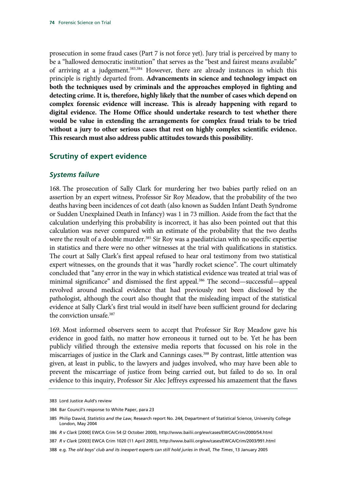prosecution in some fraud cases (Part 7 is not force yet). Jury trial is perceived by many to be a "hallowed democratic institution" that serves as the "best and fairest means available" of arriving at a judgement.383,384 However, there are already instances in which this principle is rightly departed from. **Advancements in science and technology impact on both the techniques used by criminals and the approaches employed in fighting and detecting crime. It is, therefore, highly likely that the number of cases which depend on complex forensic evidence will increase. This is already happening with regard to digital evidence. The Home Office should undertake research to test whether there would be value in extending the arrangements for complex fraud trials to be tried without a jury to other serious cases that rest on highly complex scientific evidence. This research must also address public attitudes towards this possibility.**

### **Scrutiny of expert evidence**

#### *Systems failure*

168. The prosecution of Sally Clark for murdering her two babies partly relied on an assertion by an expert witness, Professor Sir Roy Meadow, that the probability of the two deaths having been incidences of cot death (also known as Sudden Infant Death Syndrome or Sudden Unexplained Death in Infancy) was 1 in 73 million. Aside from the fact that the calculation underlying this probability is incorrect, it has also been pointed out that this calculation was never compared with an estimate of the probability that the two deaths were the result of a double murder.<sup>385</sup> Sir Roy was a paediatrician with no specific expertise in statistics and there were no other witnesses at the trial with qualifications in statistics. The court at Sally Clark's first appeal refused to hear oral testimony from two statistical expert witnesses, on the grounds that it was "hardly rocket science". The court ultimately concluded that "any error in the way in which statistical evidence was treated at trial was of minimal significance" and dismissed the first appeal.<sup>386</sup> The second—successful—appeal revolved around medical evidence that had previously not been disclosed by the pathologist, although the court also thought that the misleading impact of the statistical evidence at Sally Clark's first trial would in itself have been sufficient ground for declaring the conviction unsafe.<sup>387</sup>

169. Most informed observers seem to accept that Professor Sir Roy Meadow gave his evidence in good faith, no matter how erroneous it turned out to be. Yet he has been publicly vilified through the extensive media reports that focussed on his role in the miscarriages of justice in the Clark and Cannings cases.<sup>388</sup> By contrast, little attention was given, at least in public, to the lawyers and judges involved, who may have been able to prevent the miscarriage of justice from being carried out, but failed to do so. In oral evidence to this inquiry, Professor Sir Alec Jeffreys expressed his amazement that the flaws

<sup>383</sup> Lord Justice Auld's review

<sup>384</sup> Bar Council's response to White Paper, para 23

<sup>385</sup> Philip Dawid, *Statistics and the Law*, Research report No. 244, Department of Statistical Science, University College London, May 2004

<sup>386</sup> *R v Clark* [2000] EWCA Crim 54 (2 October 2000), http://www.bailii.org/ew/cases/EWCA/Crim/2000/54.html

<sup>387</sup> *R v Clark* [2003] EWCA Crim 1020 (11 April 2003), http://www.bailii.org/ew/cases/EWCA/Crim/2003/991.html

<sup>388</sup> e.g. *The old boys' club and its inexpert experts can still hold juries in thrall*, *The Times*¸ 13 January 2005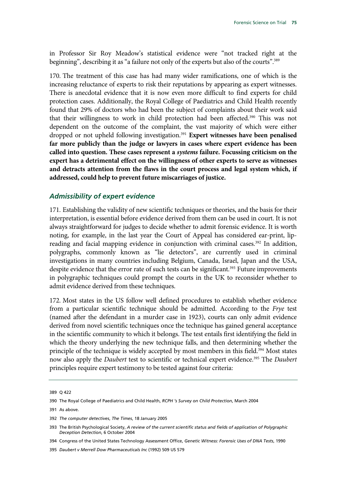in Professor Sir Roy Meadow's statistical evidence were "not tracked right at the beginning", describing it as "a failure not only of the experts but also of the courts".<sup>389</sup>

170. The treatment of this case has had many wider ramifications, one of which is the increasing reluctance of experts to risk their reputations by appearing as expert witnesses. There is anecdotal evidence that it is now even more difficult to find experts for child protection cases. Additionally, the Royal College of Paediatrics and Child Health recently found that 29% of doctors who had been the subject of complaints about their work said that their willingness to work in child protection had been affected.390 This was not dependent on the outcome of the complaint, the vast majority of which were either dropped or not upheld following investigation.<sup>391</sup> Expert witnesses have been penalised **far more publicly than the judge or lawyers in cases where expert evidence has been called into question. These cases represent a** *systems* **failure. Focussing criticism on the expert has a detrimental effect on the willingness of other experts to serve as witnesses and detracts attention from the flaws in the court process and legal system which, if addressed, could help to prevent future miscarriages of justice.**

#### *Admissibility of expert evidence*

171. Establishing the validity of new scientific techniques or theories, and the basis for their interpretation, is essential before evidence derived from them can be used in court. It is not always straightforward for judges to decide whether to admit forensic evidence. It is worth noting, for example, in the last year the Court of Appeal has considered ear-print, lipreading and facial mapping evidence in conjunction with criminal cases.<sup>392</sup> In addition, polygraphs, commonly known as "lie detectors", are currently used in criminal investigations in many countries including Belgium, Canada, Israel, Japan and the USA, despite evidence that the error rate of such tests can be significant.<sup>393</sup> Future improvements in polygraphic techniques could prompt the courts in the UK to reconsider whether to admit evidence derived from these techniques.

172. Most states in the US follow well defined procedures to establish whether evidence from a particular scientific technique should be admitted. According to the *Frye* test (named after the defendant in a murder case in 1923), courts can only admit evidence derived from novel scientific techniques once the technique has gained general acceptance in the scientific community to which it belongs. The test entails first identifying the field in which the theory underlying the new technique falls, and then determining whether the principle of the technique is widely accepted by most members in this field.<sup>394</sup> Most states now also apply the *Daubert* test to scientific or technical expert evidence.395 The *Daubert*  principles require expert testimony to be tested against four criteria:

<sup>389</sup> Q 422

<sup>390</sup> The Royal College of Paediatrics and Child Health, *RCPH 's Survey on Child Protection*, March 2004

<sup>391</sup> As above.

<sup>392</sup> *The computer detectives*, *The Times*, 18 January 2005

<sup>393</sup> The British Psychological Society, *A review of the current scientific status and fields of application of Polygraphic Deception Detection*, 6 October 2004

<sup>394</sup> Congress of the United States Technology Assessment Office, *Genetic Witness: Forensic Uses of DNA Tests*, 1990

<sup>395</sup> *Daubert v Merrell Dow Pharmaceuticals Inc* (1992) 509 US 579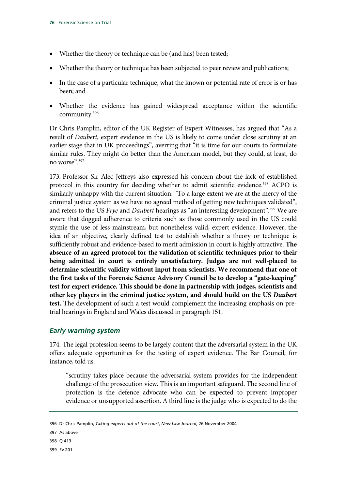- Whether the theory or technique can be (and has) been tested;
- Whether the theory or technique has been subjected to peer review and publications;
- In the case of a particular technique, what the known or potential rate of error is or has been; and
- Whether the evidence has gained widespread acceptance within the scientific community.396

Dr Chris Pamplin, editor of the UK Register of Expert Witnesses, has argued that "As a result of *Daubert*, expert evidence in the US is likely to come under close scrutiny at an earlier stage that in UK proceedings", averring that "it is time for our courts to formulate similar rules. They might do better than the American model, but they could, at least, do no worse".397

173. Professor Sir Alec Jeffreys also expressed his concern about the lack of established protocol in this country for deciding whether to admit scientific evidence.<sup>398</sup> ACPO is similarly unhappy with the current situation: "To a large extent we are at the mercy of the criminal justice system as we have no agreed method of getting new techniques validated", and refers to the US *Frye* and *Daubert* hearings as "an interesting development".399 We are aware that dogged adherence to criteria such as those commonly used in the US could stymie the use of less mainstream, but nonetheless valid, expert evidence. However, the idea of an objective, clearly defined test to establish whether a theory or technique is sufficiently robust and evidence-based to merit admission in court is highly attractive. **The absence of an agreed protocol for the validation of scientific techniques prior to their being admitted in court is entirely unsatisfactory. Judges are not well-placed to determine scientific validity without input from scientists. We recommend that one of the first tasks of the Forensic Science Advisory Council be to develop a "gate-keeping" test for expert evidence. This should be done in partnership with judges, scientists and other key players in the criminal justice system, and should build on the US** *Daubert* **test.** The development of such a test would complement the increasing emphasis on pretrial hearings in England and Wales discussed in paragraph 151.

#### *Early warning system*

174. The legal profession seems to be largely content that the adversarial system in the UK offers adequate opportunities for the testing of expert evidence. The Bar Council, for instance, told us:

"scrutiny takes place because the adversarial system provides for the independent challenge of the prosecution view. This is an important safeguard. The second line of protection is the defence advocate who can be expected to prevent improper evidence or unsupported assertion. A third line is the judge who is expected to do the

- 397 As above
- 398 Q 413
- 399 Ev 201

<sup>396</sup> Dr Chris Pamplin, *Taking experts out of the court*, *New Law Journal*, 26 November 2004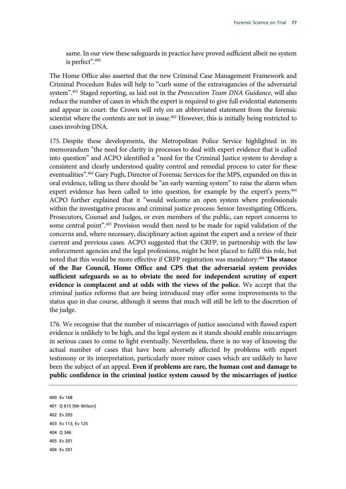same. In our view these safeguards in practice have proved sufficient albeit no system is perfect".400

The Home Office also asserted that the new Criminal Case Management Framework and Criminal Procedure Rules will help to "curb some of the extravagancies of the adversarial system".401 Staged reporting, as laid out in the *Prosecution Team DNA Guidance*, will also reduce the number of cases in which the expert is required to give full evidential statements and appear in court: the Crown will rely on an abbreviated statement from the forensic scientist where the contents are not in issue.<sup>402</sup> However, this is initially being restricted to cases involving DNA.

175. Despite these developments, the Metropolitan Police Service highlighted in its memorandum "the need for clarity in processes to deal with expert evidence that is called into question" and ACPO identified a "need for the Criminal Justice system to develop a consistent and clearly understood quality control and remedial process to cater for these eventualities".403 Gary Pugh, Director of Forensic Services for the MPS, expanded on this in oral evidence, telling us there should be "an early warning system" to raise the alarm when expert evidence has been called to into question, for example by the expert's peers.<sup>404</sup> ACPO further explained that it "would welcome an open system where professionals within the investigative process and criminal justice process: Senior Investigating Officers, Prosecutors, Counsel and Judges, or even members of the public, can report concerns to some central point".<sup>405</sup> Provision would then need to be made for rapid validation of the concerns and, where necessary, disciplinary action against the expert and a review of their current and previous cases. ACPO suggested that the CRFP, in partnership with the law enforcement agencies and the legal professions, might be best placed to fulfil this role, but noted that this would be more effective if CRFP registration was mandatory.406 **The stance of the Bar Council, Home Office and CPS that the adversarial system provides sufficient safeguards so as to obviate the need for independent scrutiny of expert evidence is complacent and at odds with the views of the police.** We accept that the criminal justice reforms that are being introduced may offer some improvements to the status quo in due course, although it seems that much will still be left to the discretion of the judge.

176. We recognise that the number of miscarriages of justice associated with flawed expert evidence is unlikely to be high, and the legal system as it stands should enable miscarriages in serious cases to come to light eventually. Nevertheless, there is no way of knowing the actual number of cases that have been adversely affected by problems with expert testimony or its interpretation, particularly more minor cases which are unlikely to have been the subject of an appeal. **Even if problems are rare, the human cost and damage to public confidence in the criminal justice system caused by the miscarriages of justice** 

400 Ev 168 401 Q 615 [Mr Wilson] 402 Ev 205 403 Ev 113, Ev 125 404 Q 346 405 Ev 201 406 Ev 201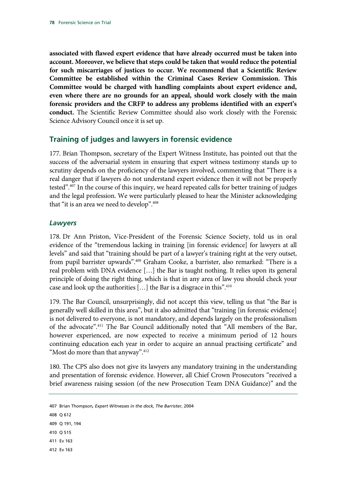**associated with flawed expert evidence that have already occurred must be taken into account. Moreover, we believe that steps could be taken that would reduce the potential for such miscarriages of justices to occur. We recommend that a Scientific Review Committee be established within the Criminal Cases Review Commission. This Committee would be charged with handling complaints about expert evidence and, even where there are no grounds for an appeal, should work closely with the main forensic providers and the CRFP to address any problems identified with an expert's conduct.** The Scientific Review Committee should also work closely with the Forensic Science Advisory Council once it is set up.

## **Training of judges and lawyers in forensic evidence**

177. Brian Thompson, secretary of the Expert Witness Institute, has pointed out that the success of the adversarial system in ensuring that expert witness testimony stands up to scrutiny depends on the proficiency of the lawyers involved, commenting that "There is a real danger that if lawyers do not understand expert evidence then it will not be properly tested".407 In the course of this inquiry, we heard repeated calls for better training of judges and the legal profession. We were particularly pleased to hear the Minister acknowledging that "it is an area we need to develop".<sup>408</sup>

#### *Lawyers*

178. Dr Ann Priston, Vice-President of the Forensic Science Society, told us in oral evidence of the "tremendous lacking in training [in forensic evidence] for lawyers at all levels" and said that "training should be part of a lawyer's training right at the very outset, from pupil barrister upwards".409 Graham Cooke, a barrister, also remarked: "There is a real problem with DNA evidence […] the Bar is taught nothing. It relies upon its general principle of doing the right thing, which is that in any area of law you should check your case and look up the authorities [...] the Bar is a disgrace in this".<sup>410</sup>

179. The Bar Council, unsurprisingly, did not accept this view, telling us that "the Bar is generally well skilled in this area", but it also admitted that "training [in forensic evidence] is not delivered to everyone, is not mandatory, and depends largely on the professionalism of the advocate".411 The Bar Council additionally noted that "All members of the Bar, however experienced, are now expected to receive a minimum period of 12 hours continuing education each year in order to acquire an annual practising certificate" and "Most do more than that anyway".<sup>412</sup>

180. The CPS also does not give its lawyers any mandatory training in the understanding and presentation of forensic evidence. However, all Chief Crown Prosecutors "received a brief awareness raising session (of the new Prosecution Team DNA Guidance)" and the

```
412 Ev 163
```
<sup>407</sup> Brian Thompson*, Expert Witnesses in the dock, The Barrister*, 2004

<sup>408</sup> Q 612

<sup>409</sup> Q 191, 194

<sup>410</sup> Q 515 411 Ev 163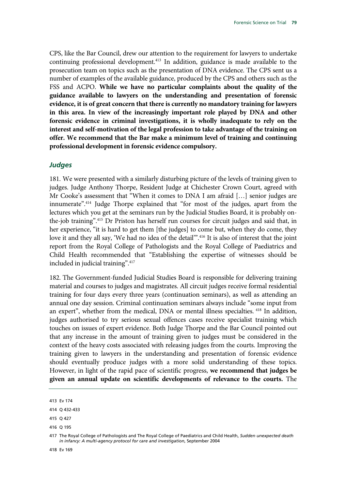CPS, like the Bar Council, drew our attention to the requirement for lawyers to undertake continuing professional development.413 In addition, guidance is made available to the prosecution team on topics such as the presentation of DNA evidence. The CPS sent us a number of examples of the available guidance, produced by the CPS and others such as the FSS and ACPO. **While we have no particular complaints about the quality of the guidance available to lawyers on the understanding and presentation of forensic evidence, it is of great concern that there is currently no mandatory training for lawyers in this area. In view of the increasingly important role played by DNA and other forensic evidence in criminal investigations, it is wholly inadequate to rely on the interest and self-motivation of the legal profession to take advantage of the training on offer. We recommend that the Bar make a minimum level of training and continuing professional development in forensic evidence compulsory.**

#### *Judges*

181. We were presented with a similarly disturbing picture of the levels of training given to judges. Judge Anthony Thorpe, Resident Judge at Chichester Crown Court, agreed with Mr Cooke's assessment that "When it comes to DNA I am afraid […] senior judges are innumerate".414 Judge Thorpe explained that "for most of the judges, apart from the lectures which you get at the seminars run by the Judicial Studies Board, it is probably onthe-job training".415 Dr Priston has herself run courses for circuit judges and said that, in her experience, "it is hard to get them [the judges] to come but, when they do come, they love it and they all say, 'We had no idea of the detail'".<sup>416</sup> It is also of interest that the joint report from the Royal College of Pathologists and the Royal College of Paediatrics and Child Health recommended that "Establishing the expertise of witnesses should be included in judicial training".417

182. The Government-funded Judicial Studies Board is responsible for delivering training material and courses to judges and magistrates. All circuit judges receive formal residential training for four days every three years (continuation seminars), as well as attending an annual one day session. Criminal continuation seminars always include "some input from an expert", whether from the medical, DNA or mental illness specialties. 418 In addition, judges authorised to try serious sexual offences cases receive specialist training which touches on issues of expert evidence. Both Judge Thorpe and the Bar Council pointed out that any increase in the amount of training given to judges must be considered in the context of the heavy costs associated with releasing judges from the courts. Improving the training given to lawyers in the understanding and presentation of forensic evidence should eventually produce judges with a more solid understanding of these topics. However, in light of the rapid pace of scientific progress, **we recommend that judges be given an annual update on scientific developments of relevance to the courts.** The

418 Ev 169

<sup>413</sup> Ev 174

<sup>414</sup> Q 432-433

<sup>415</sup> Q 427

<sup>416</sup> Q 195

<sup>417</sup> The Royal College of Pathologists and The Royal College of Paediatrics and Child Health, *Sudden unexpected death in infancy: A multi-agency protocol for care and investigation*, September 2004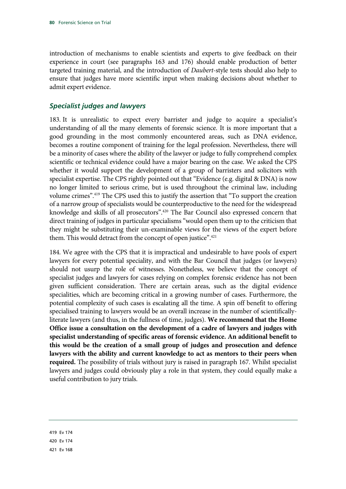introduction of mechanisms to enable scientists and experts to give feedback on their experience in court (see paragraphs 163 and 176) should enable production of better targeted training material, and the introduction of *Daubert*-style tests should also help to ensure that judges have more scientific input when making decisions about whether to admit expert evidence.

#### *Specialist judges and lawyers*

183. It is unrealistic to expect every barrister and judge to acquire a specialist's understanding of all the many elements of forensic science. It is more important that a good grounding in the most commonly encountered areas, such as DNA evidence, becomes a routine component of training for the legal profession. Nevertheless, there will be a minority of cases where the ability of the lawyer or judge to fully comprehend complex scientific or technical evidence could have a major bearing on the case. We asked the CPS whether it would support the development of a group of barristers and solicitors with specialist expertise. The CPS rightly pointed out that "Evidence (e.g. digital & DNA) is now no longer limited to serious crime, but is used throughout the criminal law, including volume crimes".419 The CPS used this to justify the assertion that "To support the creation of a narrow group of specialists would be counterproductive to the need for the widespread knowledge and skills of all prosecutors".<sup>420</sup> The Bar Council also expressed concern that direct training of judges in particular specialisms "would open them up to the criticism that they might be substituting their un-examinable views for the views of the expert before them. This would detract from the concept of open justice".<sup>421</sup>

184. We agree with the CPS that it is impractical and undesirable to have pools of expert lawyers for every potential speciality, and with the Bar Council that judges (or lawyers) should not usurp the role of witnesses. Nonetheless, we believe that the concept of specialist judges and lawyers for cases relying on complex forensic evidence has not been given sufficient consideration. There are certain areas, such as the digital evidence specialities, which are becoming critical in a growing number of cases. Furthermore, the potential complexity of such cases is escalating all the time. A spin off benefit to offering specialised training to lawyers would be an overall increase in the number of scientificallyliterate lawyers (and thus, in the fullness of time, judges). **We recommend that the Home Office issue a consultation on the development of a cadre of lawyers and judges with specialist understanding of specific areas of forensic evidence. An additional benefit to this would be the creation of a small group of judges and prosecution and defence lawyers with the ability and current knowledge to act as mentors to their peers when required.** The possibility of trials without jury is raised in paragraph 167. Whilst specialist lawyers and judges could obviously play a role in that system, they could equally make a useful contribution to jury trials.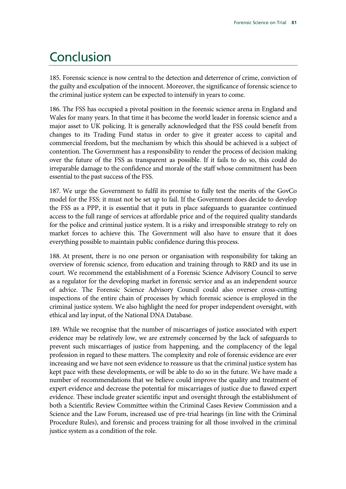# Conclusion

185. Forensic science is now central to the detection and deterrence of crime, conviction of the guilty and exculpation of the innocent. Moreover, the significance of forensic science to the criminal justice system can be expected to intensify in years to come.

186. The FSS has occupied a pivotal position in the forensic science arena in England and Wales for many years. In that time it has become the world leader in forensic science and a major asset to UK policing. It is generally acknowledged that the FSS could benefit from changes to its Trading Fund status in order to give it greater access to capital and commercial freedom, but the mechanism by which this should be achieved is a subject of contention. The Government has a responsibility to render the process of decision making over the future of the FSS as transparent as possible. If it fails to do so, this could do irreparable damage to the confidence and morale of the staff whose commitment has been essential to the past success of the FSS.

187. We urge the Government to fulfil its promise to fully test the merits of the GovCo model for the FSS: it must not be set up to fail. If the Government does decide to develop the FSS as a PPP, it is essential that it puts in place safeguards to guarantee continued access to the full range of services at affordable price and of the required quality standards for the police and criminal justice system. It is a risky and irresponsible strategy to rely on market forces to achieve this. The Government will also have to ensure that it does everything possible to maintain public confidence during this process.

188. At present, there is no one person or organisation with responsibility for taking an overview of forensic science, from education and training through to R&D and its use in court. We recommend the establishment of a Forensic Science Advisory Council to serve as a regulator for the developing market in forensic service and as an independent source of advice. The Forensic Science Advisory Council could also oversee cross-cutting inspections of the entire chain of processes by which forensic science is employed in the criminal justice system. We also highlight the need for proper independent oversight, with ethical and lay input, of the National DNA Database.

189. While we recognise that the number of miscarriages of justice associated with expert evidence may be relatively low, we are extremely concerned by the lack of safeguards to prevent such miscarriages of justice from happening, and the complacency of the legal profession in regard to these matters. The complexity and role of forensic evidence are ever increasing and we have not seen evidence to reassure us that the criminal justice system has kept pace with these developments, or will be able to do so in the future. We have made a number of recommendations that we believe could improve the quality and treatment of expert evidence and decrease the potential for miscarriages of justice due to flawed expert evidence. These include greater scientific input and oversight through the establishment of both a Scientific Review Committee within the Criminal Cases Review Commission and a Science and the Law Forum, increased use of pre-trial hearings (in line with the Criminal Procedure Rules), and forensic and process training for all those involved in the criminal justice system as a condition of the role.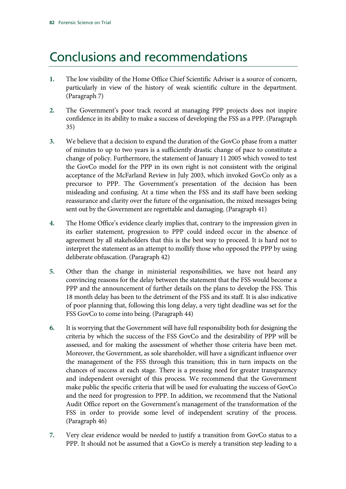# Conclusions and recommendations

- **1.** The low visibility of the Home Office Chief Scientific Adviser is a source of concern, particularly in view of the history of weak scientific culture in the department. (Paragraph 7)
- **2.** The Government's poor track record at managing PPP projects does not inspire confidence in its ability to make a success of developing the FSS as a PPP. (Paragraph 35)
- **3.** We believe that a decision to expand the duration of the GovCo phase from a matter of minutes to up to two years is a sufficiently drastic change of pace to constitute a change of policy. Furthermore, the statement of January 11 2005 which vowed to test the GovCo model for the PPP in its own right is not consistent with the original acceptance of the McFarland Review in July 2003, which invoked GovCo only as a precursor to PPP. The Government's presentation of the decision has been misleading and confusing. At a time when the FSS and its staff have been seeking reassurance and clarity over the future of the organisation, the mixed messages being sent out by the Government are regrettable and damaging. (Paragraph 41)
- **4.** The Home Office's evidence clearly implies that, contrary to the impression given in its earlier statement, progression to PPP could indeed occur in the absence of agreement by all stakeholders that this is the best way to proceed. It is hard not to interpret the statement as an attempt to mollify those who opposed the PPP by using deliberate obfuscation. (Paragraph 42)
- **5.** Other than the change in ministerial responsibilities, we have not heard any convincing reasons for the delay between the statement that the FSS would become a PPP and the announcement of further details on the plans to develop the FSS. This 18 month delay has been to the detriment of the FSS and its staff. It is also indicative of poor planning that, following this long delay, a very tight deadline was set for the FSS GovCo to come into being. (Paragraph 44)
- **6.** It is worrying that the Government will have full responsibility both for designing the criteria by which the success of the FSS GovCo and the desirability of PPP will be assessed, and for making the assessment of whether those criteria have been met. Moreover, the Government, as sole shareholder, will have a significant influence over the management of the FSS through this transition; this in turn impacts on the chances of success at each stage. There is a pressing need for greater transparency and independent oversight of this process. We recommend that the Government make public the specific criteria that will be used for evaluating the success of GovCo and the need for progression to PPP. In addition, we recommend that the National Audit Office report on the Government's management of the transformation of the FSS in order to provide some level of independent scrutiny of the process. (Paragraph 46)
- **7.** Very clear evidence would be needed to justify a transition from GovCo status to a PPP. It should not be assumed that a GovCo is merely a transition step leading to a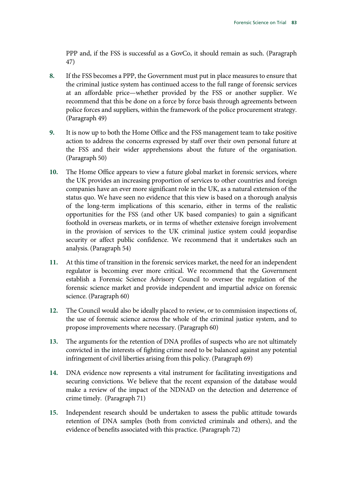PPP and, if the FSS is successful as a GovCo, it should remain as such. (Paragraph 47)

- **8.** If the FSS becomes a PPP, the Government must put in place measures to ensure that the criminal justice system has continued access to the full range of forensic services at an affordable price—whether provided by the FSS or another supplier. We recommend that this be done on a force by force basis through agreements between police forces and suppliers, within the framework of the police procurement strategy. (Paragraph 49)
- **9.** It is now up to both the Home Office and the FSS management team to take positive action to address the concerns expressed by staff over their own personal future at the FSS and their wider apprehensions about the future of the organisation. (Paragraph 50)
- **10.** The Home Office appears to view a future global market in forensic services, where the UK provides an increasing proportion of services to other countries and foreign companies have an ever more significant role in the UK, as a natural extension of the status quo. We have seen no evidence that this view is based on a thorough analysis of the long-term implications of this scenario, either in terms of the realistic opportunities for the FSS (and other UK based companies) to gain a significant foothold in overseas markets, or in terms of whether extensive foreign involvement in the provision of services to the UK criminal justice system could jeopardise security or affect public confidence. We recommend that it undertakes such an analysis. (Paragraph 54)
- **11.** At this time of transition in the forensic services market, the need for an independent regulator is becoming ever more critical. We recommend that the Government establish a Forensic Science Advisory Council to oversee the regulation of the forensic science market and provide independent and impartial advice on forensic science. (Paragraph 60)
- **12.** The Council would also be ideally placed to review, or to commission inspections of, the use of forensic science across the whole of the criminal justice system, and to propose improvements where necessary. (Paragraph 60)
- **13.** The arguments for the retention of DNA profiles of suspects who are not ultimately convicted in the interests of fighting crime need to be balanced against any potential infringement of civil liberties arising from this policy. (Paragraph 69)
- **14.** DNA evidence now represents a vital instrument for facilitating investigations and securing convictions. We believe that the recent expansion of the database would make a review of the impact of the NDNAD on the detection and deterrence of crime timely. (Paragraph 71)
- **15.** Independent research should be undertaken to assess the public attitude towards retention of DNA samples (both from convicted criminals and others), and the evidence of benefits associated with this practice. (Paragraph 72)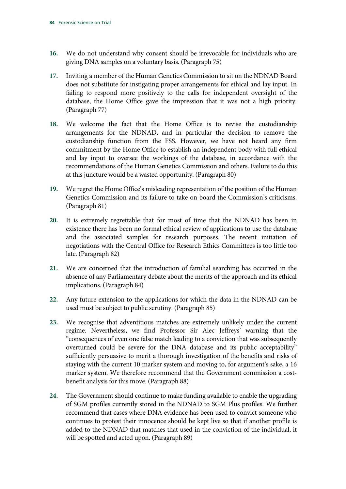- **16.** We do not understand why consent should be irrevocable for individuals who are giving DNA samples on a voluntary basis. (Paragraph 75)
- **17.** Inviting a member of the Human Genetics Commission to sit on the NDNAD Board does not substitute for instigating proper arrangements for ethical and lay input. In failing to respond more positively to the calls for independent oversight of the database, the Home Office gave the impression that it was not a high priority. (Paragraph 77)
- **18.** We welcome the fact that the Home Office is to revise the custodianship arrangements for the NDNAD, and in particular the decision to remove the custodianship function from the FSS. However, we have not heard any firm commitment by the Home Office to establish an independent body with full ethical and lay input to oversee the workings of the database, in accordance with the recommendations of the Human Genetics Commission and others. Failure to do this at this juncture would be a wasted opportunity. (Paragraph 80)
- **19.** We regret the Home Office's misleading representation of the position of the Human Genetics Commission and its failure to take on board the Commission's criticisms. (Paragraph 81)
- **20.** It is extremely regrettable that for most of time that the NDNAD has been in existence there has been no formal ethical review of applications to use the database and the associated samples for research purposes. The recent initiation of negotiations with the Central Office for Research Ethics Committees is too little too late. (Paragraph 82)
- **21.** We are concerned that the introduction of familial searching has occurred in the absence of any Parliamentary debate about the merits of the approach and its ethical implications. (Paragraph 84)
- **22.** Any future extension to the applications for which the data in the NDNAD can be used must be subject to public scrutiny. (Paragraph 85)
- **23.** We recognise that adventitious matches are extremely unlikely under the current regime. Nevertheless, we find Professor Sir Alec Jeffreys' warning that the "consequences of even one false match leading to a conviction that was subsequently overturned could be severe for the DNA database and its public acceptability" sufficiently persuasive to merit a thorough investigation of the benefits and risks of staying with the current 10 marker system and moving to, for argument's sake, a 16 marker system. We therefore recommend that the Government commission a costbenefit analysis for this move. (Paragraph 88)
- **24.** The Government should continue to make funding available to enable the upgrading of SGM profiles currently stored in the NDNAD to SGM Plus profiles. We further recommend that cases where DNA evidence has been used to convict someone who continues to protest their innocence should be kept live so that if another profile is added to the NDNAD that matches that used in the conviction of the individual, it will be spotted and acted upon. (Paragraph 89)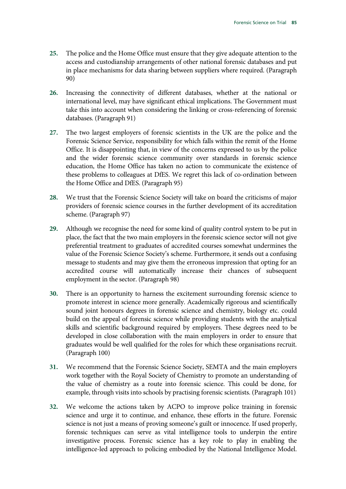- **25.** The police and the Home Office must ensure that they give adequate attention to the access and custodianship arrangements of other national forensic databases and put in place mechanisms for data sharing between suppliers where required. (Paragraph 90)
- **26.** Increasing the connectivity of different databases, whether at the national or international level, may have significant ethical implications. The Government must take this into account when considering the linking or cross-referencing of forensic databases. (Paragraph 91)
- **27.** The two largest employers of forensic scientists in the UK are the police and the Forensic Science Service, responsibility for which falls within the remit of the Home Office. It is disappointing that, in view of the concerns expressed to us by the police and the wider forensic science community over standards in forensic science education, the Home Office has taken no action to communicate the existence of these problems to colleagues at DfES. We regret this lack of co-ordination between the Home Office and DfES. (Paragraph 95)
- **28.** We trust that the Forensic Science Society will take on board the criticisms of major providers of forensic science courses in the further development of its accreditation scheme. (Paragraph 97)
- **29.** Although we recognise the need for some kind of quality control system to be put in place, the fact that the two main employers in the forensic science sector will not give preferential treatment to graduates of accredited courses somewhat undermines the value of the Forensic Science Society's scheme. Furthermore, it sends out a confusing message to students and may give them the erroneous impression that opting for an accredited course will automatically increase their chances of subsequent employment in the sector. (Paragraph 98)
- **30.** There is an opportunity to harness the excitement surrounding forensic science to promote interest in science more generally. Academically rigorous and scientifically sound joint honours degrees in forensic science and chemistry, biology etc. could build on the appeal of forensic science while providing students with the analytical skills and scientific background required by employers. These degrees need to be developed in close collaboration with the main employers in order to ensure that graduates would be well qualified for the roles for which these organisations recruit. (Paragraph 100)
- **31.** We recommend that the Forensic Science Society, SEMTA and the main employers work together with the Royal Society of Chemistry to promote an understanding of the value of chemistry as a route into forensic science. This could be done, for example, through visits into schools by practising forensic scientists. (Paragraph 101)
- **32.** We welcome the actions taken by ACPO to improve police training in forensic science and urge it to continue, and enhance, these efforts in the future. Forensic science is not just a means of proving someone's guilt or innocence. If used properly, forensic techniques can serve as vital intelligence tools to underpin the entire investigative process. Forensic science has a key role to play in enabling the intelligence-led approach to policing embodied by the National Intelligence Model.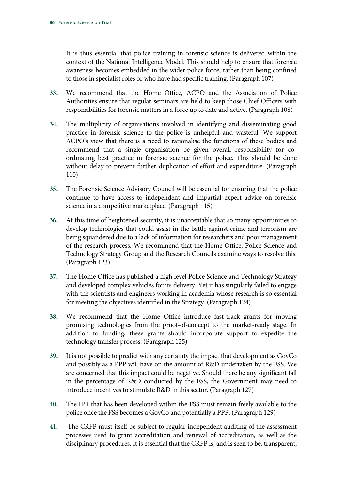It is thus essential that police training in forensic science is delivered within the context of the National Intelligence Model. This should help to ensure that forensic awareness becomes embedded in the wider police force, rather than being confined to those in specialist roles or who have had specific training. (Paragraph 107)

- **33.** We recommend that the Home Office, ACPO and the Association of Police Authorities ensure that regular seminars are held to keep those Chief Officers with responsibilities for forensic matters in a force up to date and active. (Paragraph 108)
- **34.** The multiplicity of organisations involved in identifying and disseminating good practice in forensic science to the police is unhelpful and wasteful. We support ACPO's view that there is a need to rationalise the functions of these bodies and recommend that a single organisation be given overall responsibility for coordinating best practice in forensic science for the police. This should be done without delay to prevent further duplication of effort and expenditure. (Paragraph 110)
- **35.** The Forensic Science Advisory Council will be essential for ensuring that the police continue to have access to independent and impartial expert advice on forensic science in a competitive marketplace. (Paragraph 115)
- **36.** At this time of heightened security, it is unacceptable that so many opportunities to develop technologies that could assist in the battle against crime and terrorism are being squandered due to a lack of information for researchers and poor management of the research process. We recommend that the Home Office, Police Science and Technology Strategy Group and the Research Councils examine ways to resolve this. (Paragraph 123)
- **37.** The Home Office has published a high level Police Science and Technology Strategy and developed complex vehicles for its delivery. Yet it has singularly failed to engage with the scientists and engineers working in academia whose research is so essential for meeting the objectives identified in the Strategy. (Paragraph 124)
- **38.** We recommend that the Home Office introduce fast-track grants for moving promising technologies from the proof-of-concept to the market-ready stage. In addition to funding, these grants should incorporate support to expedite the technology transfer process. (Paragraph 125)
- **39.** It is not possible to predict with any certainty the impact that development as GovCo and possibly as a PPP will have on the amount of R&D undertaken by the FSS. We are concerned that this impact could be negative. Should there be any significant fall in the percentage of R&D conducted by the FSS, the Government may need to introduce incentives to stimulate R&D in this sector. (Paragraph 127)
- **40.** The IPR that has been developed within the FSS must remain freely available to the police once the FSS becomes a GovCo and potentially a PPP. (Paragraph 129)
- **41.** The CRFP must itself be subject to regular independent auditing of the assessment processes used to grant accreditation and renewal of accreditation, as well as the disciplinary procedures. It is essential that the CRFP is, and is seen to be, transparent,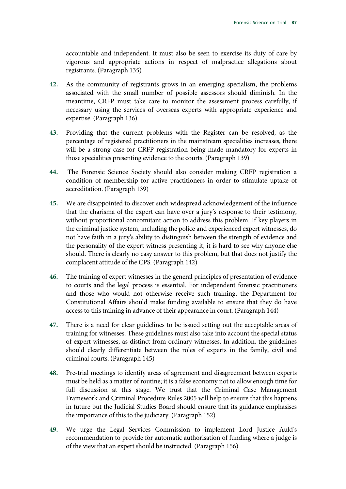accountable and independent. It must also be seen to exercise its duty of care by vigorous and appropriate actions in respect of malpractice allegations about registrants. (Paragraph 135)

- **42.** As the community of registrants grows in an emerging specialism, the problems associated with the small number of possible assessors should diminish. In the meantime, CRFP must take care to monitor the assessment process carefully, if necessary using the services of overseas experts with appropriate experience and expertise. (Paragraph 136)
- **43.** Providing that the current problems with the Register can be resolved, as the percentage of registered practitioners in the mainstream specialities increases, there will be a strong case for CRFP registration being made mandatory for experts in those specialities presenting evidence to the courts. (Paragraph 139)
- **44.** The Forensic Science Society should also consider making CRFP registration a condition of membership for active practitioners in order to stimulate uptake of accreditation. (Paragraph 139)
- **45.** We are disappointed to discover such widespread acknowledgement of the influence that the charisma of the expert can have over a jury's response to their testimony, without proportional concomitant action to address this problem. If key players in the criminal justice system, including the police and experienced expert witnesses, do not have faith in a jury's ability to distinguish between the strength of evidence and the personality of the expert witness presenting it, it is hard to see why anyone else should. There is clearly no easy answer to this problem, but that does not justify the complacent attitude of the CPS. (Paragraph 142)
- **46.** The training of expert witnesses in the general principles of presentation of evidence to courts and the legal process is essential. For independent forensic practitioners and those who would not otherwise receive such training, the Department for Constitutional Affairs should make funding available to ensure that they do have access to this training in advance of their appearance in court. (Paragraph 144)
- **47.** There is a need for clear guidelines to be issued setting out the acceptable areas of training for witnesses. These guidelines must also take into account the special status of expert witnesses, as distinct from ordinary witnesses. In addition, the guidelines should clearly differentiate between the roles of experts in the family, civil and criminal courts. (Paragraph 145)
- **48.** Pre-trial meetings to identify areas of agreement and disagreement between experts must be held as a matter of routine; it is a false economy not to allow enough time for full discussion at this stage. We trust that the Criminal Case Management Framework and Criminal Procedure Rules 2005 will help to ensure that this happens in future but the Judicial Studies Board should ensure that its guidance emphasises the importance of this to the judiciary. (Paragraph 152)
- **49.** We urge the Legal Services Commission to implement Lord Justice Auld's recommendation to provide for automatic authorisation of funding where a judge is of the view that an expert should be instructed. (Paragraph 156)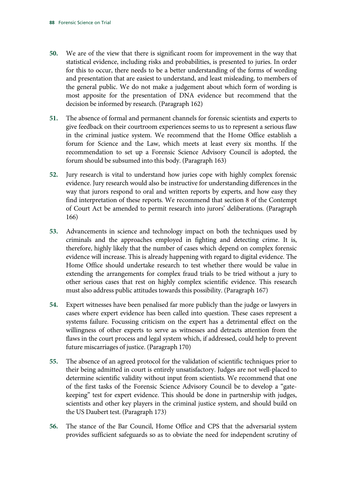- **50.** We are of the view that there is significant room for improvement in the way that statistical evidence, including risks and probabilities, is presented to juries. In order for this to occur, there needs to be a better understanding of the forms of wording and presentation that are easiest to understand, and least misleading, to members of the general public. We do not make a judgement about which form of wording is most apposite for the presentation of DNA evidence but recommend that the decision be informed by research. (Paragraph 162)
- **51.** The absence of formal and permanent channels for forensic scientists and experts to give feedback on their courtroom experiences seems to us to represent a serious flaw in the criminal justice system. We recommend that the Home Office establish a forum for Science and the Law, which meets at least every six months. If the recommendation to set up a Forensic Science Advisory Council is adopted, the forum should be subsumed into this body. (Paragraph 163)
- **52.** Jury research is vital to understand how juries cope with highly complex forensic evidence. Jury research would also be instructive for understanding differences in the way that jurors respond to oral and written reports by experts, and how easy they find interpretation of these reports. We recommend that section 8 of the Contempt of Court Act be amended to permit research into jurors' deliberations. (Paragraph 166)
- **53.** Advancements in science and technology impact on both the techniques used by criminals and the approaches employed in fighting and detecting crime. It is, therefore, highly likely that the number of cases which depend on complex forensic evidence will increase. This is already happening with regard to digital evidence. The Home Office should undertake research to test whether there would be value in extending the arrangements for complex fraud trials to be tried without a jury to other serious cases that rest on highly complex scientific evidence. This research must also address public attitudes towards this possibility. (Paragraph 167)
- **54.** Expert witnesses have been penalised far more publicly than the judge or lawyers in cases where expert evidence has been called into question. These cases represent a systems failure. Focussing criticism on the expert has a detrimental effect on the willingness of other experts to serve as witnesses and detracts attention from the flaws in the court process and legal system which, if addressed, could help to prevent future miscarriages of justice. (Paragraph 170)
- **55.** The absence of an agreed protocol for the validation of scientific techniques prior to their being admitted in court is entirely unsatisfactory. Judges are not well-placed to determine scientific validity without input from scientists. We recommend that one of the first tasks of the Forensic Science Advisory Council be to develop a "gatekeeping" test for expert evidence. This should be done in partnership with judges, scientists and other key players in the criminal justice system, and should build on the US Daubert test. (Paragraph 173)
- **56.** The stance of the Bar Council, Home Office and CPS that the adversarial system provides sufficient safeguards so as to obviate the need for independent scrutiny of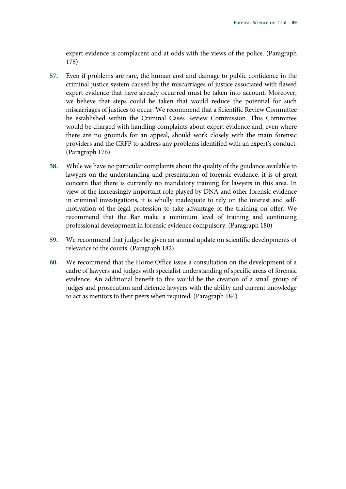expert evidence is complacent and at odds with the views of the police. (Paragraph 175)

- **57.** Even if problems are rare, the human cost and damage to public confidence in the criminal justice system caused by the miscarriages of justice associated with flawed expert evidence that have already occurred must be taken into account. Moreover, we believe that steps could be taken that would reduce the potential for such miscarriages of justices to occur. We recommend that a Scientific Review Committee be established within the Criminal Cases Review Commission. This Committee would be charged with handling complaints about expert evidence and, even where there are no grounds for an appeal, should work closely with the main forensic providers and the CRFP to address any problems identified with an expert's conduct. (Paragraph 176)
- **58.** While we have no particular complaints about the quality of the guidance available to lawyers on the understanding and presentation of forensic evidence, it is of great concern that there is currently no mandatory training for lawyers in this area. In view of the increasingly important role played by DNA and other forensic evidence in criminal investigations, it is wholly inadequate to rely on the interest and selfmotivation of the legal profession to take advantage of the training on offer. We recommend that the Bar make a minimum level of training and continuing professional development in forensic evidence compulsory. (Paragraph 180)
- **59.** We recommend that judges be given an annual update on scientific developments of relevance to the courts. (Paragraph 182)
- **60.** We recommend that the Home Office issue a consultation on the development of a cadre of lawyers and judges with specialist understanding of specific areas of forensic evidence. An additional benefit to this would be the creation of a small group of judges and prosecution and defence lawyers with the ability and current knowledge to act as mentors to their peers when required. (Paragraph 184)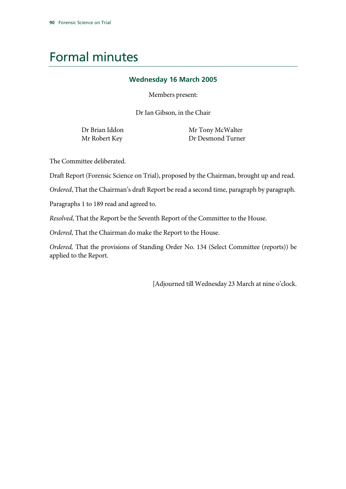# Formal minutes

#### **Wednesday 16 March 2005**

Members present:

Dr Ian Gibson, in the Chair

Dr Brian Iddon Mr Tony McWalter Mr Robert Key Dr Desmond Turner

The Committee deliberated.

Draft Report (Forensic Science on Trial), proposed by the Chairman, brought up and read.

*Ordered*, That the Chairman's draft Report be read a second time, paragraph by paragraph.

Paragraphs 1 to 189 read and agreed to.

*Resolved*, That the Report be the Seventh Report of the Committee to the House.

*Ordered*, That the Chairman do make the Report to the House.

*Ordered,* That the provisions of Standing Order No. 134 (Select Committee (reports)) be applied to the Report.

[Adjourned till Wednesday 23 March at nine o'clock.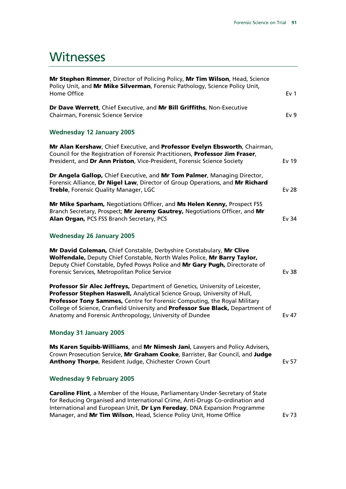# **Witnesses**

| Mr Stephen Rimmer, Director of Policing Policy, Mr Tim Wilson, Head, Science<br>Policy Unit, and Mr Mike Silverman, Forensic Pathology, Science Policy Unit,                                                                                                                                                                                                                        |                 |
|-------------------------------------------------------------------------------------------------------------------------------------------------------------------------------------------------------------------------------------------------------------------------------------------------------------------------------------------------------------------------------------|-----------------|
| <b>Home Office</b>                                                                                                                                                                                                                                                                                                                                                                  | Ev <sub>1</sub> |
| Dr Dave Werrett, Chief Executive, and Mr Bill Griffiths, Non-Executive<br>Chairman, Forensic Science Service                                                                                                                                                                                                                                                                        | Ev <sub>9</sub> |
| <b>Wednesday 12 January 2005</b>                                                                                                                                                                                                                                                                                                                                                    |                 |
| Mr Alan Kershaw, Chief Executive, and Professor Evelyn Ebsworth, Chairman,<br>Council for the Registration of Forensic Practitioners, Professor Jim Fraser,<br>President, and Dr Ann Priston, Vice-President, Forensic Science Society                                                                                                                                              | Ev 19           |
| Dr Angela Gallop, Chief Executive, and Mr Tom Palmer, Managing Director,<br>Forensic Alliance, Dr Nigel Law, Director of Group Operations, and Mr Richard<br>Treble, Forensic Quality Manager, LGC                                                                                                                                                                                  | <b>Ev 28</b>    |
| Mr Mike Sparham, Negotiations Officer, and Ms Helen Kenny, Prospect FSS<br>Branch Secretary, Prospect; Mr Jeremy Gautrey, Negotiations Officer, and Mr<br>Alan Organ, PCS FSS Branch Secretary, PCS                                                                                                                                                                                 | Ev 34           |
| <b>Wednesday 26 January 2005</b>                                                                                                                                                                                                                                                                                                                                                    |                 |
| Mr David Coleman, Chief Constable, Derbyshire Constabulary, Mr Clive<br>Wolfendale, Deputy Chief Constable, North Wales Police, Mr Barry Taylor,<br>Deputy Chief Constable, Dyfed Powys Police and Mr Gary Pugh, Directorate of<br>Forensic Services, Metropolitan Police Service                                                                                                   | Ev 38           |
| Professor Sir Alec Jeffreys, Department of Genetics, University of Leicester,<br>Professor Stephen Haswell, Analytical Science Group, University of Hull,<br>Professor Tony Sammes, Centre for Forensic Computing, the Royal Military<br>College of Science, Cranfield University and Professor Sue Black, Department of<br>Anatomy and Forensic Anthropology, University of Dundee | Ev 47           |
| <b>Monday 31 January 2005</b>                                                                                                                                                                                                                                                                                                                                                       |                 |
| Ms Karen Squibb-Williams, and Mr Nimesh Jani, Lawyers and Policy Advisers,<br>Crown Prosecution Service, Mr Graham Cooke, Barrister, Bar Council, and Judge<br>Anthony Thorpe, Resident Judge, Chichester Crown Court                                                                                                                                                               | Ev 57           |
| <b>Wednesday 9 February 2005</b>                                                                                                                                                                                                                                                                                                                                                    |                 |
| Caroline Flint, a Member of the House, Parliamentary Under-Secretary of State<br>for Reducing Organised and International Crime, Anti-Drugs Co-ordination and<br>International and European Unit, Dr Lyn Fereday, DNA Expansion Programme                                                                                                                                           |                 |

Manager, and **Mr Tim Wilson**, Head, Science Policy Unit, Home Office **Exam** Ev 73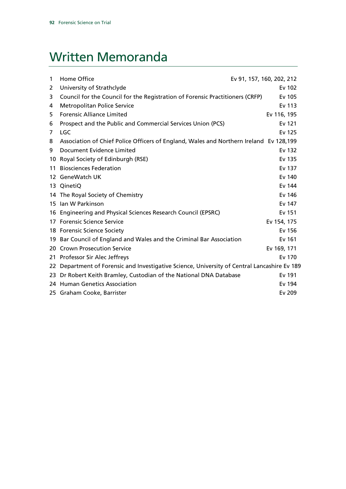# Written Memoranda

| 1  | Home Office                                                                                  | Ev 91, 157, 160, 202, 212 |
|----|----------------------------------------------------------------------------------------------|---------------------------|
| 2  | University of Strathclyde                                                                    | Ev 102                    |
| 3  | Council for the Council for the Registration of Forensic Practitioners (CRFP)                | Ev 105                    |
| 4  | <b>Metropolitan Police Service</b>                                                           | Ev 113                    |
| 5  | <b>Forensic Alliance Limited</b>                                                             | Ev 116, 195               |
| 6  | Prospect and the Public and Commercial Services Union (PCS)                                  | Ev 121                    |
| 7  | <b>LGC</b>                                                                                   | Ev 125                    |
| 8  | Association of Chief Police Officers of England, Wales and Northern Ireland Ev 128,199       |                           |
| 9  | Document Evidence Limited                                                                    | Ev 132                    |
|    | 10 Royal Society of Edinburgh (RSE)                                                          | Ev 135                    |
| 11 | <b>Biosciences Federation</b>                                                                | Ev 137                    |
|    | 12 GeneWatch UK                                                                              | Ev 140                    |
|    | 13 QinetiQ                                                                                   | Ev 144                    |
|    | 14 The Royal Society of Chemistry                                                            | Ev 146                    |
|    | 15 Ian W Parkinson                                                                           | Ev 147                    |
|    | 16 Engineering and Physical Sciences Research Council (EPSRC)                                | Ev 151                    |
|    | 17 Forensic Science Service                                                                  | Ev 154, 175               |
|    | 18 Forensic Science Society                                                                  | Ev 156                    |
|    | 19 Bar Council of England and Wales and the Criminal Bar Association                         | Ev 161                    |
|    | 20 Crown Prosecution Service                                                                 | Ev 169, 171               |
|    | 21 Professor Sir Alec Jeffreys                                                               | Ev 170                    |
|    | 22 Department of Forensic and Investigative Science, University of Central Lancashire Ev 189 |                           |
|    | 23 Dr Robert Keith Bramley, Custodian of the National DNA Database                           | Ev 191                    |
|    | 24 Human Genetics Association                                                                | Ev 194                    |
|    | 25 Graham Cooke, Barrister                                                                   | Ev 209                    |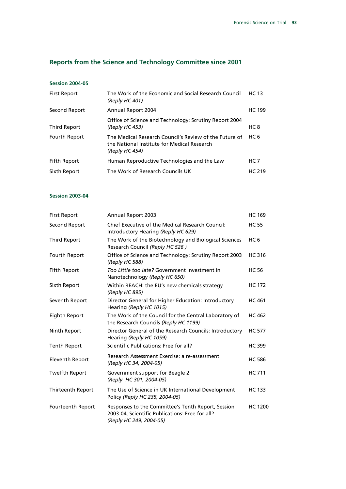# **Reports from the Science and Technology Committee since 2001**

| <b>Session 2004-05</b> |  |
|------------------------|--|
|------------------------|--|

| <b>First Report</b> | The Work of the Economic and Social Research Council<br>(Reply HC 401)                                                  | <b>HC 13</b>    |
|---------------------|-------------------------------------------------------------------------------------------------------------------------|-----------------|
| Second Report       | Annual Report 2004                                                                                                      | <b>HC 199</b>   |
| Third Report        | Office of Science and Technology: Scrutiny Report 2004<br>(Reply HC 453)                                                | HC 8            |
| Fourth Report       | The Medical Research Council's Review of the Future of<br>the National Institute for Medical Research<br>(Reply HC 454) | HC <sub>6</sub> |
| Fifth Report        | Human Reproductive Technologies and the Law                                                                             | HC 7            |
| Sixth Report        | The Work of Research Councils UK                                                                                        | HC 219          |

#### **Session 2003-04**

| Annual Report 2003                                                                                                               | <b>HC 169</b>   |
|----------------------------------------------------------------------------------------------------------------------------------|-----------------|
| Chief Executive of the Medical Research Council:<br>Introductory Hearing (Reply HC 629)                                          | <b>HC 55</b>    |
| The Work of the Biotechnology and Biological Sciences<br>Research Council (Reply HC 526)                                         | HC <sub>6</sub> |
| Office of Science and Technology: Scrutiny Report 2003<br>(Reply HC 588)                                                         | <b>HC 316</b>   |
| Too Little too late? Government Investment in<br>Nanotechnology (Reply HC 650)                                                   | <b>HC 56</b>    |
| Within REACH: the EU's new chemicals strategy<br>(Reply HC 895)                                                                  | <b>HC 172</b>   |
| Director General for Higher Education: Introductory<br>Hearing (Reply HC 1015)                                                   | <b>HC 461</b>   |
| The Work of the Council for the Central Laboratory of<br>the Research Councils (Reply HC 1199)                                   | <b>HC 462</b>   |
| Director General of the Research Councils: Introductory<br>Hearing (Reply HC 1059)                                               | <b>HC 577</b>   |
| Scientific Publications: Free for all?                                                                                           | <b>HC 399</b>   |
| Research Assessment Exercise: a re-assessment<br>(Reply HC 34, 2004-05)                                                          | <b>HC 586</b>   |
| Government support for Beagle 2<br>(Reply HC 301, 2004-05)                                                                       | <b>HC 711</b>   |
| The Use of Science in UK International Development<br>Policy (Reply HC 235, 2004-05)                                             | <b>HC 133</b>   |
| Responses to the Committee's Tenth Report, Session<br>2003-04, Scientific Publications: Free for all?<br>(Reply HC 249, 2004-05) | <b>HC 1200</b>  |
|                                                                                                                                  |                 |